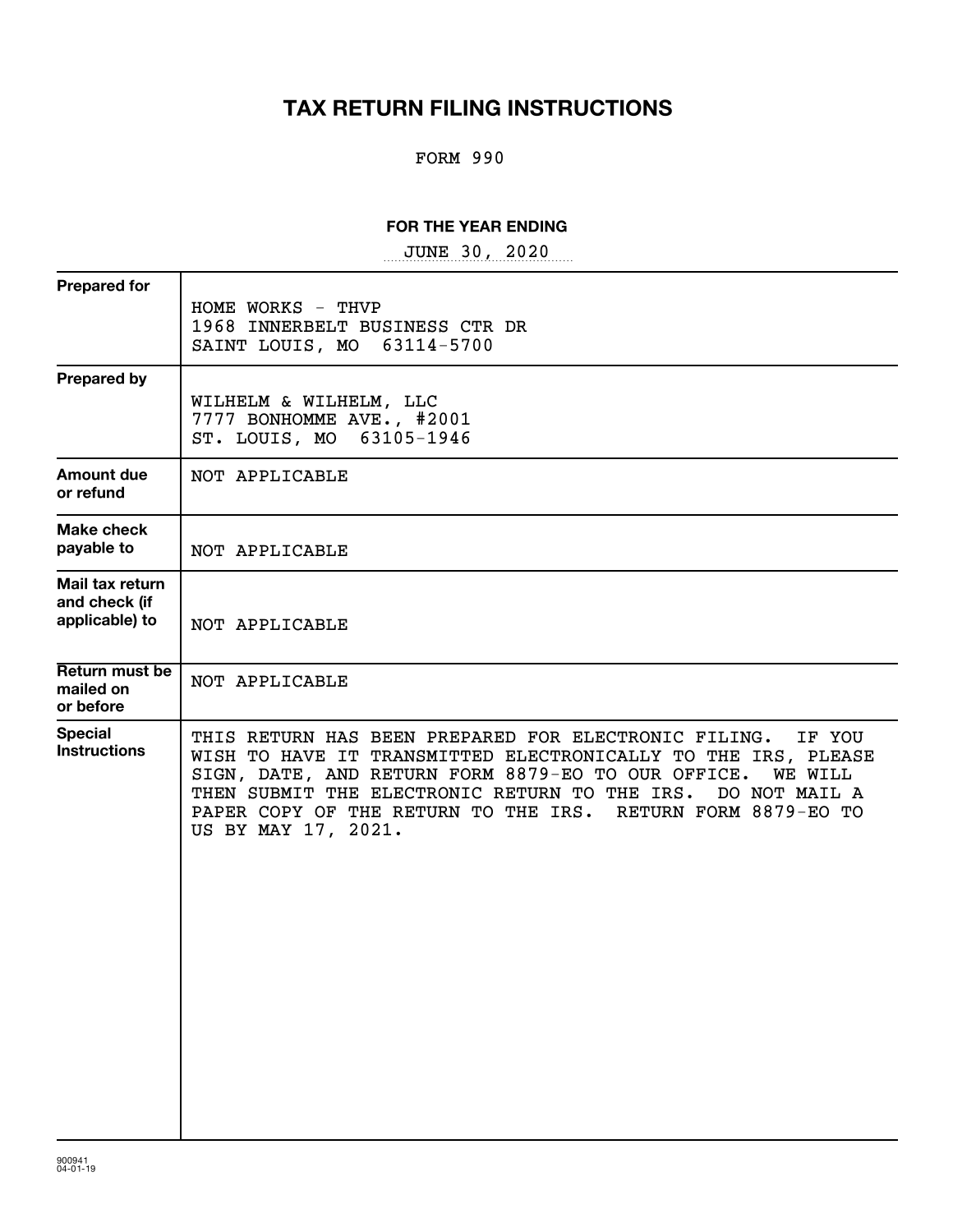# **TAX RETURN FILING INSTRUCTIONS**

## FORM 990

### **FOR THE YEAR ENDING**

~~~~~~~~~~~~~~~~~ JUNE 30, 2020

| <b>Prepared for</b>                                | HOME WORKS - THVP<br>1968 INNERBELT BUSINESS CTR DR<br>SAINT LOUIS, MO 63114-5700                                                                                                                                                                                                                                                                               |
|----------------------------------------------------|-----------------------------------------------------------------------------------------------------------------------------------------------------------------------------------------------------------------------------------------------------------------------------------------------------------------------------------------------------------------|
| <b>Prepared by</b>                                 | WILHELM & WILHELM, LLC<br>7777 BONHOMME AVE., #2001<br>ST. LOUIS, MO 63105-1946                                                                                                                                                                                                                                                                                 |
| <b>Amount due</b><br>or refund                     | NOT APPLICABLE                                                                                                                                                                                                                                                                                                                                                  |
| Make check<br>payable to                           | NOT APPLICABLE                                                                                                                                                                                                                                                                                                                                                  |
| Mail tax return<br>and check (if<br>applicable) to | NOT APPLICABLE                                                                                                                                                                                                                                                                                                                                                  |
| Return must be<br>mailed on<br>or before           | NOT APPLICABLE                                                                                                                                                                                                                                                                                                                                                  |
| <b>Special</b><br><b>Instructions</b>              | THIS RETURN HAS BEEN PREPARED FOR ELECTRONIC FILING.<br>IF YOU<br>WISH TO HAVE IT TRANSMITTED ELECTRONICALLY TO THE IRS, PLEASE<br>SIGN, DATE, AND RETURN FORM 8879-EO TO OUR OFFICE.<br><b>WE WILL</b><br>THEN SUBMIT THE ELECTRONIC RETURN TO THE IRS.<br>DO NOT MAIL A<br>PAPER COPY OF THE RETURN TO THE IRS. RETURN FORM 8879-EO TO<br>US BY MAY 17, 2021. |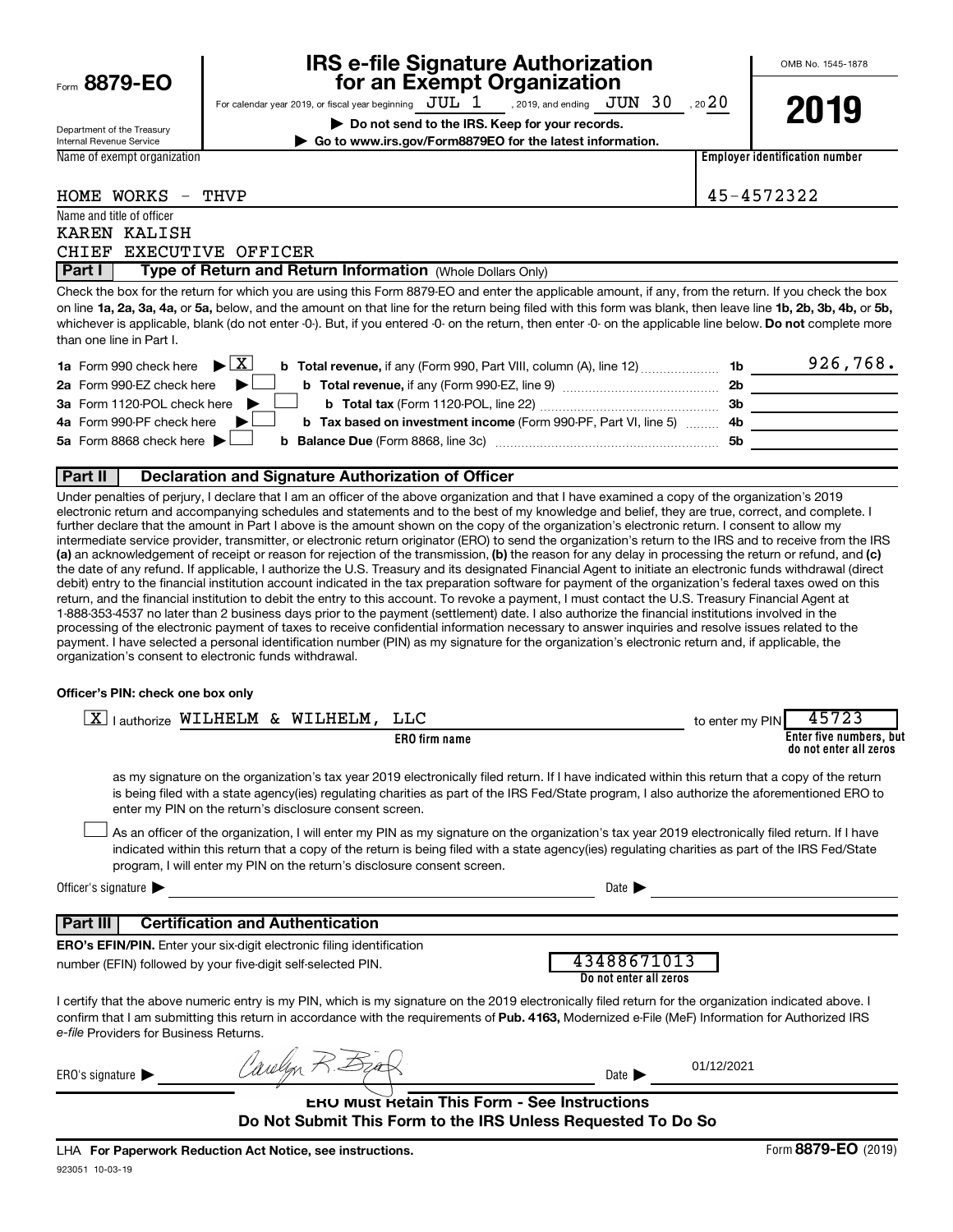Form  $8879-F0$ 

# **IRS e-file Signature Authorization**<br>**687 For an Exempt Organization**

For calendar year 2019, or fiscal year beginning  $\rm\,JUL~$   $1$   $\rm\,$  , 2019, and ending  $\rm\,JUN~$   $30$   $\rm\,$  , 20 $20$ 

**| Do not send to the IRS. Keep for your records. | Go to www.irs.gov/Form8879EO for the latest information.** OMB No. 1545-1878

| Department of the Treasury<br>Internal Revenue Service |
|--------------------------------------------------------|
| Name of exempt organization                            |

**2019**

**Employer identification number**

HOME WORKS - THVP 45-4572322

|        | Name and title of officer |                                                            |  |
|--------|---------------------------|------------------------------------------------------------|--|
|        | KAREN KALISH              |                                                            |  |
|        | CHIEF EXECUTIVE OFFICER   |                                                            |  |
| Part I |                           | Type of Return and Return Information (Whole Dollars Only) |  |

on line 1a, 2a, 3a, 4a, or 5a, below, and the amount on that line for the return being filed with this form was blank, then leave line 1b, 2b, 3b, 4b, or 5b, whichever is applicable, blank (do not enter -0-). But, if you entered -0- on the return, then enter -0- on the applicable line below. **Do not** complete more Check the box for the return for which you are using this Form 8879-EO and enter the applicable amount, if any, from the return. If you check the box than one line in Part I.

| <b>1a</b> Form 990 check here $\triangleright \boxed{X}$                                               |           | 926,768. |
|--------------------------------------------------------------------------------------------------------|-----------|----------|
| 2a Form 990-EZ check here $\blacktriangleright$                                                        | 2b        |          |
| 3a Form 1120-POL check here                                                                            | - 3b      |          |
| 4a Form 990-PF check here<br><b>b</b> Tax based on investment income (Form 990-PF, Part VI, line 5) 4b |           |          |
| 5a Form 8868 check here $\blacktriangleright$                                                          | <b>5b</b> |          |
|                                                                                                        |           |          |

### **Part II Declaration and Signature Authorization of Officer**

(a) an acknowledgement of receipt or reason for rejection of the transmission, (b) the reason for any delay in processing the return or refund, and (c) Under penalties of perjury, I declare that I am an officer of the above organization and that I have examined a copy of the organization's 2019 electronic return and accompanying schedules and statements and to the best of my knowledge and belief, they are true, correct, and complete. I further declare that the amount in Part I above is the amount shown on the copy of the organization's electronic return. I consent to allow my intermediate service provider, transmitter, or electronic return originator (ERO) to send the organization's return to the IRS and to receive from the IRS the date of any refund. If applicable, I authorize the U.S. Treasury and its designated Financial Agent to initiate an electronic funds withdrawal (direct debit) entry to the financial institution account indicated in the tax preparation software for payment of the organization's federal taxes owed on this return, and the financial institution to debit the entry to this account. To revoke a payment, I must contact the U.S. Treasury Financial Agent at 1-888-353-4537 no later than 2 business days prior to the payment (settlement) date. I also authorize the financial institutions involved in the processing of the electronic payment of taxes to receive confidential information necessary to answer inquiries and resolve issues related to the payment. I have selected a personal identification number (PIN) as my signature for the organization's electronic return and, if applicable, the organization's consent to electronic funds withdrawal.

#### **Officer's PIN: check one box only**

| <u>x</u>                               | lauthorize WILHELM & WILHELM, LLC                                                                                                                                                                                                                                                                                                                                                |                                                     | 45723<br>to enter my PIN                                                |
|----------------------------------------|----------------------------------------------------------------------------------------------------------------------------------------------------------------------------------------------------------------------------------------------------------------------------------------------------------------------------------------------------------------------------------|-----------------------------------------------------|-------------------------------------------------------------------------|
|                                        | <b>ERO</b> firm name                                                                                                                                                                                                                                                                                                                                                             |                                                     | Enter five numbers, but<br>do not enter all zeros                       |
|                                        | as my signature on the organization's tax year 2019 electronically filed return. If I have indicated within this return that a copy of the return<br>is being filed with a state agency(ies) regulating charities as part of the IRS Fed/State program, I also authorize the aforementioned ERO to<br>enter my PIN on the return's disclosure consent screen.                    |                                                     |                                                                         |
|                                        | As an officer of the organization, I will enter my PIN as my signature on the organization's tax year 2019 electronically filed return. If I have<br>indicated within this return that a copy of the return is being filed with a state agency(ies) regulating charities as part of the IRS Fed/State<br>program, I will enter my PIN on the return's disclosure consent screen. |                                                     |                                                                         |
| Officer's signature                    |                                                                                                                                                                                                                                                                                                                                                                                  | Date 1                                              |                                                                         |
| Part III                               | <b>Certification and Authentication</b>                                                                                                                                                                                                                                                                                                                                          |                                                     |                                                                         |
|                                        | <b>ERO's EFIN/PIN.</b> Enter your six-digit electronic filing identification<br>number (EFIN) followed by your five-digit self-selected PIN.                                                                                                                                                                                                                                     | 43488671013<br>Do not enter all zeros               |                                                                         |
| e-file Providers for Business Returns. | I certify that the above numeric entry is my PIN, which is my signature on the 2019 electronically filed return for the organization indicated above. I<br>confirm that I am submitting this return in accordance with the requirements of Pub. 4163, Modernized e-File (MeF) Information for Authorized IRS                                                                     |                                                     |                                                                         |
| ERO's signature $\blacktriangleright$  |                                                                                                                                                                                                                                                                                                                                                                                  | Date 1                                              | 01/12/2021                                                              |
|                                        | Do Not Submit This Form to the IRS Unless Requested To Do So                                                                                                                                                                                                                                                                                                                     | <b>ERU MUST Retain This Form - See Instructions</b> |                                                                         |
|                                        |                                                                                                                                                                                                                                                                                                                                                                                  |                                                     | $\mathbf{a} \mathbf{a} = \mathbf{a} \mathbf{a} + \mathbf{a} \mathbf{a}$ |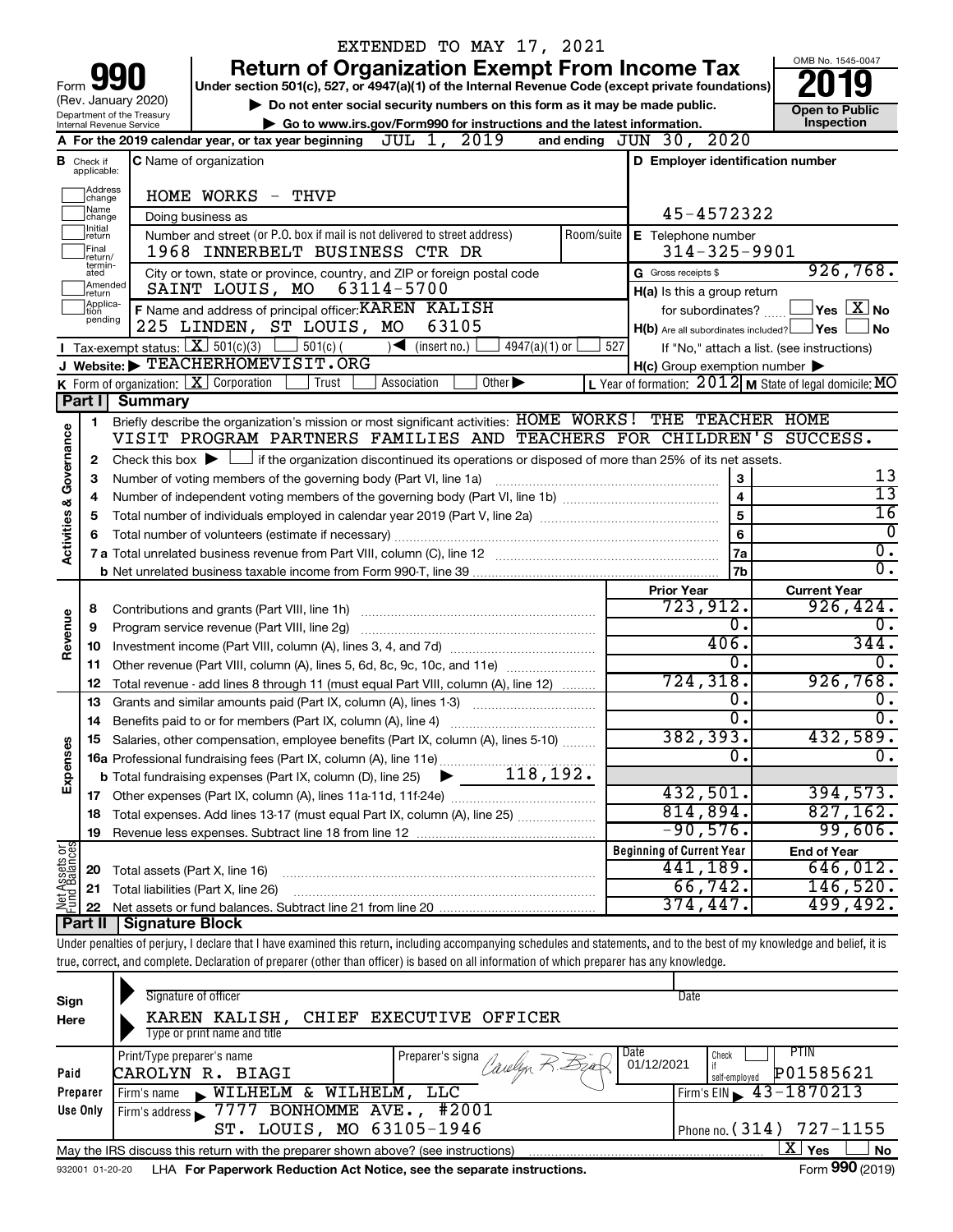|                                |                                      |                                                        | EXTENDED TO MAY 17, 2021                                                                                                                                                   |            |                                                     |                                                           |
|--------------------------------|--------------------------------------|--------------------------------------------------------|----------------------------------------------------------------------------------------------------------------------------------------------------------------------------|------------|-----------------------------------------------------|-----------------------------------------------------------|
|                                |                                      |                                                        | <b>Return of Organization Exempt From Income Tax</b>                                                                                                                       |            |                                                     | OMB No. 1545-0047                                         |
|                                |                                      |                                                        | Under section 501(c), 527, or 4947(a)(1) of the Internal Revenue Code (except private foundations)                                                                         |            |                                                     |                                                           |
|                                |                                      | (Rev. January 2020)                                    | Do not enter social security numbers on this form as it may be made public.                                                                                                |            | <b>Open to Public</b>                               |                                                           |
|                                |                                      | Department of the Treasury<br>Internal Revenue Service | Go to www.irs.gov/Form990 for instructions and the latest information.                                                                                                     |            |                                                     | Inspection                                                |
|                                |                                      |                                                        | A For the 2019 calendar year, or tax year beginning $JUL$ $1, 2019$                                                                                                        |            | 2020<br>and ending $JUN$ $30$ ,                     |                                                           |
|                                | <b>B</b> Check if<br>applicable:     |                                                        | <b>C</b> Name of organization                                                                                                                                              |            | D Employer identification number                    |                                                           |
|                                | Address<br>change                    |                                                        | HOME WORKS - THVP                                                                                                                                                          |            |                                                     |                                                           |
|                                | Name<br>change                       |                                                        | Doing business as                                                                                                                                                          |            | 45-4572322                                          |                                                           |
|                                | Initial<br>return                    |                                                        | Number and street (or P.O. box if mail is not delivered to street address)                                                                                                 | Room/suite | E Telephone number                                  |                                                           |
|                                | Final<br>return/                     |                                                        | 1968 INNERBELT BUSINESS CTR DR                                                                                                                                             |            | $314 - 325 - 9901$                                  |                                                           |
|                                | termin-<br>ated<br>Amended<br>return |                                                        | City or town, state or province, country, and ZIP or foreign postal code<br>SAINT LOUIS, MO<br>63114-5700                                                                  |            | G Gross receipts \$<br>H(a) Is this a group return  | 926,768.                                                  |
|                                | Applica-<br>tion                     |                                                        | F Name and address of principal officer: KAREN KALISH                                                                                                                      |            | for subordinates?                                   | $ {\mathsf Y}$ es $ \overline{{\mathsf X}} $ No           |
|                                | pending                              |                                                        | 225 LINDEN, ST LOUIS, MO<br>63105                                                                                                                                          |            | $H(b)$ Are all subordinates included?               | ⊥Yes<br><b>No</b>                                         |
|                                |                                      |                                                        | Tax-exempt status: $X \ 501(c)(3)$<br>$501(c)$ (<br>$\sqrt{\frac{1}{1}}$ (insert no.)<br>$4947(a)(1)$ or                                                                   | 527        |                                                     | If "No," attach a list. (see instructions)                |
|                                |                                      |                                                        | J Website: FEACHERHOMEVISIT.ORG                                                                                                                                            |            | $H(c)$ Group exemption number $\blacktriangleright$ |                                                           |
|                                |                                      |                                                        | K Form of organization:   X Corporation<br>Association<br>Other $\blacktriangleright$<br>Trust                                                                             |            |                                                     | L Year of formation: $2012$ M State of legal domicile: MO |
|                                | Part I                               | <b>Summary</b>                                         |                                                                                                                                                                            |            |                                                     |                                                           |
|                                | 1                                    |                                                        | Briefly describe the organization's mission or most significant activities: HOME WORKS! THE TEACHER HOME                                                                   |            |                                                     |                                                           |
| Governance                     |                                      |                                                        | VISIT PROGRAM PARTNERS FAMILIES AND TEACHERS FOR CHILDREN'S SUCCESS.                                                                                                       |            |                                                     |                                                           |
|                                | 2                                    |                                                        | Check this box $\blacktriangleright$ $\Box$ if the organization discontinued its operations or disposed of more than 25% of its net assets.                                |            |                                                     |                                                           |
|                                | з                                    |                                                        | Number of voting members of the governing body (Part VI, line 1a)                                                                                                          |            | 3                                                   | 13                                                        |
|                                | 4                                    |                                                        |                                                                                                                                                                            |            | $\overline{\mathbf{4}}$                             | $\overline{13}$                                           |
| <b>Activities &amp;</b>        | 5                                    |                                                        |                                                                                                                                                                            |            | 5                                                   | $\overline{16}$                                           |
|                                | 6                                    |                                                        |                                                                                                                                                                            |            | 6                                                   | 0                                                         |
|                                |                                      |                                                        |                                                                                                                                                                            |            | 7a                                                  | $\overline{0}$ .                                          |
|                                |                                      |                                                        |                                                                                                                                                                            |            | 7b                                                  | σ.                                                        |
|                                |                                      |                                                        |                                                                                                                                                                            |            | <b>Prior Year</b>                                   | <b>Current Year</b>                                       |
|                                | 8                                    |                                                        |                                                                                                                                                                            |            | 723,912.                                            | 926,424.                                                  |
| Revenue                        | 9                                    |                                                        | Program service revenue (Part VIII, line 2g)                                                                                                                               |            | о.                                                  | 0.                                                        |
|                                | 10                                   |                                                        |                                                                                                                                                                            |            | 406.                                                | 344.                                                      |
|                                | 11                                   |                                                        | Other revenue (Part VIII, column (A), lines 5, 6d, 8c, 9c, 10c, and 11e)                                                                                                   |            | 0.<br>724, 318.                                     | 0.<br>926,768.                                            |
|                                | 12                                   |                                                        | Total revenue - add lines 8 through 11 (must equal Part VIII, column (A), line 12)                                                                                         |            | 0.                                                  | о.                                                        |
|                                | 13                                   |                                                        | Grants and similar amounts paid (Part IX, column (A), lines 1-3)                                                                                                           |            | $\overline{0}$ .                                    | Ο.                                                        |
|                                |                                      |                                                        |                                                                                                                                                                            |            | 382,393.                                            | 432,589.                                                  |
|                                |                                      |                                                        | Salaries, other compensation, employee benefits (Part IX, column (A), lines 5-10)                                                                                          |            | $\Omega$                                            | Ο.                                                        |
| Expenses                       |                                      |                                                        |                                                                                                                                                                            |            |                                                     |                                                           |
|                                |                                      |                                                        |                                                                                                                                                                            |            | 432,501.                                            | 394,573.                                                  |
|                                | 18                                   |                                                        | Total expenses. Add lines 13-17 (must equal Part IX, column (A), line 25)                                                                                                  |            | 814,894.                                            | 827,162.                                                  |
|                                | 19                                   |                                                        |                                                                                                                                                                            |            | $-90,576.$                                          | 99,606.                                                   |
| Net Assets or<br>Fund Balances |                                      |                                                        |                                                                                                                                                                            |            | <b>Beginning of Current Year</b>                    | <b>End of Year</b>                                        |
|                                | 20                                   | Total assets (Part X, line 16)                         |                                                                                                                                                                            |            | 441,189.                                            | 646,012.                                                  |
|                                | 21                                   |                                                        | Total liabilities (Part X, line 26)                                                                                                                                        |            | 66,742.                                             | 146,520.                                                  |
|                                | 22                                   |                                                        |                                                                                                                                                                            |            | 374,447.                                            | 499,492.                                                  |
|                                | <b>Part II</b>                       | Signature Block                                        |                                                                                                                                                                            |            |                                                     |                                                           |
|                                |                                      |                                                        | Under penalties of perjury, I declare that I have examined this return, including accompanying schedules and statements, and to the best of my knowledge and belief, it is |            |                                                     |                                                           |
|                                |                                      |                                                        | true, correct, and complete. Declaration of preparer (other than officer) is based on all information of which preparer has any knowledge.                                 |            |                                                     |                                                           |
|                                |                                      |                                                        |                                                                                                                                                                            |            |                                                     |                                                           |
| Sign                           |                                      |                                                        | Signature of officer                                                                                                                                                       |            | Date                                                |                                                           |
| Here                           |                                      |                                                        | KAREN KALISH,<br>CHIEF EXECUTIVE OFFICER                                                                                                                                   |            |                                                     |                                                           |
|                                |                                      |                                                        | Type or print name and title                                                                                                                                               |            |                                                     |                                                           |

|          | Type or print name and no                                                                             |                                                                                                                      |                                    |  |  |  |
|----------|-------------------------------------------------------------------------------------------------------|----------------------------------------------------------------------------------------------------------------------|------------------------------------|--|--|--|
|          | Print/Type preparer's name                                                                            | I Preparer's signa Caulyn $R \mathbb{E}_{4}$ $\left  \begin{array}{c} \text{Date} \\ 01/12/2021 \end{array} \right $ | <b>PTIN</b><br>Check               |  |  |  |
| Paid     | CAROLYN R. BIAGI                                                                                      |                                                                                                                      | P01585621<br>self-emploved         |  |  |  |
| Preparer | NILHELM & WILHELM, LLC<br>Firm's name                                                                 |                                                                                                                      | $1$ Firm's EIN $\geq 43 - 1870213$ |  |  |  |
| Use Only | Firm's address 7777 BONHOMME AVE., #2001                                                              |                                                                                                                      |                                    |  |  |  |
|          | ST. LOUIS, MO 63105-1946                                                                              |                                                                                                                      | Phone no. $(314)$ 727-1155         |  |  |  |
|          | No<br>May the IRS discuss this return with the preparer shown above? (see instructions)<br><b>Yes</b> |                                                                                                                      |                                    |  |  |  |
|          |                                                                                                       |                                                                                                                      | $\sim$                             |  |  |  |

| 932001 01-20-20 LHA For Paperwork Reduction Act Notice, see the separate instructions. | Form 990 (2019) |
|----------------------------------------------------------------------------------------|-----------------|
|                                                                                        |                 |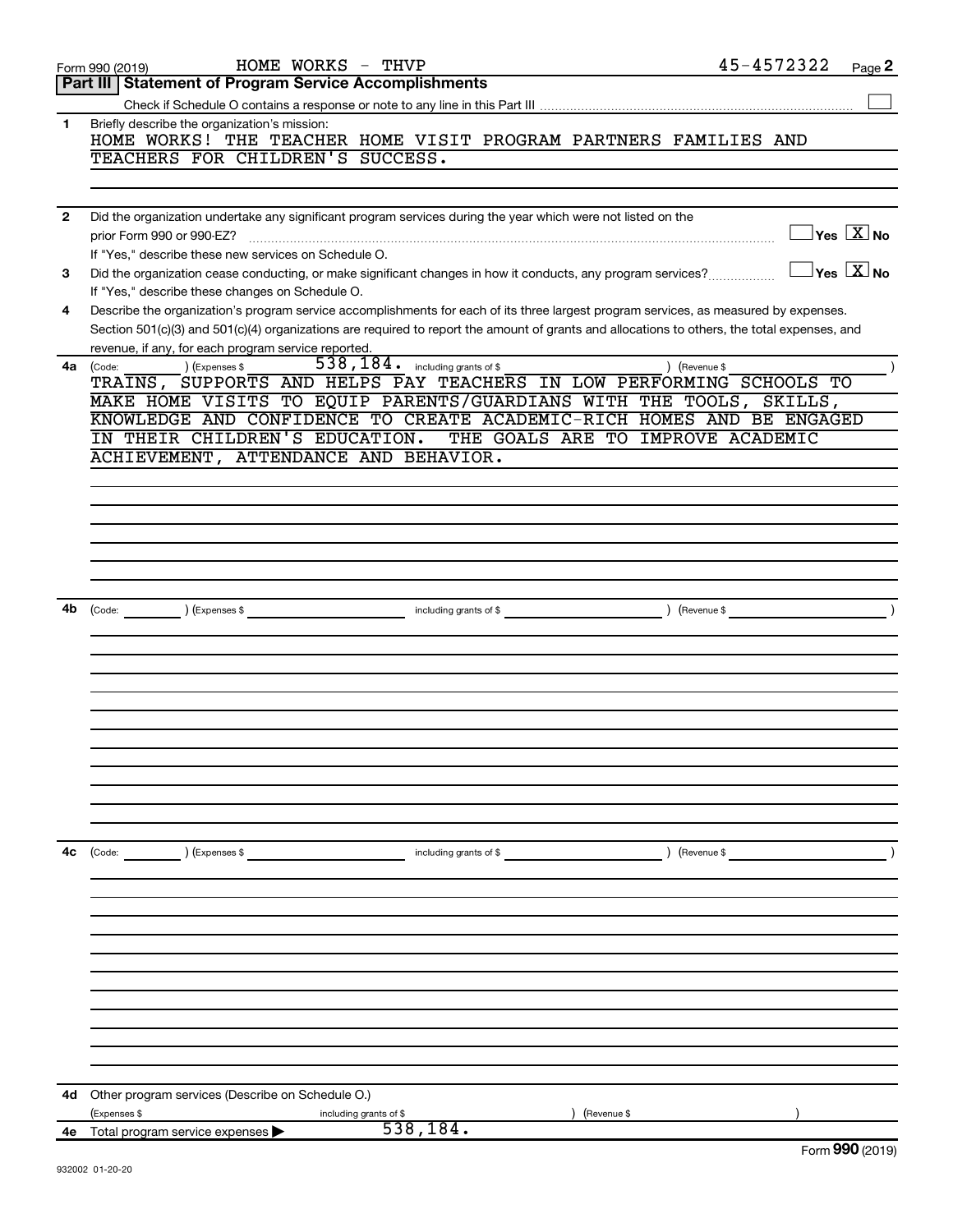|                | HOME WORKS - THVP<br>Form 990 (2019)                                                                                                                            |                                  |                        |             | 45-4572322    |                                  | Page 2          |
|----------------|-----------------------------------------------------------------------------------------------------------------------------------------------------------------|----------------------------------|------------------------|-------------|---------------|----------------------------------|-----------------|
|                | Part III   Statement of Program Service Accomplishments                                                                                                         |                                  |                        |             |               |                                  |                 |
|                |                                                                                                                                                                 |                                  |                        |             |               |                                  |                 |
| $\mathbf 1$    | Briefly describe the organization's mission:<br>HOME WORKS! THE TEACHER HOME VISIT PROGRAM PARTNERS FAMILIES AND                                                |                                  |                        |             |               |                                  |                 |
|                | TEACHERS FOR CHILDREN'S SUCCESS.                                                                                                                                |                                  |                        |             |               |                                  |                 |
| $\overline{2}$ | Did the organization undertake any significant program services during the year which were not listed on the                                                    |                                  |                        |             |               |                                  |                 |
|                | prior Form 990 or 990-EZ?<br>If "Yes," describe these new services on Schedule O.                                                                               |                                  |                        |             |               | $\Box$ Yes $\boxed{\text{X}}$ No |                 |
| 3              | Did the organization cease conducting, or make significant changes in how it conducts, any program services?<br>If "Yes," describe these changes on Schedule O. |                                  |                        |             |               | $\Box$ Yes $\boxed{\text{X}}$ No |                 |
| 4              | Describe the organization's program service accomplishments for each of its three largest program services, as measured by expenses.                            |                                  |                        |             |               |                                  |                 |
|                | Section 501(c)(3) and 501(c)(4) organizations are required to report the amount of grants and allocations to others, the total expenses, and                    |                                  |                        |             |               |                                  |                 |
|                | revenue, if any, for each program service reported.                                                                                                             | 538, 184. including grants of \$ |                        |             |               |                                  |                 |
| 4a             | (Expenses \$<br>(Code:<br>TRAINS, SUPPORTS AND HELPS PAY TEACHERS IN LOW PERFORMING SCHOOLS TO                                                                  |                                  |                        |             | ) (Revenue \$ |                                  |                 |
|                | MAKE HOME VISITS TO EQUIP PARENTS/GUARDIANS WITH THE TOOLS, SKILLS,                                                                                             |                                  |                        |             |               |                                  |                 |
|                | KNOWLEDGE AND CONFIDENCE TO CREATE ACADEMIC-RICH HOMES AND BE ENGAGED                                                                                           |                                  |                        |             |               |                                  |                 |
|                | IN THEIR CHILDREN'S EDUCATION. THE GOALS ARE TO IMPROVE ACADEMIC                                                                                                |                                  |                        |             |               |                                  |                 |
|                | ACHIEVEMENT, ATTENDANCE AND BEHAVIOR.                                                                                                                           |                                  |                        |             |               |                                  |                 |
|                |                                                                                                                                                                 |                                  |                        |             |               |                                  |                 |
|                |                                                                                                                                                                 |                                  |                        |             |               |                                  |                 |
|                |                                                                                                                                                                 |                                  |                        |             |               |                                  |                 |
|                |                                                                                                                                                                 |                                  |                        |             |               |                                  |                 |
|                |                                                                                                                                                                 |                                  |                        |             |               |                                  |                 |
|                |                                                                                                                                                                 |                                  |                        |             |               |                                  |                 |
| 4b             |                                                                                                                                                                 |                                  |                        |             |               |                                  |                 |
|                |                                                                                                                                                                 |                                  |                        |             |               |                                  |                 |
|                |                                                                                                                                                                 |                                  |                        |             |               |                                  |                 |
|                |                                                                                                                                                                 |                                  |                        |             |               |                                  |                 |
|                |                                                                                                                                                                 |                                  |                        |             |               |                                  |                 |
|                |                                                                                                                                                                 |                                  |                        |             |               |                                  |                 |
|                |                                                                                                                                                                 |                                  |                        |             |               |                                  |                 |
|                |                                                                                                                                                                 |                                  |                        |             |               |                                  |                 |
|                |                                                                                                                                                                 |                                  |                        |             |               |                                  |                 |
|                |                                                                                                                                                                 |                                  |                        |             |               |                                  |                 |
|                |                                                                                                                                                                 |                                  |                        |             |               |                                  |                 |
|                |                                                                                                                                                                 |                                  |                        |             |               |                                  |                 |
| 4с             | ) (Expenses \$<br>(Code:                                                                                                                                        |                                  | including grants of \$ |             | (Revenue \$   |                                  |                 |
|                |                                                                                                                                                                 |                                  |                        |             |               |                                  |                 |
|                |                                                                                                                                                                 |                                  |                        |             |               |                                  |                 |
|                |                                                                                                                                                                 |                                  |                        |             |               |                                  |                 |
|                |                                                                                                                                                                 |                                  |                        |             |               |                                  |                 |
|                |                                                                                                                                                                 |                                  |                        |             |               |                                  |                 |
|                |                                                                                                                                                                 |                                  |                        |             |               |                                  |                 |
|                |                                                                                                                                                                 |                                  |                        |             |               |                                  |                 |
|                |                                                                                                                                                                 |                                  |                        |             |               |                                  |                 |
|                |                                                                                                                                                                 |                                  |                        |             |               |                                  |                 |
|                |                                                                                                                                                                 |                                  |                        |             |               |                                  |                 |
| 4d             | Other program services (Describe on Schedule O.)                                                                                                                |                                  |                        |             |               |                                  |                 |
|                | (Expenses \$                                                                                                                                                    | including grants of \$           |                        | (Revenue \$ |               |                                  |                 |
| 4e             | Total program service expenses                                                                                                                                  | 538,184.                         |                        |             |               |                                  |                 |
|                |                                                                                                                                                                 |                                  |                        |             |               |                                  | Form 990 (2019) |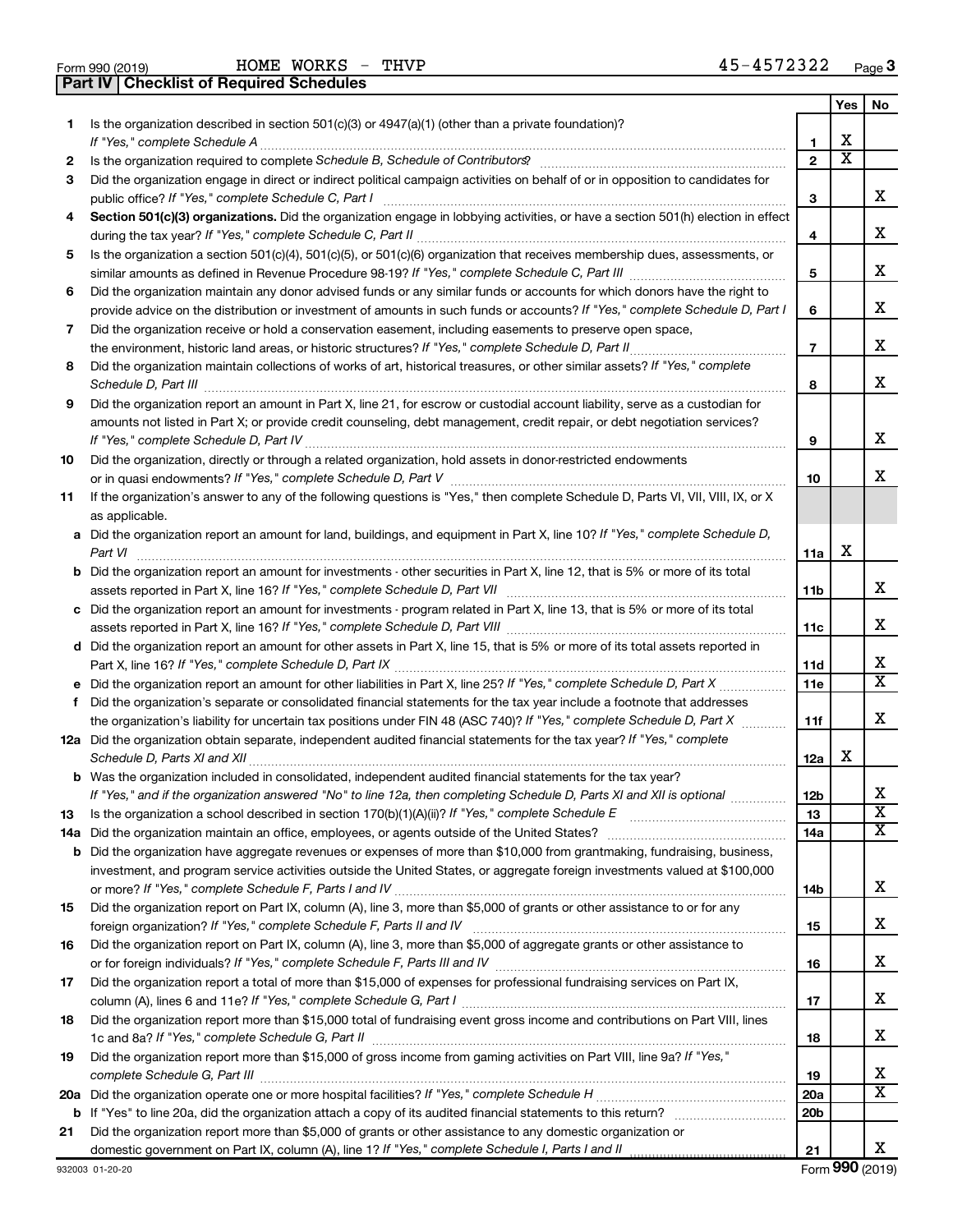| Form 990 (2019) |                                                | HOME WORKS - THVP |  |  |
|-----------------|------------------------------------------------|-------------------|--|--|
|                 | <b>Part IV Checklist of Required Schedules</b> |                   |  |  |

|     | Part IV   Checklist of Required Schedules                                                                                             |                          |                       |                         |
|-----|---------------------------------------------------------------------------------------------------------------------------------------|--------------------------|-----------------------|-------------------------|
|     |                                                                                                                                       |                          | Yes                   | No.                     |
| 1   | Is the organization described in section 501(c)(3) or 4947(a)(1) (other than a private foundation)?                                   |                          |                       |                         |
|     |                                                                                                                                       | 1                        | х                     |                         |
| 2   |                                                                                                                                       | $\mathbf{2}$             | $\overline{\text{x}}$ |                         |
| З   | Did the organization engage in direct or indirect political campaign activities on behalf of or in opposition to candidates for       |                          |                       |                         |
|     |                                                                                                                                       | 3                        |                       | x                       |
| 4   | Section 501(c)(3) organizations. Did the organization engage in lobbying activities, or have a section 501(h) election in effect      |                          |                       |                         |
|     |                                                                                                                                       | 4                        |                       | х                       |
| 5   | Is the organization a section 501(c)(4), 501(c)(5), or 501(c)(6) organization that receives membership dues, assessments, or          |                          |                       |                         |
|     |                                                                                                                                       | 5                        |                       | x                       |
| 6   | Did the organization maintain any donor advised funds or any similar funds or accounts for which donors have the right to             |                          |                       |                         |
|     | provide advice on the distribution or investment of amounts in such funds or accounts? If "Yes," complete Schedule D, Part I          | 6                        |                       | х                       |
| 7   | Did the organization receive or hold a conservation easement, including easements to preserve open space,                             |                          |                       |                         |
|     |                                                                                                                                       | $\overline{\phantom{a}}$ |                       | х                       |
| 8   | Did the organization maintain collections of works of art, historical treasures, or other similar assets? If "Yes," complete          |                          |                       |                         |
|     |                                                                                                                                       | 8                        |                       | x                       |
| 9   | Did the organization report an amount in Part X, line 21, for escrow or custodial account liability, serve as a custodian for         |                          |                       |                         |
|     | amounts not listed in Part X; or provide credit counseling, debt management, credit repair, or debt negotiation services?             |                          |                       |                         |
|     |                                                                                                                                       | 9                        |                       | х                       |
| 10  | Did the organization, directly or through a related organization, hold assets in donor-restricted endowments                          |                          |                       |                         |
|     |                                                                                                                                       | 10                       |                       | x                       |
|     |                                                                                                                                       |                          |                       |                         |
| 11  | If the organization's answer to any of the following questions is "Yes," then complete Schedule D, Parts VI, VII, VIII, IX, or X      |                          |                       |                         |
|     | as applicable.                                                                                                                        |                          |                       |                         |
|     | a Did the organization report an amount for land, buildings, and equipment in Part X, line 10? If "Yes," complete Schedule D,         |                          | X                     |                         |
|     |                                                                                                                                       | 11a                      |                       |                         |
|     | <b>b</b> Did the organization report an amount for investments - other securities in Part X, line 12, that is 5% or more of its total |                          |                       | x                       |
|     |                                                                                                                                       | 11b                      |                       |                         |
|     | c Did the organization report an amount for investments - program related in Part X, line 13, that is 5% or more of its total         |                          |                       |                         |
|     |                                                                                                                                       | 11с                      |                       | x                       |
|     | d Did the organization report an amount for other assets in Part X, line 15, that is 5% or more of its total assets reported in       |                          |                       |                         |
|     |                                                                                                                                       | 11d                      |                       | х                       |
|     |                                                                                                                                       | 11e                      |                       | $\overline{\texttt{x}}$ |
|     | f Did the organization's separate or consolidated financial statements for the tax year include a footnote that addresses             |                          |                       |                         |
|     | the organization's liability for uncertain tax positions under FIN 48 (ASC 740)? If "Yes," complete Schedule D, Part X                | 11f                      |                       | х                       |
|     | 12a Did the organization obtain separate, independent audited financial statements for the tax year? If "Yes," complete               |                          |                       |                         |
|     |                                                                                                                                       | 12a                      | X                     |                         |
|     | <b>b</b> Was the organization included in consolidated, independent audited financial statements for the tax year?                    |                          |                       |                         |
|     | If "Yes," and if the organization answered "No" to line 12a, then completing Schedule D, Parts XI and XII is optional                 | 12b                      |                       | х                       |
| 13  |                                                                                                                                       | 13                       |                       | $\overline{\textbf{x}}$ |
| 14a |                                                                                                                                       | 14a                      |                       | x                       |
|     | <b>b</b> Did the organization have aggregate revenues or expenses of more than \$10,000 from grantmaking, fundraising, business,      |                          |                       |                         |
|     | investment, and program service activities outside the United States, or aggregate foreign investments valued at \$100,000            |                          |                       |                         |
|     |                                                                                                                                       | 14b                      |                       | x                       |
| 15  | Did the organization report on Part IX, column (A), line 3, more than \$5,000 of grants or other assistance to or for any             |                          |                       |                         |
|     |                                                                                                                                       | 15                       |                       | х                       |
| 16  | Did the organization report on Part IX, column (A), line 3, more than \$5,000 of aggregate grants or other assistance to              |                          |                       |                         |
|     |                                                                                                                                       | 16                       |                       | х                       |
| 17  | Did the organization report a total of more than \$15,000 of expenses for professional fundraising services on Part IX,               |                          |                       |                         |
|     |                                                                                                                                       | 17                       |                       | х                       |
| 18  | Did the organization report more than \$15,000 total of fundraising event gross income and contributions on Part VIII, lines          |                          |                       |                         |
|     |                                                                                                                                       | 18                       |                       | х                       |
| 19  | Did the organization report more than \$15,000 of gross income from gaming activities on Part VIII, line 9a? If "Yes,"                |                          |                       |                         |
|     |                                                                                                                                       | 19                       |                       | х                       |
| 20a |                                                                                                                                       | 20a                      |                       | $\overline{\texttt{X}}$ |
| b   |                                                                                                                                       | 20 <sub>b</sub>          |                       |                         |
| 21  | Did the organization report more than \$5,000 of grants or other assistance to any domestic organization or                           |                          |                       |                         |
|     |                                                                                                                                       | 21                       |                       | x                       |
|     |                                                                                                                                       |                          |                       |                         |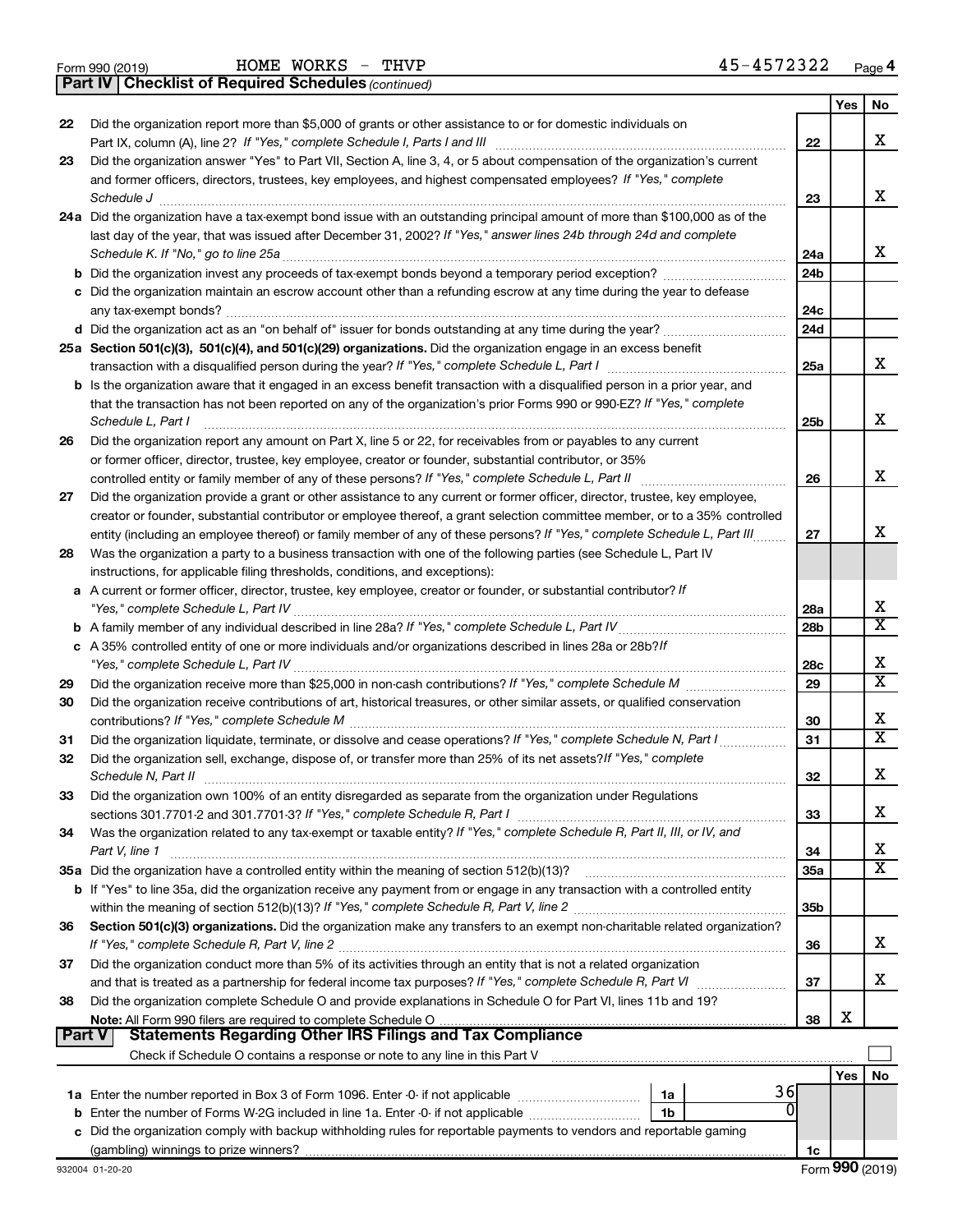|  | Form 990 (2019) |  |
|--|-----------------|--|
|  |                 |  |

*(continued)* **Part IV Checklist of Required Schedules**

|               |                                                                                                                                                                                                                                                            |                 | Yes | No                      |
|---------------|------------------------------------------------------------------------------------------------------------------------------------------------------------------------------------------------------------------------------------------------------------|-----------------|-----|-------------------------|
| 22            | Did the organization report more than \$5,000 of grants or other assistance to or for domestic individuals on                                                                                                                                              |                 |     |                         |
|               |                                                                                                                                                                                                                                                            | 22              |     | x                       |
| 23            | Did the organization answer "Yes" to Part VII, Section A, line 3, 4, or 5 about compensation of the organization's current                                                                                                                                 |                 |     |                         |
|               | and former officers, directors, trustees, key employees, and highest compensated employees? If "Yes," complete                                                                                                                                             |                 |     |                         |
|               | Schedule J                                                                                                                                                                                                                                                 | 23              |     | x                       |
|               | 24a Did the organization have a tax-exempt bond issue with an outstanding principal amount of more than \$100,000 as of the                                                                                                                                |                 |     |                         |
|               | last day of the year, that was issued after December 31, 2002? If "Yes," answer lines 24b through 24d and complete                                                                                                                                         |                 |     |                         |
|               | Schedule K. If "No," go to line 25a                                                                                                                                                                                                                        | 24a             |     | x                       |
|               |                                                                                                                                                                                                                                                            | 24 <sub>b</sub> |     |                         |
|               | c Did the organization maintain an escrow account other than a refunding escrow at any time during the year to defease                                                                                                                                     |                 |     |                         |
|               | any tax-exempt bonds?                                                                                                                                                                                                                                      | 24c             |     |                         |
|               |                                                                                                                                                                                                                                                            | 24d             |     |                         |
|               | 25a Section 501(c)(3), 501(c)(4), and 501(c)(29) organizations. Did the organization engage in an excess benefit                                                                                                                                           |                 |     |                         |
|               |                                                                                                                                                                                                                                                            | 25a             |     | x                       |
|               | <b>b</b> Is the organization aware that it engaged in an excess benefit transaction with a disqualified person in a prior year, and                                                                                                                        |                 |     |                         |
|               | that the transaction has not been reported on any of the organization's prior Forms 990 or 990-EZ? If "Yes," complete                                                                                                                                      |                 |     | х                       |
|               | Schedule L, Part I                                                                                                                                                                                                                                         | 25b             |     |                         |
| 26            | Did the organization report any amount on Part X, line 5 or 22, for receivables from or payables to any current                                                                                                                                            |                 |     |                         |
|               | or former officer, director, trustee, key employee, creator or founder, substantial contributor, or 35%                                                                                                                                                    |                 |     | x                       |
|               | controlled entity or family member of any of these persons? If "Yes," complete Schedule L, Part II                                                                                                                                                         | 26              |     |                         |
| 27            | Did the organization provide a grant or other assistance to any current or former officer, director, trustee, key employee,<br>creator or founder, substantial contributor or employee thereof, a grant selection committee member, or to a 35% controlled |                 |     |                         |
|               | entity (including an employee thereof) or family member of any of these persons? If "Yes," complete Schedule L, Part III                                                                                                                                   | 27              |     | x                       |
| 28            | Was the organization a party to a business transaction with one of the following parties (see Schedule L, Part IV                                                                                                                                          |                 |     |                         |
|               | instructions, for applicable filing thresholds, conditions, and exceptions):                                                                                                                                                                               |                 |     |                         |
|               | a A current or former officer, director, trustee, key employee, creator or founder, or substantial contributor? If                                                                                                                                         |                 |     |                         |
|               |                                                                                                                                                                                                                                                            | 28a             |     | х                       |
|               |                                                                                                                                                                                                                                                            | 28 <sub>b</sub> |     | X                       |
|               | c A 35% controlled entity of one or more individuals and/or organizations described in lines 28a or 28b?If                                                                                                                                                 |                 |     |                         |
|               |                                                                                                                                                                                                                                                            | 28c             |     | х                       |
| 29            |                                                                                                                                                                                                                                                            | 29              |     | $\overline{\text{x}}$   |
| 30            | Did the organization receive contributions of art, historical treasures, or other similar assets, or qualified conservation                                                                                                                                |                 |     |                         |
|               |                                                                                                                                                                                                                                                            | 30              |     | х                       |
| 31            | Did the organization liquidate, terminate, or dissolve and cease operations? If "Yes," complete Schedule N, Part I                                                                                                                                         | 31              |     | $\overline{\textbf{X}}$ |
| 32            | Did the organization sell, exchange, dispose of, or transfer more than 25% of its net assets? If "Yes," complete                                                                                                                                           |                 |     |                         |
|               | Schedule N, Part II                                                                                                                                                                                                                                        | 32              |     | х                       |
| 33            | Did the organization own 100% of an entity disregarded as separate from the organization under Regulations                                                                                                                                                 |                 |     |                         |
|               |                                                                                                                                                                                                                                                            | 33              |     | х                       |
| 34            | Was the organization related to any tax-exempt or taxable entity? If "Yes," complete Schedule R, Part II, III, or IV, and                                                                                                                                  |                 |     |                         |
|               | Part V, line 1                                                                                                                                                                                                                                             | 34              |     | х                       |
|               |                                                                                                                                                                                                                                                            | 35a             |     | $\overline{\text{X}}$   |
|               | b If "Yes" to line 35a, did the organization receive any payment from or engage in any transaction with a controlled entity                                                                                                                                |                 |     |                         |
|               |                                                                                                                                                                                                                                                            | 35 <sub>b</sub> |     |                         |
| 36            | Section 501(c)(3) organizations. Did the organization make any transfers to an exempt non-charitable related organization?                                                                                                                                 |                 |     |                         |
|               |                                                                                                                                                                                                                                                            | 36              |     | х                       |
| 37            | Did the organization conduct more than 5% of its activities through an entity that is not a related organization                                                                                                                                           |                 |     |                         |
|               | and that is treated as a partnership for federal income tax purposes? If "Yes," complete Schedule R, Part VI                                                                                                                                               | 37              |     | x                       |
| 38            | Did the organization complete Schedule O and provide explanations in Schedule O for Part VI, lines 11b and 19?                                                                                                                                             |                 |     |                         |
|               |                                                                                                                                                                                                                                                            | 38              | X   |                         |
| <b>Part V</b> | <b>Statements Regarding Other IRS Filings and Tax Compliance</b>                                                                                                                                                                                           |                 |     |                         |
|               |                                                                                                                                                                                                                                                            |                 |     |                         |
|               |                                                                                                                                                                                                                                                            |                 | Yes | No                      |
|               | 36<br>1a<br>$\Omega$                                                                                                                                                                                                                                       |                 |     |                         |
|               | <b>b</b> Enter the number of Forms W-2G included in line 1a. Enter -0- if not applicable<br>1b                                                                                                                                                             |                 |     |                         |
|               | c Did the organization comply with backup withholding rules for reportable payments to vendors and reportable gaming                                                                                                                                       |                 |     |                         |
|               |                                                                                                                                                                                                                                                            | 1c              |     |                         |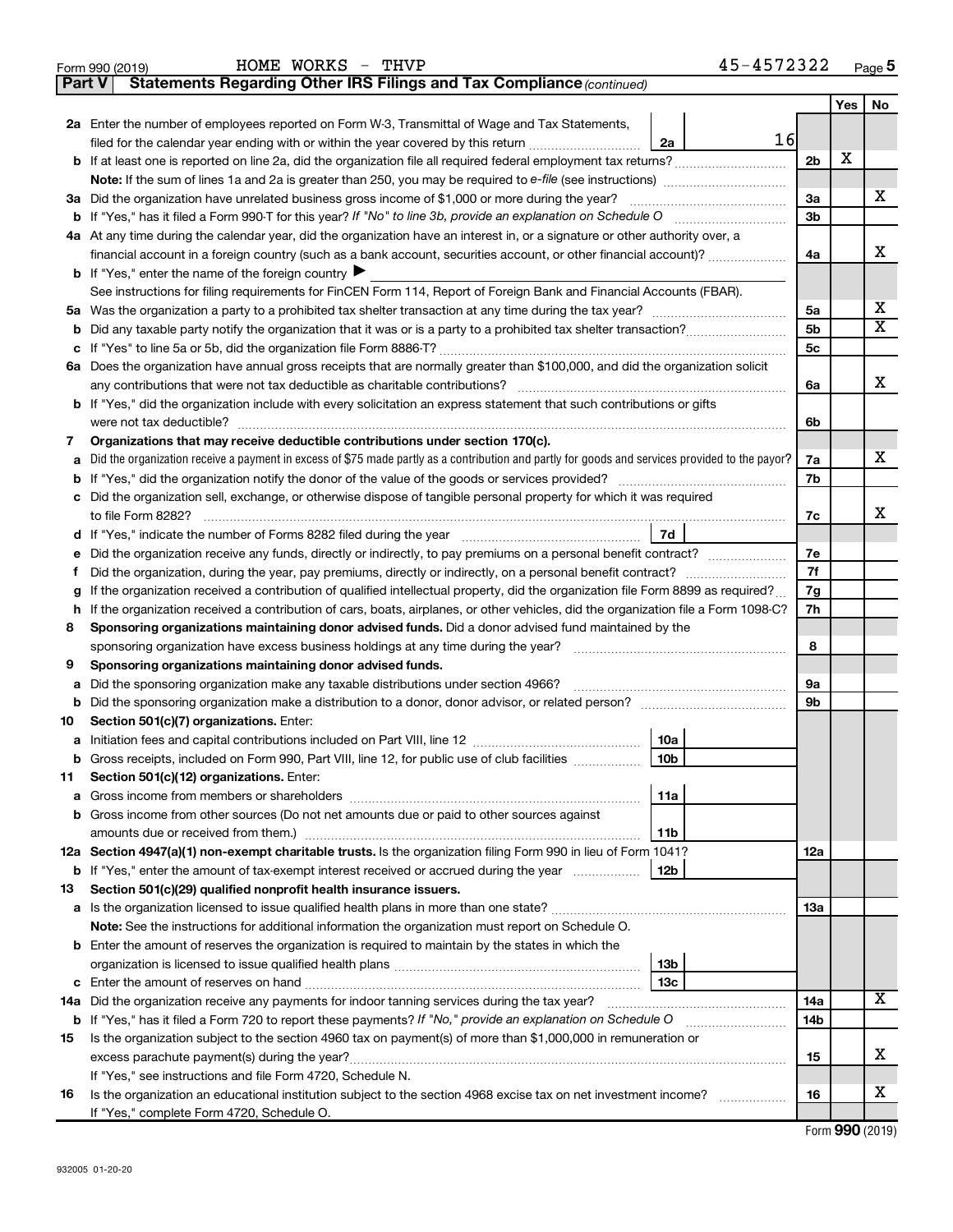|               | 45-4572322<br>HOME WORKS - THVP<br>Form 990 (2019)                                                                                              |                |            | Page 5                |
|---------------|-------------------------------------------------------------------------------------------------------------------------------------------------|----------------|------------|-----------------------|
| <b>Part V</b> | Statements Regarding Other IRS Filings and Tax Compliance (continued)                                                                           |                |            |                       |
|               |                                                                                                                                                 |                | <b>Yes</b> | No                    |
|               | 2a Enter the number of employees reported on Form W-3, Transmittal of Wage and Tax Statements,                                                  |                |            |                       |
|               | 16<br>filed for the calendar year ending with or within the year covered by this return<br>2a                                                   |                |            |                       |
|               |                                                                                                                                                 | 2 <sub>b</sub> | X          |                       |
|               |                                                                                                                                                 |                |            |                       |
|               | 3a Did the organization have unrelated business gross income of \$1,000 or more during the year?                                                | За             |            | х                     |
|               |                                                                                                                                                 | 3 <sub>b</sub> |            |                       |
|               | 4a At any time during the calendar year, did the organization have an interest in, or a signature or other authority over, a                    |                |            |                       |
|               | financial account in a foreign country (such as a bank account, securities account, or other financial account)?                                | 4a             |            | х                     |
|               | <b>b</b> If "Yes," enter the name of the foreign country $\blacktriangleright$                                                                  |                |            |                       |
|               | See instructions for filing requirements for FinCEN Form 114, Report of Foreign Bank and Financial Accounts (FBAR).                             |                |            | х                     |
|               |                                                                                                                                                 | 5a<br>5b       |            | $\overline{\text{X}}$ |
|               |                                                                                                                                                 | 5с             |            |                       |
|               | 6a Does the organization have annual gross receipts that are normally greater than \$100,000, and did the organization solicit                  |                |            |                       |
|               | any contributions that were not tax deductible as charitable contributions?                                                                     | 6a             |            | x                     |
|               | <b>b</b> If "Yes," did the organization include with every solicitation an express statement that such contributions or gifts                   |                |            |                       |
|               | were not tax deductible?                                                                                                                        | 6b             |            |                       |
| 7             | Organizations that may receive deductible contributions under section 170(c).                                                                   |                |            |                       |
| а             | Did the organization receive a payment in excess of \$75 made partly as a contribution and partly for goods and services provided to the payor? | 7a             |            | x                     |
|               |                                                                                                                                                 | 7b             |            |                       |
|               | c Did the organization sell, exchange, or otherwise dispose of tangible personal property for which it was required                             |                |            |                       |
|               |                                                                                                                                                 | 7c             |            | х                     |
|               | 7d                                                                                                                                              |                |            |                       |
| е             | Did the organization receive any funds, directly or indirectly, to pay premiums on a personal benefit contract?                                 | 7e             |            |                       |
| Ť             | Did the organization, during the year, pay premiums, directly or indirectly, on a personal benefit contract?                                    | 7f             |            |                       |
| g             | If the organization received a contribution of qualified intellectual property, did the organization file Form 8899 as required?                | 7g             |            |                       |
|               | h If the organization received a contribution of cars, boats, airplanes, or other vehicles, did the organization file a Form 1098-C?            | 7h             |            |                       |
| 8             | Sponsoring organizations maintaining donor advised funds. Did a donor advised fund maintained by the                                            |                |            |                       |
|               | sponsoring organization have excess business holdings at any time during the year?                                                              | 8              |            |                       |
| 9             | Sponsoring organizations maintaining donor advised funds.                                                                                       |                |            |                       |
| а             | Did the sponsoring organization make any taxable distributions under section 4966?                                                              | 9а             |            |                       |
|               |                                                                                                                                                 | 9b             |            |                       |
| 10            | Section 501(c)(7) organizations. Enter:                                                                                                         |                |            |                       |
|               | 10a                                                                                                                                             |                |            |                       |
|               | b Gross receipts, included on Form 990, Part VIII, line 12, for public use of club facilities<br>10 <sub>b</sub>                                |                |            |                       |
| 11            | Section 501(c)(12) organizations. Enter:<br>11a                                                                                                 |                |            |                       |
|               | b Gross income from other sources (Do not net amounts due or paid to other sources against                                                      |                |            |                       |
|               | 11b                                                                                                                                             |                |            |                       |
|               | 12a Section 4947(a)(1) non-exempt charitable trusts. Is the organization filing Form 990 in lieu of Form 1041?                                  | 12a            |            |                       |
|               | <b>b</b> If "Yes," enter the amount of tax-exempt interest received or accrued during the year<br>12b                                           |                |            |                       |
| 13            | Section 501(c)(29) qualified nonprofit health insurance issuers.                                                                                |                |            |                       |
|               |                                                                                                                                                 | 13a            |            |                       |
|               | Note: See the instructions for additional information the organization must report on Schedule O.                                               |                |            |                       |
|               | <b>b</b> Enter the amount of reserves the organization is required to maintain by the states in which the                                       |                |            |                       |
|               | 13 <sub>b</sub>                                                                                                                                 |                |            |                       |
|               | 13 <sub>c</sub>                                                                                                                                 |                |            |                       |
|               | 14a Did the organization receive any payments for indoor tanning services during the tax year?                                                  | 14a            |            | X                     |
|               | b If "Yes," has it filed a Form 720 to report these payments? If "No," provide an explanation on Schedule O                                     | 14b            |            |                       |
| 15            | Is the organization subject to the section 4960 tax on payment(s) of more than \$1,000,000 in remuneration or                                   |                |            |                       |
|               |                                                                                                                                                 | 15             |            | х                     |
|               | If "Yes," see instructions and file Form 4720, Schedule N.                                                                                      |                |            |                       |
| 16            | Is the organization an educational institution subject to the section 4968 excise tax on net investment income?                                 | 16             |            | х                     |
|               | If "Yes," complete Form 4720, Schedule O.                                                                                                       |                |            |                       |

| Form 990 (2019) |  |
|-----------------|--|
|-----------------|--|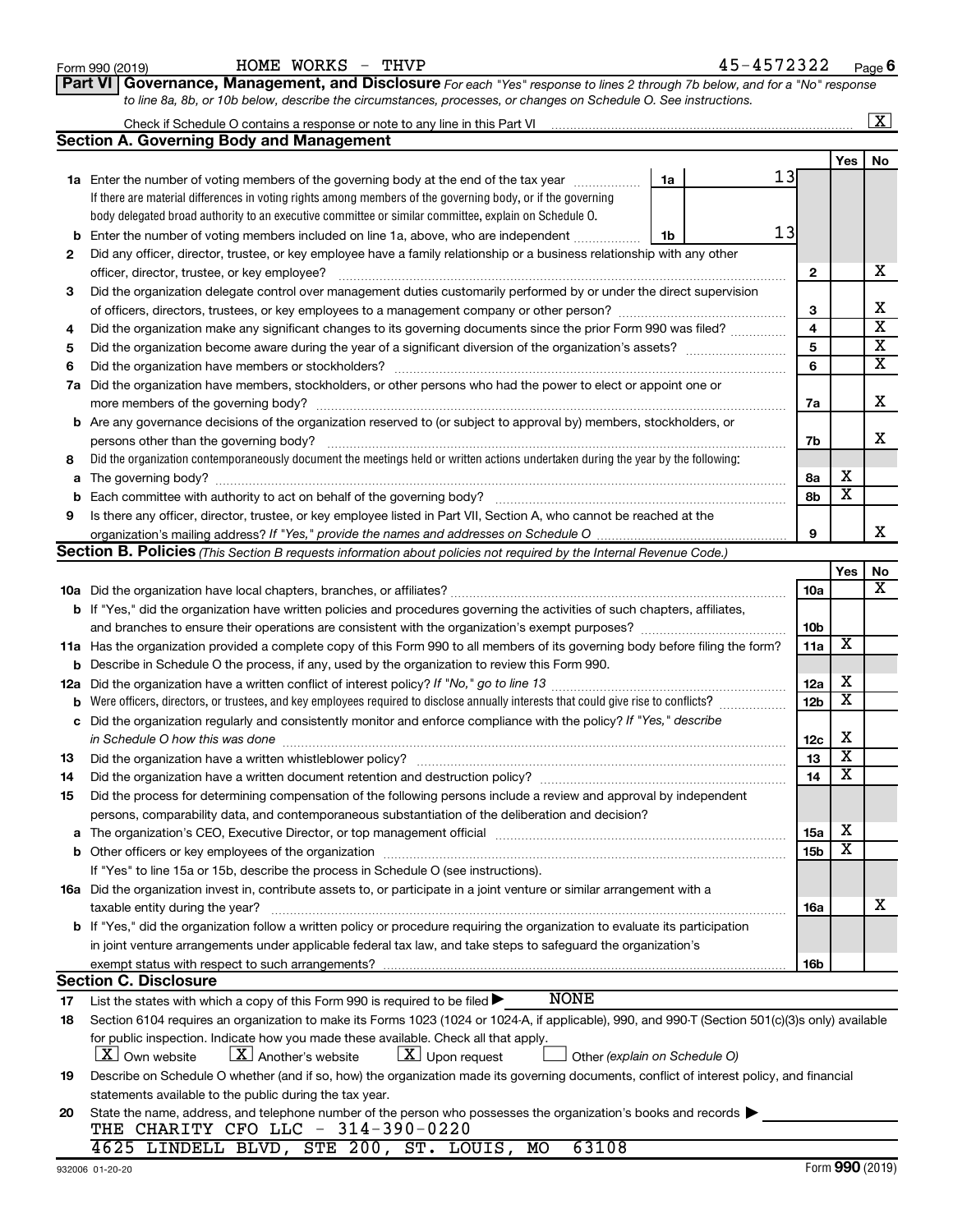|    | to line 8a, 8b, or 10b below, describe the circumstances, processes, or changes on Schedule O. See instructions.                                 |                 |                         |                         |
|----|--------------------------------------------------------------------------------------------------------------------------------------------------|-----------------|-------------------------|-------------------------|
|    |                                                                                                                                                  |                 |                         | $\boxed{\textbf{X}}$    |
|    | <b>Section A. Governing Body and Management</b>                                                                                                  |                 |                         |                         |
|    |                                                                                                                                                  |                 | Yes                     | No                      |
|    | 13<br>1a<br>1a Enter the number of voting members of the governing body at the end of the tax year                                               |                 |                         |                         |
|    | If there are material differences in voting rights among members of the governing body, or if the governing                                      |                 |                         |                         |
|    | body delegated broad authority to an executive committee or similar committee, explain on Schedule O.                                            |                 |                         |                         |
|    | 13<br><b>b</b> Enter the number of voting members included on line 1a, above, who are independent<br>1b                                          |                 |                         |                         |
| 2  | Did any officer, director, trustee, or key employee have a family relationship or a business relationship with any other                         |                 |                         |                         |
|    |                                                                                                                                                  | $\mathbf{2}$    |                         | х                       |
| 3  | Did the organization delegate control over management duties customarily performed by or under the direct supervision                            |                 |                         |                         |
|    |                                                                                                                                                  | 3               |                         | х                       |
| 4  | Did the organization make any significant changes to its governing documents since the prior Form 990 was filed?                                 | 4               |                         | $\overline{\textbf{x}}$ |
| 5  |                                                                                                                                                  | 5               |                         | $\overline{\textbf{x}}$ |
| 6  |                                                                                                                                                  | 6               |                         | $\overline{\mathbf{x}}$ |
|    | 7a Did the organization have members, stockholders, or other persons who had the power to elect or appoint one or                                |                 |                         |                         |
|    |                                                                                                                                                  | 7a              |                         | х                       |
|    | <b>b</b> Are any governance decisions of the organization reserved to (or subject to approval by) members, stockholders, or                      |                 |                         |                         |
|    | persons other than the governing body?                                                                                                           | 7b              |                         | x                       |
| 8  | Did the organization contemporaneously document the meetings held or written actions undertaken during the year by the following:                |                 |                         |                         |
|    |                                                                                                                                                  | 8a              | х                       |                         |
|    |                                                                                                                                                  | 8b              | $\overline{\mathbf{x}}$ |                         |
| 9  | Is there any officer, director, trustee, or key employee listed in Part VII, Section A, who cannot be reached at the                             |                 |                         |                         |
|    |                                                                                                                                                  | 9               |                         | x                       |
|    | Section B. Policies (This Section B requests information about policies not required by the Internal Revenue Code.)                              |                 |                         |                         |
|    |                                                                                                                                                  |                 | Yes                     | No                      |
|    |                                                                                                                                                  | 10a             |                         | х                       |
|    | <b>b</b> If "Yes," did the organization have written policies and procedures governing the activities of such chapters, affiliates,              |                 |                         |                         |
|    | and branches to ensure their operations are consistent with the organization's exempt purposes?                                                  | 10 <sub>b</sub> |                         |                         |
|    | 11a Has the organization provided a complete copy of this Form 990 to all members of its governing body before filing the form?                  | 11a             | X                       |                         |
|    | <b>b</b> Describe in Schedule O the process, if any, used by the organization to review this Form 990.                                           |                 |                         |                         |
|    |                                                                                                                                                  | 12a             | х                       |                         |
|    | <b>b</b> Were officers, directors, or trustees, and key employees required to disclose annually interests that could give rise to conflicts?     | 12 <sub>b</sub> | $\overline{\mathbf{x}}$ |                         |
|    | c Did the organization regularly and consistently monitor and enforce compliance with the policy? If "Yes," describe                             |                 |                         |                         |
|    | in Schedule O how this was done manufactured and continuum and contact the state of the state of the state of                                    | 12c             | х                       |                         |
| 13 |                                                                                                                                                  | 13              | $\overline{\mathbf{x}}$ |                         |
| 14 | Did the organization have a written document retention and destruction policy? [11] manufaction manufaction in                                   | 14              | $\overline{\textbf{x}}$ |                         |
| 15 | Did the process for determining compensation of the following persons include a review and approval by independent                               |                 |                         |                         |
|    | persons, comparability data, and contemporaneous substantiation of the deliberation and decision?                                                |                 |                         |                         |
| a  |                                                                                                                                                  | 15a             | х                       |                         |
|    |                                                                                                                                                  | 15 <sub>b</sub> | $\overline{\mathbf{x}}$ |                         |
|    | If "Yes" to line 15a or 15b, describe the process in Schedule O (see instructions).                                                              |                 |                         |                         |
|    | 16a Did the organization invest in, contribute assets to, or participate in a joint venture or similar arrangement with a                        |                 |                         |                         |
|    | taxable entity during the year?                                                                                                                  | <b>16a</b>      |                         | х                       |
|    | b If "Yes," did the organization follow a written policy or procedure requiring the organization to evaluate its participation                   |                 |                         |                         |
|    | in joint venture arrangements under applicable federal tax law, and take steps to safeguard the organization's                                   |                 |                         |                         |
|    | exempt status with respect to such arrangements?<br><b>Section C. Disclosure</b>                                                                 | 16b             |                         |                         |
| 17 | <b>NONE</b><br>List the states with which a copy of this Form 990 is required to be filed $\blacktriangleright$                                  |                 |                         |                         |
| 18 | Section 6104 requires an organization to make its Forms 1023 (1024 or 1024-A, if applicable), 990, and 990-T (Section 501(c)(3)s only) available |                 |                         |                         |
|    | for public inspection. Indicate how you made these available. Check all that apply.                                                              |                 |                         |                         |
|    | $\lfloor x \rfloor$ Another's website<br>$\lfloor \underline{X} \rfloor$ Upon request<br><b>X</b> Own website<br>Other (explain on Schedule O)   |                 |                         |                         |
| 19 | Describe on Schedule O whether (and if so, how) the organization made its governing documents, conflict of interest policy, and financial        |                 |                         |                         |
|    | statements available to the public during the tax year.                                                                                          |                 |                         |                         |
| 20 | State the name, address, and telephone number of the person who possesses the organization's books and records                                   |                 |                         |                         |
|    | THE CHARITY CFO LLC - 314-390-0220                                                                                                               |                 |                         |                         |
|    | 4625 LINDELL BLVD, STE 200, ST. LOUIS, MO<br>63108                                                                                               |                 |                         |                         |
|    |                                                                                                                                                  |                 |                         |                         |

**Part VI** Governance, Management, and Disclosure For each "Yes" response to lines 2 through 7b below, and for a "No" response

Form 990 (2019) Page HOME WORKS - THVP 45-4572322

**6**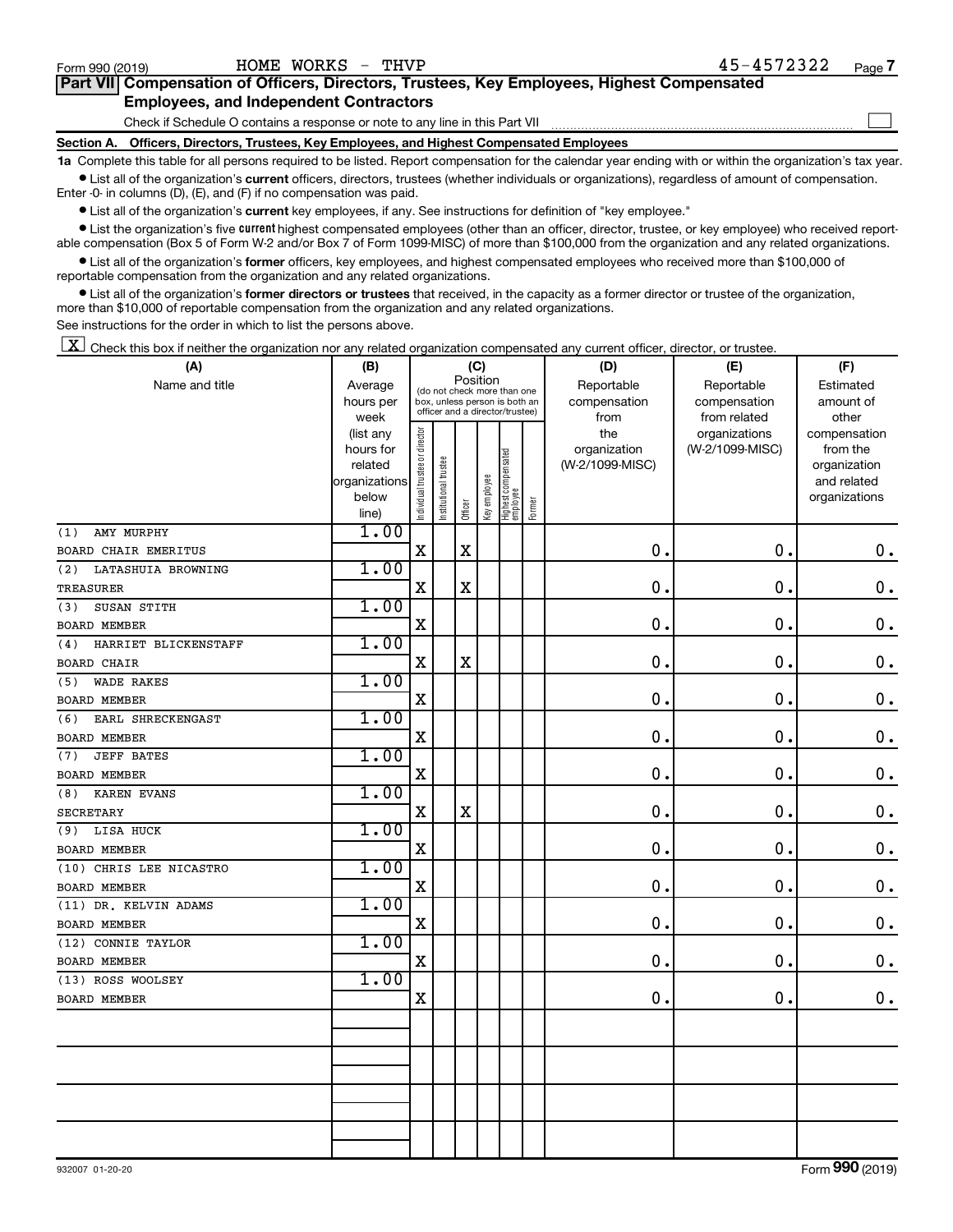$\Box$ 

| Part VII Compensation of Officers, Directors, Trustees, Key Employees, Highest Compensated |
|--------------------------------------------------------------------------------------------|
| <b>Employees, and Independent Contractors</b>                                              |

Check if Schedule O contains a response or note to any line in this Part VII

**Section A. Officers, Directors, Trustees, Key Employees, and Highest Compensated Employees**

**1a**  Complete this table for all persons required to be listed. Report compensation for the calendar year ending with or within the organization's tax year.  $\bullet$  List all of the organization's current officers, directors, trustees (whether individuals or organizations), regardless of amount of compensation.

Enter -0- in columns (D), (E), and (F) if no compensation was paid.

**•** List all of the organization's current key employees, if any. See instructions for definition of "key employee."

• List the organization's five *current* highest compensated employees (other than an officer, director, trustee, or key employee) who received reportable compensation (Box 5 of Form W-2 and/or Box 7 of Form 1099-MISC) of more than \$100,000 from the organization and any related organizations.

 $\bullet$  List all of the organization's former officers, key employees, and highest compensated employees who received more than \$100,000 of reportable compensation from the organization and any related organizations.

**•** List all of the organization's former directors or trustees that received, in the capacity as a former director or trustee of the organization, more than \$10,000 of reportable compensation from the organization and any related organizations.

See instructions for the order in which to list the persons above.

 $\boxed{\textbf{X}}$  Check this box if neither the organization nor any related organization compensated any current officer, director, or trustee.

| (A)                         | (B)            | (C)                            |                                                                  |             |              |                                 |        | (D)             | (E)             | (F)           |  |  |
|-----------------------------|----------------|--------------------------------|------------------------------------------------------------------|-------------|--------------|---------------------------------|--------|-----------------|-----------------|---------------|--|--|
| Name and title              | Average        |                                | (do not check more than one                                      | Position    |              |                                 |        | Reportable      | Reportable      | Estimated     |  |  |
|                             | hours per      |                                | box, unless person is both an<br>officer and a director/trustee) |             |              |                                 |        | compensation    | compensation    | amount of     |  |  |
|                             | week           |                                |                                                                  |             |              |                                 |        | from            | from related    | other         |  |  |
|                             | (list any      |                                |                                                                  |             |              |                                 |        | the             | organizations   | compensation  |  |  |
|                             | hours for      |                                |                                                                  |             |              |                                 |        | organization    | (W-2/1099-MISC) | from the      |  |  |
|                             | related        |                                |                                                                  |             |              |                                 |        | (W-2/1099-MISC) |                 | organization  |  |  |
|                             | organizations  |                                |                                                                  |             |              |                                 |        |                 |                 | and related   |  |  |
|                             | below<br>line) | Individual trustee or director | Institutional trustee                                            | Officer     | Key employee | Highest compensated<br>employee | Former |                 |                 | organizations |  |  |
| AMY MURPHY<br>(1)           | 1.00           |                                |                                                                  |             |              |                                 |        |                 |                 |               |  |  |
| BOARD CHAIR EMERITUS        |                | $\mathbf X$                    |                                                                  | $\mathbf X$ |              |                                 |        | 0.              | $\mathbf 0$ .   | $\mathbf 0$ . |  |  |
| (2)<br>LATASHUIA BROWNING   | 1.00           |                                |                                                                  |             |              |                                 |        |                 |                 |               |  |  |
| <b>TREASURER</b>            |                | $\mathbf X$                    |                                                                  | $\mathbf X$ |              |                                 |        | 0.              | $\mathbf 0$ .   | $\mathbf 0$ . |  |  |
| SUSAN STITH<br>(3)          | 1.00           |                                |                                                                  |             |              |                                 |        |                 |                 |               |  |  |
| <b>BOARD MEMBER</b>         |                | $\mathbf X$                    |                                                                  |             |              |                                 |        | 0.              | 0.              | $\mathbf 0$ . |  |  |
| HARRIET BLICKENSTAFF<br>(4) | 1.00           |                                |                                                                  |             |              |                                 |        |                 |                 |               |  |  |
| <b>BOARD CHAIR</b>          |                | $\mathbf X$                    |                                                                  | $\mathbf X$ |              |                                 |        | 0.              | $\mathbf 0$ .   | $\mathbf 0$ . |  |  |
| <b>WADE RAKES</b><br>(5)    | 1.00           |                                |                                                                  |             |              |                                 |        |                 |                 |               |  |  |
| <b>BOARD MEMBER</b>         |                | $\mathbf X$                    |                                                                  |             |              |                                 |        | 0.              | 0.              | $\mathbf 0$ . |  |  |
| (6)<br>EARL SHRECKENGAST    | 1.00           |                                |                                                                  |             |              |                                 |        |                 |                 |               |  |  |
| <b>BOARD MEMBER</b>         |                | $\mathbf X$                    |                                                                  |             |              |                                 |        | $\mathbf 0$     | 0.              | $\mathbf 0$ . |  |  |
| <b>JEFF BATES</b><br>(7)    | 1.00           |                                |                                                                  |             |              |                                 |        |                 |                 |               |  |  |
| BOARD MEMBER                |                | $\rm X$                        |                                                                  |             |              |                                 |        | $\mathbf 0$ .   | $\mathbf 0$ .   | $0$ .         |  |  |
| <b>KAREN EVANS</b><br>(8)   | 1.00           |                                |                                                                  |             |              |                                 |        |                 |                 |               |  |  |
| <b>SECRETARY</b>            |                | $\mathbf X$                    |                                                                  | $\mathbf X$ |              |                                 |        | 0.              | $\mathbf 0$ .   | $\mathbf 0$ . |  |  |
| LISA HUCK<br>(9)            | 1.00           |                                |                                                                  |             |              |                                 |        |                 |                 |               |  |  |
| <b>BOARD MEMBER</b>         |                | $\mathbf X$                    |                                                                  |             |              |                                 |        | 0.              | $\mathbf 0$ .   | $\mathbf 0$ . |  |  |
| (10) CHRIS LEE NICASTRO     | 1.00           |                                |                                                                  |             |              |                                 |        |                 |                 |               |  |  |
| <b>BOARD MEMBER</b>         |                | X                              |                                                                  |             |              |                                 |        | 0               | $\mathbf 0$ .   | $\mathbf 0$ . |  |  |
| (11) DR. KELVIN ADAMS       | 1.00           |                                |                                                                  |             |              |                                 |        |                 |                 |               |  |  |
| <b>BOARD MEMBER</b>         |                | $\mathbf X$                    |                                                                  |             |              |                                 |        | $\mathbf 0$     | $\mathbf 0$ .   | $\mathbf 0$ . |  |  |
| (12) CONNIE TAYLOR          | 1.00           |                                |                                                                  |             |              |                                 |        |                 |                 |               |  |  |
| <b>BOARD MEMBER</b>         |                | X                              |                                                                  |             |              |                                 |        | 0               | $\mathbf 0$ .   | $\mathbf 0$ . |  |  |
| (13) ROSS WOOLSEY           | 1.00           |                                |                                                                  |             |              |                                 |        |                 |                 |               |  |  |
| <b>BOARD MEMBER</b>         |                | $\mathbf X$                    |                                                                  |             |              |                                 |        | $\mathbf 0$ .   | $\mathbf 0$ .   | $0$ .         |  |  |
|                             |                |                                |                                                                  |             |              |                                 |        |                 |                 |               |  |  |
|                             |                |                                |                                                                  |             |              |                                 |        |                 |                 |               |  |  |
|                             |                |                                |                                                                  |             |              |                                 |        |                 |                 |               |  |  |
|                             |                |                                |                                                                  |             |              |                                 |        |                 |                 |               |  |  |
|                             |                |                                |                                                                  |             |              |                                 |        |                 |                 |               |  |  |
|                             |                |                                |                                                                  |             |              |                                 |        |                 |                 |               |  |  |
|                             |                |                                |                                                                  |             |              |                                 |        |                 |                 |               |  |  |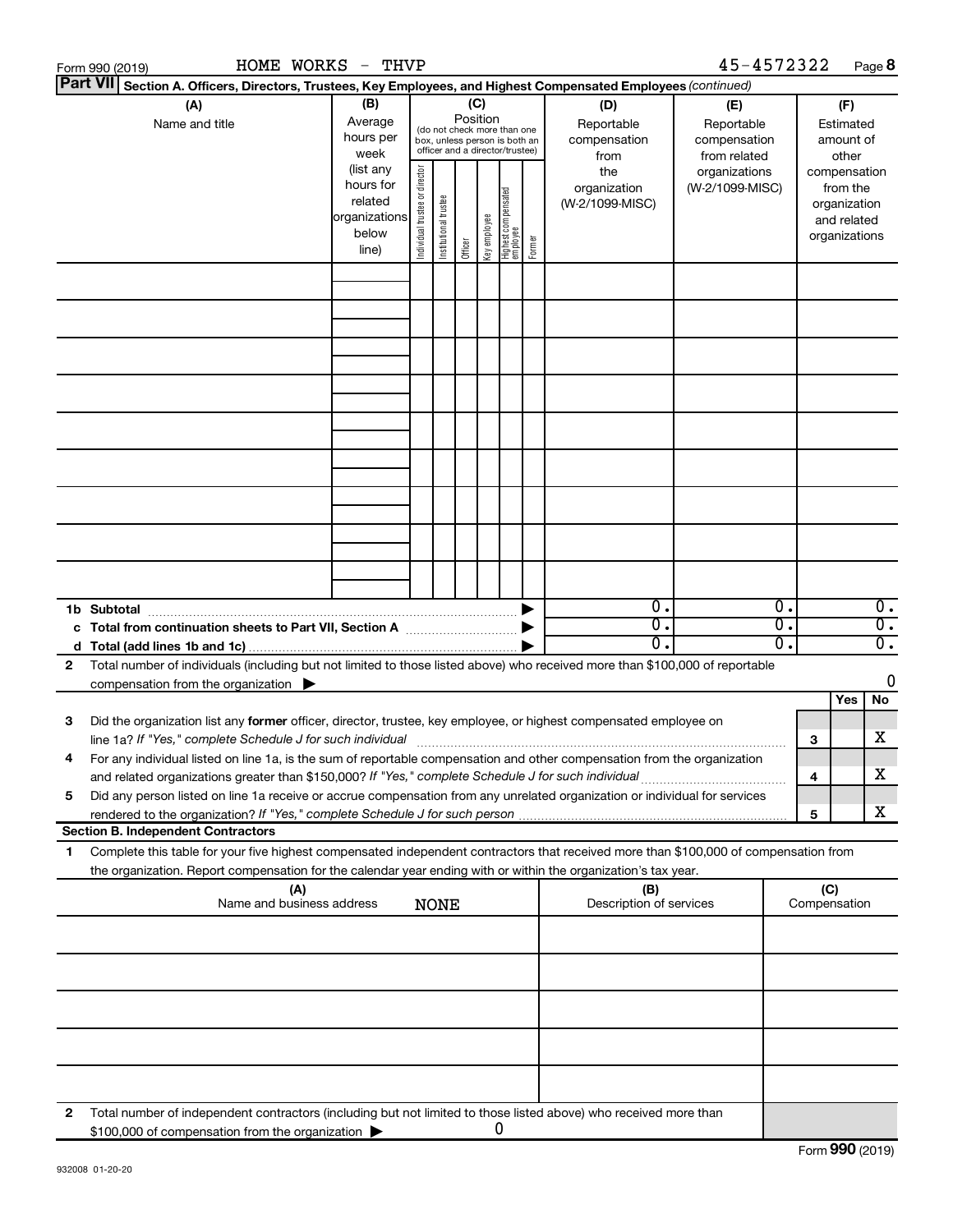|                 | HOME WORKS<br>Form 990 (2019)                                                                                                                                                                                                     | - THVP                                                  |                       |                                                                                                 |         |              |                                   |        |                                                  | 45-4572322                                                         |          |                                                          | Page 8                                                 |
|-----------------|-----------------------------------------------------------------------------------------------------------------------------------------------------------------------------------------------------------------------------------|---------------------------------------------------------|-----------------------|-------------------------------------------------------------------------------------------------|---------|--------------|-----------------------------------|--------|--------------------------------------------------|--------------------------------------------------------------------|----------|----------------------------------------------------------|--------------------------------------------------------|
| <b>Part VII</b> | Section A. Officers, Directors, Trustees, Key Employees, and Highest Compensated Employees (continued)                                                                                                                            |                                                         |                       |                                                                                                 |         |              |                                   |        |                                                  |                                                                    |          |                                                          |                                                        |
|                 | (A)<br>Name and title                                                                                                                                                                                                             | (B)<br>Average<br>hours per<br>week<br>(list any        | director              | (do not check more than one<br>box, unless person is both an<br>officer and a director/trustee) | (C)     | Position     |                                   |        | (D)<br>Reportable<br>compensation<br>from<br>the | (E)<br>Reportable<br>compensation<br>from related<br>organizations |          |                                                          | (F)<br>Estimated<br>amount of<br>other<br>compensation |
|                 |                                                                                                                                                                                                                                   | hours for<br>related<br>organizations<br>below<br>line) | Individual trustee or | Institutional trustee                                                                           | Officer | Key employee | Highest compensated<br>  employee | Former | organization<br>(W-2/1099-MISC)                  | (W-2/1099-MISC)                                                    |          | from the<br>organization<br>and related<br>organizations |                                                        |
|                 |                                                                                                                                                                                                                                   |                                                         |                       |                                                                                                 |         |              |                                   |        |                                                  |                                                                    |          |                                                          |                                                        |
|                 |                                                                                                                                                                                                                                   |                                                         |                       |                                                                                                 |         |              |                                   |        |                                                  |                                                                    |          |                                                          |                                                        |
|                 |                                                                                                                                                                                                                                   |                                                         |                       |                                                                                                 |         |              |                                   |        |                                                  |                                                                    |          |                                                          |                                                        |
|                 |                                                                                                                                                                                                                                   |                                                         |                       |                                                                                                 |         |              |                                   |        |                                                  |                                                                    |          |                                                          |                                                        |
|                 |                                                                                                                                                                                                                                   |                                                         |                       |                                                                                                 |         |              |                                   |        |                                                  |                                                                    |          |                                                          |                                                        |
|                 |                                                                                                                                                                                                                                   |                                                         |                       |                                                                                                 |         |              |                                   |        |                                                  |                                                                    |          |                                                          |                                                        |
|                 |                                                                                                                                                                                                                                   |                                                         |                       |                                                                                                 |         |              |                                   |        |                                                  |                                                                    |          |                                                          |                                                        |
|                 |                                                                                                                                                                                                                                   |                                                         |                       |                                                                                                 |         |              |                                   |        |                                                  |                                                                    |          |                                                          |                                                        |
|                 |                                                                                                                                                                                                                                   |                                                         |                       |                                                                                                 |         |              |                                   |        |                                                  |                                                                    |          |                                                          |                                                        |
|                 | 1b Subtotal                                                                                                                                                                                                                       |                                                         |                       |                                                                                                 |         |              |                                   |        | σ.<br>σ.                                         |                                                                    | Ο.<br>σ. |                                                          | $\overline{0}$ .<br>$\overline{0}$ .                   |
|                 | c Total from continuation sheets to Part VII, Section A manufactured by                                                                                                                                                           |                                                         |                       |                                                                                                 |         |              |                                   |        | О.                                               |                                                                    | σ.       |                                                          | $\overline{0}$ .                                       |
| 2               | Total number of individuals (including but not limited to those listed above) who received more than \$100,000 of reportable                                                                                                      |                                                         |                       |                                                                                                 |         |              |                                   |        |                                                  |                                                                    |          |                                                          |                                                        |
|                 | compensation from the organization $\blacktriangleright$                                                                                                                                                                          |                                                         |                       |                                                                                                 |         |              |                                   |        |                                                  |                                                                    |          |                                                          | 0                                                      |
| 3               | Did the organization list any former officer, director, trustee, key employee, or highest compensated employee on                                                                                                                 |                                                         |                       |                                                                                                 |         |              |                                   |        |                                                  |                                                                    |          | Yes                                                      | No                                                     |
|                 | For any individual listed on line 1a, is the sum of reportable compensation and other compensation from the organization                                                                                                          |                                                         |                       |                                                                                                 |         |              |                                   |        |                                                  |                                                                    |          | 3                                                        | X                                                      |
| 5               | and related organizations greater than \$150,000? If "Yes," complete Schedule J for such individual<br>Did any person listed on line 1a receive or accrue compensation from any unrelated organization or individual for services |                                                         |                       |                                                                                                 |         |              |                                   |        |                                                  |                                                                    |          | 4                                                        | X                                                      |
|                 | <b>Section B. Independent Contractors</b>                                                                                                                                                                                         |                                                         |                       |                                                                                                 |         |              |                                   |        |                                                  |                                                                    |          | 5                                                        | x                                                      |
| 1.              | Complete this table for your five highest compensated independent contractors that received more than \$100,000 of compensation from                                                                                              |                                                         |                       |                                                                                                 |         |              |                                   |        |                                                  |                                                                    |          |                                                          |                                                        |
|                 | the organization. Report compensation for the calendar year ending with or within the organization's tax year.<br>(A)                                                                                                             |                                                         |                       |                                                                                                 |         |              |                                   |        | (B)                                              |                                                                    |          | (C)                                                      |                                                        |
|                 | Name and business address                                                                                                                                                                                                         |                                                         |                       | <b>NONE</b>                                                                                     |         |              |                                   |        | Description of services                          |                                                                    |          | Compensation                                             |                                                        |
|                 |                                                                                                                                                                                                                                   |                                                         |                       |                                                                                                 |         |              |                                   |        |                                                  |                                                                    |          |                                                          |                                                        |
|                 |                                                                                                                                                                                                                                   |                                                         |                       |                                                                                                 |         |              |                                   |        |                                                  |                                                                    |          |                                                          |                                                        |
|                 |                                                                                                                                                                                                                                   |                                                         |                       |                                                                                                 |         |              |                                   |        |                                                  |                                                                    |          |                                                          |                                                        |
|                 |                                                                                                                                                                                                                                   |                                                         |                       |                                                                                                 |         |              |                                   |        |                                                  |                                                                    |          |                                                          |                                                        |
| 2               | Total number of independent contractors (including but not limited to those listed above) who received more than                                                                                                                  |                                                         |                       |                                                                                                 |         |              |                                   |        |                                                  |                                                                    |          |                                                          |                                                        |
|                 | \$100,000 of compensation from the organization                                                                                                                                                                                   |                                                         |                       |                                                                                                 |         |              | 0                                 |        |                                                  |                                                                    |          |                                                          |                                                        |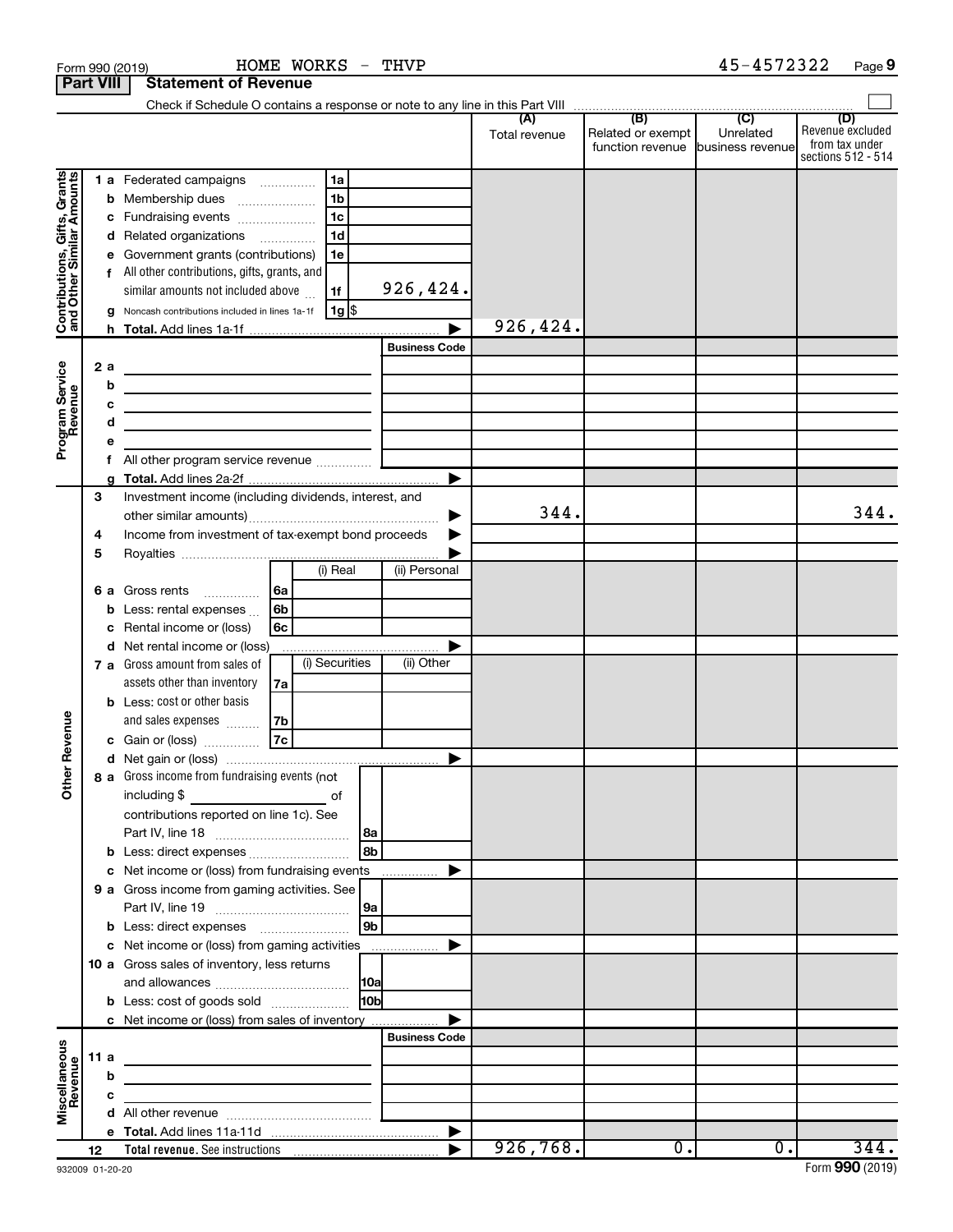|                                                           | Form 990 (2019)  |                                                                                                                       | HOME WORKS - THVP                                                                                                     |                 |                      |               |                                       | 45-4572322                    | Page 9                                                   |
|-----------------------------------------------------------|------------------|-----------------------------------------------------------------------------------------------------------------------|-----------------------------------------------------------------------------------------------------------------------|-----------------|----------------------|---------------|---------------------------------------|-------------------------------|----------------------------------------------------------|
|                                                           | <b>Part VIII</b> | <b>Statement of Revenue</b>                                                                                           |                                                                                                                       |                 |                      |               |                                       |                               |                                                          |
|                                                           |                  |                                                                                                                       |                                                                                                                       |                 |                      |               |                                       |                               | (D)                                                      |
|                                                           |                  |                                                                                                                       |                                                                                                                       |                 |                      | Total revenue | Related or exempt<br>function revenue | Unrelated<br>business revenue | Revenue excluded<br>from tax under<br>sections 512 - 514 |
|                                                           |                  | <b>1 a</b> Federated campaigns                                                                                        | 1a                                                                                                                    |                 |                      |               |                                       |                               |                                                          |
| Contributions, Gifts, Grants<br>and Other Similar Amounts |                  | <b>b</b> Membership dues                                                                                              | 1 <sub>b</sub>                                                                                                        |                 |                      |               |                                       |                               |                                                          |
|                                                           |                  | c Fundraising events                                                                                                  | 1 <sub>c</sub>                                                                                                        |                 |                      |               |                                       |                               |                                                          |
|                                                           |                  | d Related organizations                                                                                               | 1 <sub>d</sub>                                                                                                        |                 |                      |               |                                       |                               |                                                          |
|                                                           |                  | e Government grants (contributions)                                                                                   | 1е                                                                                                                    |                 |                      |               |                                       |                               |                                                          |
|                                                           |                  | f All other contributions, gifts, grants, and                                                                         |                                                                                                                       |                 |                      |               |                                       |                               |                                                          |
|                                                           |                  | similar amounts not included above                                                                                    | 1f                                                                                                                    |                 | 926,424.             |               |                                       |                               |                                                          |
|                                                           |                  | g Noncash contributions included in lines 1a-1f                                                                       | 1g                                                                                                                    |                 |                      | 926,424.      |                                       |                               |                                                          |
|                                                           |                  |                                                                                                                       |                                                                                                                       |                 | <b>Business Code</b> |               |                                       |                               |                                                          |
|                                                           |                  |                                                                                                                       |                                                                                                                       |                 |                      |               |                                       |                               |                                                          |
|                                                           | 2a<br>b          | <u> 1989 - Johann Barn, mars and de Branch Barn, mars and de Branch Barn, mars and de Branch Barn, mars and de Br</u> |                                                                                                                       |                 |                      |               |                                       |                               |                                                          |
|                                                           | c                | <u> 1989 - Johann Barn, amerikansk politiker (d. 1989)</u>                                                            |                                                                                                                       |                 |                      |               |                                       |                               |                                                          |
|                                                           | d                | the contract of the contract of the contract of the contract of the contract of                                       |                                                                                                                       |                 |                      |               |                                       |                               |                                                          |
| Program Service<br>Revenue                                | е                | the control of the control of the control of the control of the control of                                            |                                                                                                                       |                 |                      |               |                                       |                               |                                                          |
|                                                           | f                | All other program service revenue                                                                                     |                                                                                                                       |                 |                      |               |                                       |                               |                                                          |
|                                                           |                  |                                                                                                                       |                                                                                                                       |                 |                      |               |                                       |                               |                                                          |
|                                                           | 3                | Investment income (including dividends, interest, and                                                                 |                                                                                                                       |                 |                      |               |                                       |                               |                                                          |
|                                                           |                  |                                                                                                                       |                                                                                                                       |                 | ▶                    | 344.          |                                       |                               | 344.                                                     |
|                                                           | 4                | Income from investment of tax-exempt bond proceeds                                                                    |                                                                                                                       |                 |                      |               |                                       |                               |                                                          |
|                                                           | 5                |                                                                                                                       |                                                                                                                       |                 |                      |               |                                       |                               |                                                          |
|                                                           |                  |                                                                                                                       | (i) Real                                                                                                              |                 | (ii) Personal        |               |                                       |                               |                                                          |
|                                                           | 6а               | Gross rents<br>$\overline{\phantom{a}}$                                                                               | 6a                                                                                                                    |                 |                      |               |                                       |                               |                                                          |
|                                                           |                  | <b>b</b> Less: rental expenses $\ldots$                                                                               | 6b                                                                                                                    |                 |                      |               |                                       |                               |                                                          |
|                                                           | c                | Rental income or (loss)                                                                                               | 6с                                                                                                                    |                 |                      |               |                                       |                               |                                                          |
|                                                           |                  | d Net rental income or (loss)<br>7 a Gross amount from sales of                                                       | (i) Securities                                                                                                        |                 | (ii) Other           |               |                                       |                               |                                                          |
|                                                           |                  | assets other than inventory                                                                                           | 7a                                                                                                                    |                 |                      |               |                                       |                               |                                                          |
|                                                           |                  | <b>b</b> Less: cost or other basis                                                                                    |                                                                                                                       |                 |                      |               |                                       |                               |                                                          |
|                                                           |                  | and sales expenses                                                                                                    | 7b                                                                                                                    |                 |                      |               |                                       |                               |                                                          |
| venue                                                     |                  | c Gain or (loss)                                                                                                      | 7c                                                                                                                    |                 |                      |               |                                       |                               |                                                          |
|                                                           |                  |                                                                                                                       |                                                                                                                       |                 |                      |               |                                       |                               |                                                          |
| Other Re                                                  |                  | 8 a Gross income from fundraising events (not                                                                         |                                                                                                                       |                 |                      |               |                                       |                               |                                                          |
|                                                           |                  |                                                                                                                       |                                                                                                                       |                 |                      |               |                                       |                               |                                                          |
|                                                           |                  | contributions reported on line 1c). See                                                                               |                                                                                                                       |                 |                      |               |                                       |                               |                                                          |
|                                                           |                  |                                                                                                                       |                                                                                                                       | 8a              |                      |               |                                       |                               |                                                          |
|                                                           |                  | b Less: direct expenses                                                                                               |                                                                                                                       | 8b              |                      |               |                                       |                               |                                                          |
|                                                           |                  | c Net income or (loss) from fundraising events                                                                        |                                                                                                                       |                 |                      |               |                                       |                               |                                                          |
|                                                           |                  | 9 a Gross income from gaming activities. See                                                                          |                                                                                                                       |                 |                      |               |                                       |                               |                                                          |
|                                                           |                  |                                                                                                                       |                                                                                                                       | 9a              |                      |               |                                       |                               |                                                          |
|                                                           |                  | c Net income or (loss) from gaming activities                                                                         |                                                                                                                       | l 9b            |                      |               |                                       |                               |                                                          |
|                                                           |                  | 10 a Gross sales of inventory, less returns                                                                           |                                                                                                                       |                 |                      |               |                                       |                               |                                                          |
|                                                           |                  |                                                                                                                       |                                                                                                                       | <b>10a</b>      |                      |               |                                       |                               |                                                          |
|                                                           |                  | <b>b</b> Less: cost of goods sold                                                                                     |                                                                                                                       | 10 <sub>b</sub> |                      |               |                                       |                               |                                                          |
|                                                           |                  | <b>c</b> Net income or (loss) from sales of inventory                                                                 |                                                                                                                       |                 |                      |               |                                       |                               |                                                          |
|                                                           |                  |                                                                                                                       |                                                                                                                       |                 | <b>Business Code</b> |               |                                       |                               |                                                          |
| Miscellaneous<br>Revenue                                  | 11 a             | the control of the control of the control of the control of the control of                                            |                                                                                                                       |                 |                      |               |                                       |                               |                                                          |
|                                                           | b                | the control of the control of the control of the control of the control of                                            |                                                                                                                       |                 |                      |               |                                       |                               |                                                          |
|                                                           | c                |                                                                                                                       | <u> 1989 - John Harry Harry Harry Harry Harry Harry Harry Harry Harry Harry Harry Harry Harry Harry Harry Harry H</u> |                 |                      |               |                                       |                               |                                                          |
|                                                           |                  |                                                                                                                       |                                                                                                                       |                 |                      |               |                                       |                               |                                                          |
|                                                           |                  |                                                                                                                       |                                                                                                                       |                 |                      |               |                                       |                               |                                                          |
|                                                           | 12               |                                                                                                                       |                                                                                                                       |                 |                      | 926,768.      | $\overline{0}$ .                      | $\overline{0}$ .              | 344.                                                     |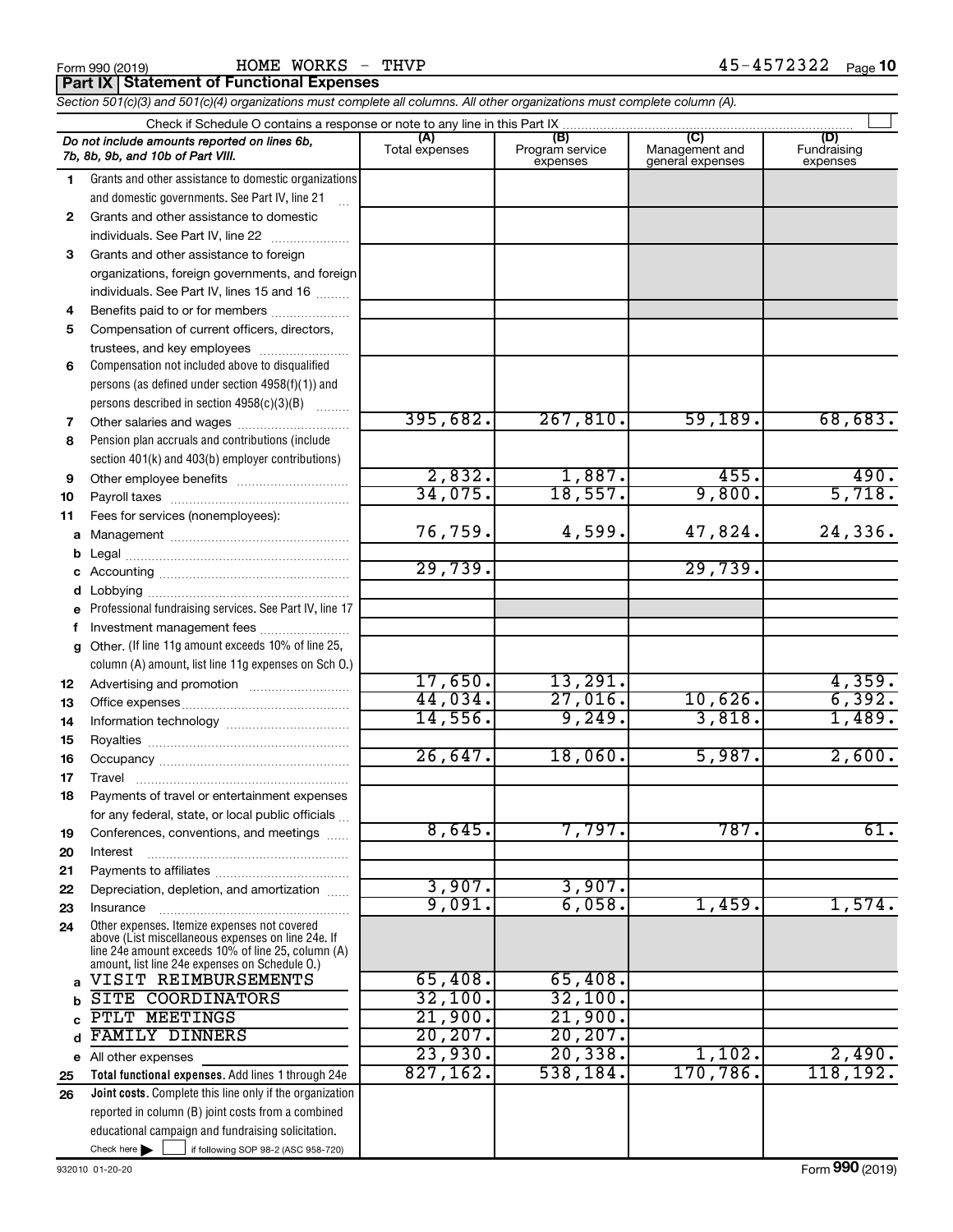| Form 990 (2019) |                                                 | HOME WORKS - |
|-----------------|-------------------------------------------------|--------------|
|                 | <b>Part IX Statement of Functional Expenses</b> |              |

Form 990 (2019) Page HOME WORKS - THVP 45-4572322

*Section 501(c)(3) and 501(c)(4) organizations must complete all columns. All other organizations must complete column (A).*

|              | Do not include amounts reported on lines 6b,<br>7b, 8b, 9b, and 10b of Part VIII.                                                                        | Total expenses | (B)<br>Program service<br>expenses | Management and<br>general expenses | (D)<br>Fundraising<br>expenses |  |  |  |  |
|--------------|----------------------------------------------------------------------------------------------------------------------------------------------------------|----------------|------------------------------------|------------------------------------|--------------------------------|--|--|--|--|
| 1.           | Grants and other assistance to domestic organizations                                                                                                    |                |                                    |                                    |                                |  |  |  |  |
|              | and domestic governments. See Part IV, line 21                                                                                                           |                |                                    |                                    |                                |  |  |  |  |
| $\mathbf{2}$ | Grants and other assistance to domestic                                                                                                                  |                |                                    |                                    |                                |  |  |  |  |
|              | individuals. See Part IV, line 22                                                                                                                        |                |                                    |                                    |                                |  |  |  |  |
| 3            | Grants and other assistance to foreign                                                                                                                   |                |                                    |                                    |                                |  |  |  |  |
|              | organizations, foreign governments, and foreign                                                                                                          |                |                                    |                                    |                                |  |  |  |  |
|              | individuals. See Part IV, lines 15 and 16                                                                                                                |                |                                    |                                    |                                |  |  |  |  |
| 4            | Benefits paid to or for members                                                                                                                          |                |                                    |                                    |                                |  |  |  |  |
| 5            | Compensation of current officers, directors,                                                                                                             |                |                                    |                                    |                                |  |  |  |  |
|              | trustees, and key employees                                                                                                                              |                |                                    |                                    |                                |  |  |  |  |
| 6            | Compensation not included above to disqualified                                                                                                          |                |                                    |                                    |                                |  |  |  |  |
|              | persons (as defined under section 4958(f)(1)) and                                                                                                        |                |                                    |                                    |                                |  |  |  |  |
|              | persons described in section 4958(c)(3)(B)                                                                                                               |                |                                    |                                    |                                |  |  |  |  |
| 7            | Other salaries and wages                                                                                                                                 | 395,682.       | 267,810.                           | 59,189.                            | 68,683.                        |  |  |  |  |
| 8            | Pension plan accruals and contributions (include                                                                                                         |                |                                    |                                    |                                |  |  |  |  |
|              | section 401(k) and 403(b) employer contributions)                                                                                                        |                |                                    |                                    |                                |  |  |  |  |
| 9            |                                                                                                                                                          | 2,832.         | 1,887.                             | 455.                               | 490.                           |  |  |  |  |
| 10           |                                                                                                                                                          | 34,075.        | 18,557.                            | 9,800.                             | 5,718.                         |  |  |  |  |
| 11           | Fees for services (nonemployees):                                                                                                                        |                |                                    |                                    |                                |  |  |  |  |
| a            |                                                                                                                                                          | 76,759.        | 4,599.                             | 47,824.                            | 24,336.                        |  |  |  |  |
| b            |                                                                                                                                                          |                |                                    |                                    |                                |  |  |  |  |
|              |                                                                                                                                                          | 29,739.        |                                    | 29,739.                            |                                |  |  |  |  |
| d            |                                                                                                                                                          |                |                                    |                                    |                                |  |  |  |  |
|              | Professional fundraising services. See Part IV, line 17                                                                                                  |                |                                    |                                    |                                |  |  |  |  |
| f            | Investment management fees                                                                                                                               |                |                                    |                                    |                                |  |  |  |  |
| g            | Other. (If line 11g amount exceeds 10% of line 25,                                                                                                       |                |                                    |                                    |                                |  |  |  |  |
|              | column (A) amount, list line 11g expenses on Sch O.)                                                                                                     | 17,650.        | 13,291.                            |                                    | 4,359.                         |  |  |  |  |
| 12           |                                                                                                                                                          | 44,034.        | 27,016.                            | 10,626.                            | 6,392.                         |  |  |  |  |
| 13<br>14     |                                                                                                                                                          | 14,556.        | 9,249.                             | 3,818.                             | 1,489.                         |  |  |  |  |
| 15           |                                                                                                                                                          |                |                                    |                                    |                                |  |  |  |  |
| 16           |                                                                                                                                                          | 26,647.        | 18,060.                            | 5,987.                             | 2,600.                         |  |  |  |  |
| 17           | Travel                                                                                                                                                   |                |                                    |                                    |                                |  |  |  |  |
| 18           | Payments of travel or entertainment expenses                                                                                                             |                |                                    |                                    |                                |  |  |  |  |
|              | for any federal, state, or local public officials                                                                                                        |                |                                    |                                    |                                |  |  |  |  |
| 19           | Conferences, conventions, and meetings                                                                                                                   | 8,645.         | 7,797.                             | 787.                               | 61.                            |  |  |  |  |
| 20           | Interest                                                                                                                                                 |                |                                    |                                    |                                |  |  |  |  |
| 21           |                                                                                                                                                          |                |                                    |                                    |                                |  |  |  |  |
| 22           | Depreciation, depletion, and amortization                                                                                                                | 3,907.         | 3,907.                             |                                    |                                |  |  |  |  |
| 23           | Insurance                                                                                                                                                | 9,091.         | 6,058.                             | 1,459.                             | 1,574.                         |  |  |  |  |
| 24           | Other expenses. Itemize expenses not covered<br>above (List miscellaneous expenses on line 24e. If<br>line 24e amount exceeds 10% of line 25, column (A) |                |                                    |                                    |                                |  |  |  |  |
|              | amount, list line 24e expenses on Schedule O.)<br>VISIT REIMBURSEMENTS                                                                                   | 65,408.        | 65,408.                            |                                    |                                |  |  |  |  |
|              | <b>SITE COORDINATORS</b>                                                                                                                                 | 32,100.        | 32,100.                            |                                    |                                |  |  |  |  |
|              | PTLT MEETINGS                                                                                                                                            | 21,900.        | 21,900.                            |                                    |                                |  |  |  |  |
| d            | <b>FAMILY DINNERS</b>                                                                                                                                    | 20, 207.       | 20, 207.                           |                                    |                                |  |  |  |  |
|              | e All other expenses                                                                                                                                     | 23,930.        | 20, 338.                           | 1,102.                             | 2,490.                         |  |  |  |  |
| 25           | Total functional expenses. Add lines 1 through 24e                                                                                                       | 827,162.       | 538,184.                           | 170,786.                           | 118, 192.                      |  |  |  |  |
| 26           | Joint costs. Complete this line only if the organization                                                                                                 |                |                                    |                                    |                                |  |  |  |  |
|              | reported in column (B) joint costs from a combined                                                                                                       |                |                                    |                                    |                                |  |  |  |  |
|              | educational campaign and fundraising solicitation.                                                                                                       |                |                                    |                                    |                                |  |  |  |  |
|              | Check here $\blacktriangleright$<br>if following SOP 98-2 (ASC 958-720)                                                                                  |                |                                    |                                    |                                |  |  |  |  |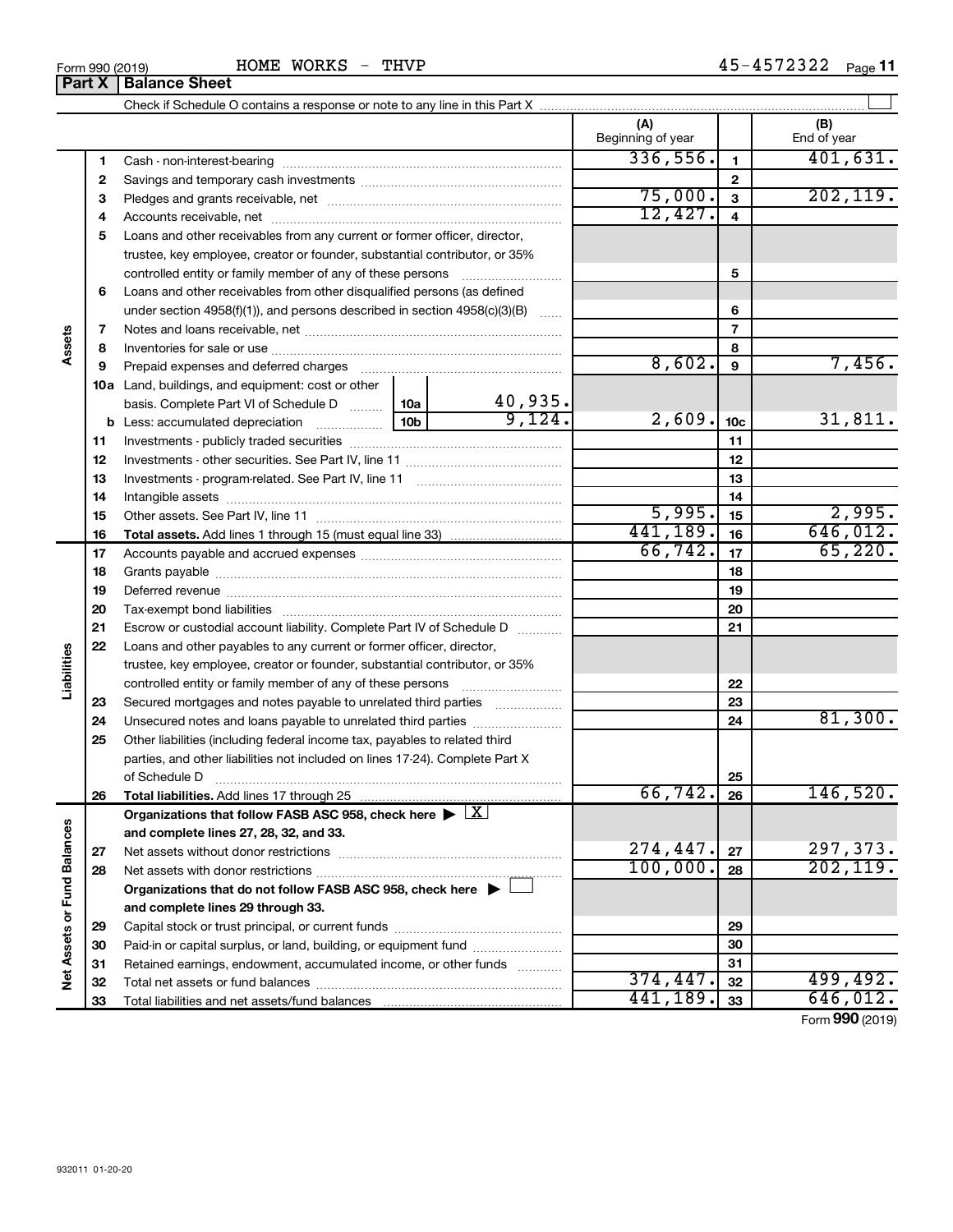|                             |              |                                                                                                                                                                                                                               |                 |                | (A)<br>Beginning of year |                          | (B)<br>End of year |
|-----------------------------|--------------|-------------------------------------------------------------------------------------------------------------------------------------------------------------------------------------------------------------------------------|-----------------|----------------|--------------------------|--------------------------|--------------------|
|                             | 1            |                                                                                                                                                                                                                               |                 | 336,556.       | $\mathbf{1}$             | 401,631.                 |                    |
|                             | $\mathbf{2}$ |                                                                                                                                                                                                                               |                 |                |                          | $\mathbf 2$              |                    |
|                             | 3            |                                                                                                                                                                                                                               |                 |                | 75,000.                  | $\overline{\mathbf{3}}$  | 202, 119.          |
|                             | 4            |                                                                                                                                                                                                                               | 12,427.         | $\overline{4}$ |                          |                          |                    |
|                             | 5            | Loans and other receivables from any current or former officer, director,                                                                                                                                                     |                 |                |                          |                          |                    |
|                             |              | trustee, key employee, creator or founder, substantial contributor, or 35%                                                                                                                                                    |                 |                |                          |                          |                    |
|                             |              | controlled entity or family member of any of these persons                                                                                                                                                                    |                 | 5              |                          |                          |                    |
|                             | 6            | Loans and other receivables from other disqualified persons (as defined                                                                                                                                                       |                 |                |                          |                          |                    |
|                             |              | under section 4958(f)(1)), and persons described in section $4958(c)(3)(B)$                                                                                                                                                   |                 |                |                          | 6                        |                    |
|                             | 7            |                                                                                                                                                                                                                               |                 |                |                          | $\overline{\phantom{a}}$ |                    |
| Assets                      | 8            |                                                                                                                                                                                                                               |                 |                |                          | 8                        |                    |
|                             | 9            | Prepaid expenses and deferred charges [11] [11] Prepaid expenses and deferred charges [11] [11] Martin Martin (11] (11] Arthur Martin (11] Arthur Martin (11] Arthur Martin (11] Arthur Martin (11] Arthur Martin (11] Arthur |                 |                | 8,602.                   | 9                        | 7,456.             |
|                             |              | <b>10a</b> Land, buildings, and equipment: cost or other                                                                                                                                                                      |                 |                |                          |                          |                    |
|                             |              | basis. Complete Part VI of Schedule D  10a                                                                                                                                                                                    |                 | 40,935.        |                          |                          |                    |
|                             |              | <b>b</b> Less: accumulated depreciation                                                                                                                                                                                       | 10 <sub>b</sub> | 9,124.         | 2,609.                   | 10 <sub>c</sub>          | 31,811.            |
|                             | 11           |                                                                                                                                                                                                                               |                 | 11             |                          |                          |                    |
|                             | 12           |                                                                                                                                                                                                                               |                 | 12             |                          |                          |                    |
|                             | 13           |                                                                                                                                                                                                                               |                 | 13             |                          |                          |                    |
|                             | 14           |                                                                                                                                                                                                                               |                 | 14             |                          |                          |                    |
|                             | 15           |                                                                                                                                                                                                                               | 5,995.          | 15             | 2,995.                   |                          |                    |
|                             | 16           |                                                                                                                                                                                                                               |                 | 441,189.       | 16                       | 646,012.                 |                    |
|                             | 17           |                                                                                                                                                                                                                               | 66, 742.        | 17             | 65,220.                  |                          |                    |
|                             | 18           |                                                                                                                                                                                                                               |                 | 18             |                          |                          |                    |
|                             | 19           |                                                                                                                                                                                                                               |                 |                | 19                       |                          |                    |
|                             | 20           |                                                                                                                                                                                                                               |                 |                | 20                       |                          |                    |
|                             | 21           | Escrow or custodial account liability. Complete Part IV of Schedule D                                                                                                                                                         |                 |                |                          | 21                       |                    |
|                             | 22           | Loans and other payables to any current or former officer, director,                                                                                                                                                          |                 |                |                          |                          |                    |
| Liabilities                 |              | trustee, key employee, creator or founder, substantial contributor, or 35%                                                                                                                                                    |                 |                |                          |                          |                    |
|                             |              |                                                                                                                                                                                                                               |                 |                |                          | 22                       |                    |
|                             | 23           | Secured mortgages and notes payable to unrelated third parties                                                                                                                                                                |                 |                |                          | 23                       |                    |
|                             | 24           |                                                                                                                                                                                                                               |                 |                |                          | 24                       | 81,300.            |
|                             | 25           | Other liabilities (including federal income tax, payables to related third                                                                                                                                                    |                 |                |                          |                          |                    |
|                             |              | parties, and other liabilities not included on lines 17-24). Complete Part X                                                                                                                                                  |                 |                |                          |                          |                    |
|                             |              | of Schedule D                                                                                                                                                                                                                 |                 |                |                          | 25                       |                    |
|                             | 26           |                                                                                                                                                                                                                               |                 |                | 66, 742.                 | 26                       | 146,520.           |
|                             |              | Organizations that follow FASB ASC 958, check here $\blacktriangleright \lfloor X \rfloor$                                                                                                                                    |                 |                |                          |                          |                    |
|                             |              | and complete lines 27, 28, 32, and 33.                                                                                                                                                                                        |                 |                |                          |                          |                    |
|                             | 27           |                                                                                                                                                                                                                               |                 |                | 274,447.                 | 27                       | 297,373.           |
|                             | 28           |                                                                                                                                                                                                                               |                 |                | 100,000.                 | 28                       | 202, 119.          |
|                             |              | Organizations that do not follow FASB ASC 958, check here $\blacktriangleright$                                                                                                                                               |                 |                |                          |                          |                    |
| Net Assets or Fund Balances |              | and complete lines 29 through 33.                                                                                                                                                                                             |                 |                |                          |                          |                    |
|                             | 29           |                                                                                                                                                                                                                               |                 |                |                          | 29                       |                    |
|                             | 30           | Paid-in or capital surplus, or land, building, or equipment fund                                                                                                                                                              |                 |                |                          | 30                       |                    |
|                             | 31           | Retained earnings, endowment, accumulated income, or other funds                                                                                                                                                              |                 |                |                          | 31                       |                    |
|                             | 32           |                                                                                                                                                                                                                               |                 |                | 374, 447.                | 32                       | 499, 492.          |
|                             | 33           |                                                                                                                                                                                                                               |                 | 441,189.       | 33                       | 646,012.                 |                    |

Form (2019) **990**

# **Part X Balance Sheet**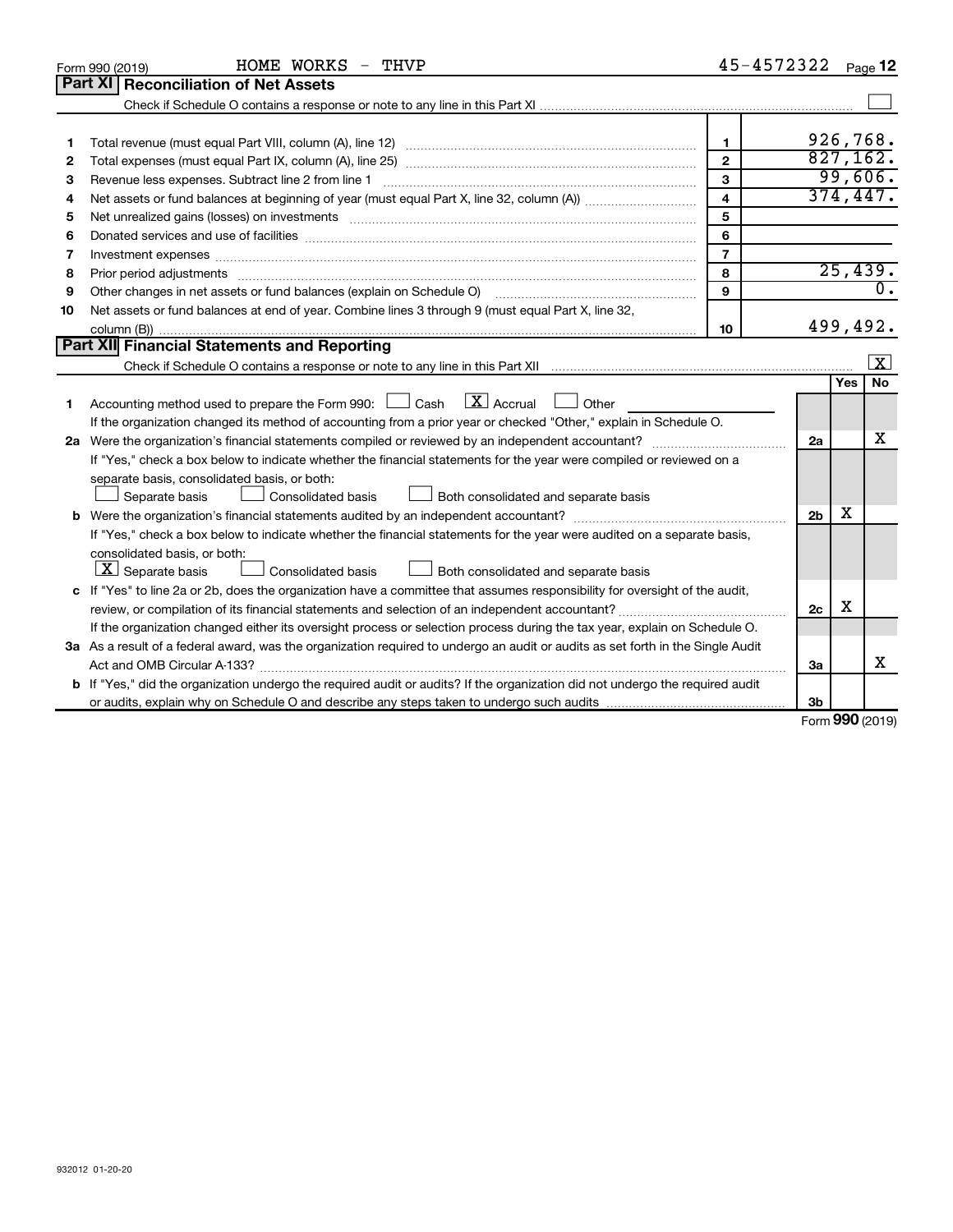|    | HOME WORKS - THVP<br>Form 990 (2019)                                                                                                 | 45-4572322              |                |        | Page 12          |
|----|--------------------------------------------------------------------------------------------------------------------------------------|-------------------------|----------------|--------|------------------|
|    | Part XI<br><b>Reconciliation of Net Assets</b>                                                                                       |                         |                |        |                  |
|    |                                                                                                                                      |                         |                |        |                  |
|    |                                                                                                                                      |                         |                |        |                  |
| 1  |                                                                                                                                      | $\mathbf{1}$            |                |        | 926,768.         |
| 2  |                                                                                                                                      | $\overline{2}$          |                |        | 827,162.         |
| з  | Revenue less expenses. Subtract line 2 from line 1                                                                                   | 3                       |                |        | 99,606.          |
| 4  |                                                                                                                                      | $\overline{\mathbf{4}}$ |                |        | 374,447.         |
| 5  |                                                                                                                                      | 5                       |                |        |                  |
| 6  |                                                                                                                                      | 6                       |                |        |                  |
| 7  |                                                                                                                                      | $\overline{7}$          |                |        |                  |
| 8  |                                                                                                                                      | 8                       |                |        | 25,439.          |
| 9  | Other changes in net assets or fund balances (explain on Schedule O)                                                                 | 9                       |                |        | $\overline{0}$ . |
| 10 | Net assets or fund balances at end of year. Combine lines 3 through 9 (must equal Part X, line 32,                                   |                         |                |        |                  |
|    |                                                                                                                                      | 10                      |                |        | 499,492.         |
|    | Part XII Financial Statements and Reporting                                                                                          |                         |                |        |                  |
|    |                                                                                                                                      |                         |                |        | X                |
|    |                                                                                                                                      |                         |                | Yes    | No               |
| 1  | $\lfloor x \rfloor$ Accrual<br>Accounting method used to prepare the Form 990: [130] Cash<br>Other                                   |                         |                |        |                  |
|    | If the organization changed its method of accounting from a prior year or checked "Other," explain in Schedule O.                    |                         |                |        |                  |
|    |                                                                                                                                      |                         | 2a             |        | x                |
|    | If "Yes," check a box below to indicate whether the financial statements for the year were compiled or reviewed on a                 |                         |                |        |                  |
|    | separate basis, consolidated basis, or both:                                                                                         |                         |                |        |                  |
|    | Both consolidated and separate basis<br>Separate basis<br>Consolidated basis                                                         |                         |                |        |                  |
|    |                                                                                                                                      |                         | 2 <sub>b</sub> | х      |                  |
|    | If "Yes," check a box below to indicate whether the financial statements for the year were audited on a separate basis,              |                         |                |        |                  |
|    | consolidated basis, or both:                                                                                                         |                         |                |        |                  |
|    | $\lfloor \underline{X} \rfloor$ Separate basis<br>Consolidated basis<br>Both consolidated and separate basis                         |                         |                |        |                  |
|    | c If "Yes" to line 2a or 2b, does the organization have a committee that assumes responsibility for oversight of the audit,          |                         |                |        |                  |
|    | review, or compilation of its financial statements and selection of an independent accountant?                                       |                         | 2c             | X      |                  |
|    | If the organization changed either its oversight process or selection process during the tax year, explain on Schedule O.            |                         |                |        |                  |
|    | 3a As a result of a federal award, was the organization required to undergo an audit or audits as set forth in the Single Audit      |                         |                |        |                  |
|    | Act and OMB Circular A-133?                                                                                                          |                         | За             |        | х                |
|    | <b>b</b> If "Yes," did the organization undergo the required audit or audits? If the organization did not undergo the required audit |                         |                |        |                  |
|    |                                                                                                                                      |                         | Зb             | $\sim$ |                  |

Form (2019) **990**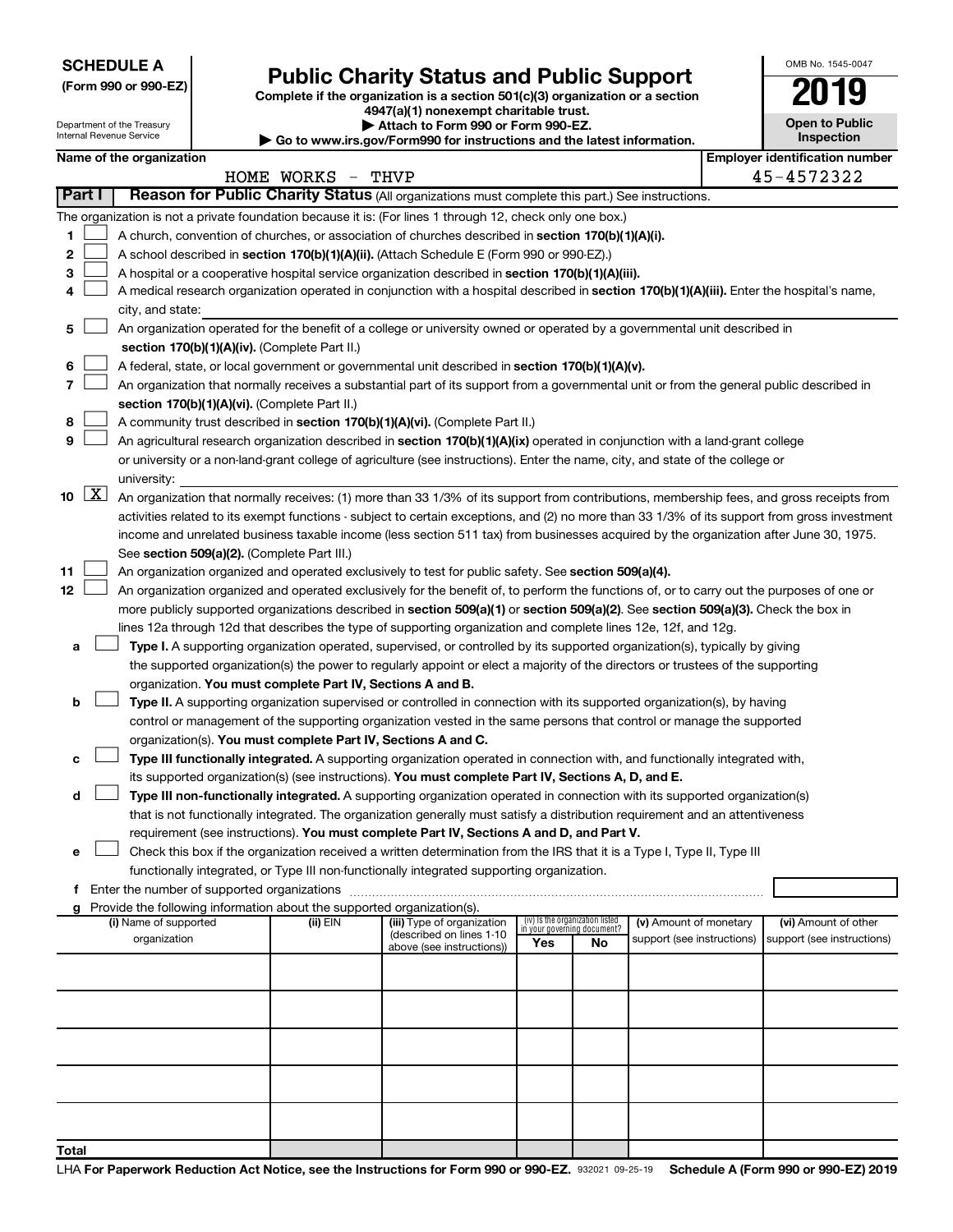**SCHEDULE A**

Department of the Treasury

# Form 990 or 990-EZ)<br>
Complete if the organization is a section 501(c)(3) organization or a section<br> **Public Charity Status and Public Support**

**4947(a)(1) nonexempt charitable trust. | Attach to Form 990 or Form 990-EZ.** 

| OMB No. 1545-0047                   |
|-------------------------------------|
|                                     |
| <b>Open to Public</b><br>Inspection |
| entification num                    |

| Internal Revenue Service |               |                          |  | $\blacktriangleright$ Go to www.irs.gov/Form990 for instructions and the latest information.      |                                                                                                                                               |                                 |                                   |                            |                                       | Inspection                 |  |  |  |
|--------------------------|---------------|--------------------------|--|---------------------------------------------------------------------------------------------------|-----------------------------------------------------------------------------------------------------------------------------------------------|---------------------------------|-----------------------------------|----------------------------|---------------------------------------|----------------------------|--|--|--|
|                          |               | Name of the organization |  |                                                                                                   |                                                                                                                                               |                                 |                                   |                            | <b>Employer identification number</b> |                            |  |  |  |
|                          |               |                          |  | HOME WORKS - THVP                                                                                 |                                                                                                                                               |                                 |                                   |                            |                                       | 45-4572322                 |  |  |  |
|                          | <b>Part I</b> |                          |  |                                                                                                   | Reason for Public Charity Status (All organizations must complete this part.) See instructions.                                               |                                 |                                   |                            |                                       |                            |  |  |  |
|                          |               |                          |  |                                                                                                   | The organization is not a private foundation because it is: (For lines 1 through 12, check only one box.)                                     |                                 |                                   |                            |                                       |                            |  |  |  |
| 1.                       |               |                          |  |                                                                                                   | A church, convention of churches, or association of churches described in section 170(b)(1)(A)(i).                                            |                                 |                                   |                            |                                       |                            |  |  |  |
| 2                        |               |                          |  | A school described in section 170(b)(1)(A)(ii). (Attach Schedule E (Form 990 or 990-EZ).)         |                                                                                                                                               |                                 |                                   |                            |                                       |                            |  |  |  |
| з                        |               |                          |  | A hospital or a cooperative hospital service organization described in section 170(b)(1)(A)(iii). |                                                                                                                                               |                                 |                                   |                            |                                       |                            |  |  |  |
| 4                        |               |                          |  |                                                                                                   | A medical research organization operated in conjunction with a hospital described in section 170(b)(1)(A)(iii). Enter the hospital's name,    |                                 |                                   |                            |                                       |                            |  |  |  |
|                          |               | city, and state:         |  |                                                                                                   |                                                                                                                                               |                                 |                                   |                            |                                       |                            |  |  |  |
| 5                        |               |                          |  |                                                                                                   | An organization operated for the benefit of a college or university owned or operated by a governmental unit described in                     |                                 |                                   |                            |                                       |                            |  |  |  |
|                          |               |                          |  | section 170(b)(1)(A)(iv). (Complete Part II.)                                                     |                                                                                                                                               |                                 |                                   |                            |                                       |                            |  |  |  |
| 6                        |               |                          |  |                                                                                                   | A federal, state, or local government or governmental unit described in section 170(b)(1)(A)(v).                                              |                                 |                                   |                            |                                       |                            |  |  |  |
| 7                        |               |                          |  |                                                                                                   | An organization that normally receives a substantial part of its support from a governmental unit or from the general public described in     |                                 |                                   |                            |                                       |                            |  |  |  |
|                          |               |                          |  | section 170(b)(1)(A)(vi). (Complete Part II.)                                                     |                                                                                                                                               |                                 |                                   |                            |                                       |                            |  |  |  |
| 8                        |               |                          |  |                                                                                                   | A community trust described in section 170(b)(1)(A)(vi). (Complete Part II.)                                                                  |                                 |                                   |                            |                                       |                            |  |  |  |
| 9                        |               |                          |  |                                                                                                   | An agricultural research organization described in section 170(b)(1)(A)(ix) operated in conjunction with a land-grant college                 |                                 |                                   |                            |                                       |                            |  |  |  |
|                          |               |                          |  |                                                                                                   | or university or a non-land-grant college of agriculture (see instructions). Enter the name, city, and state of the college or                |                                 |                                   |                            |                                       |                            |  |  |  |
|                          | 10 $ X $      | university:              |  |                                                                                                   |                                                                                                                                               |                                 |                                   |                            |                                       |                            |  |  |  |
|                          |               |                          |  |                                                                                                   | An organization that normally receives: (1) more than 33 1/3% of its support from contributions, membership fees, and gross receipts from     |                                 |                                   |                            |                                       |                            |  |  |  |
|                          |               |                          |  |                                                                                                   | activities related to its exempt functions - subject to certain exceptions, and (2) no more than 33 1/3% of its support from gross investment |                                 |                                   |                            |                                       |                            |  |  |  |
|                          |               |                          |  | See section 509(a)(2). (Complete Part III.)                                                       | income and unrelated business taxable income (less section 511 tax) from businesses acquired by the organization after June 30, 1975.         |                                 |                                   |                            |                                       |                            |  |  |  |
| 11                       |               |                          |  |                                                                                                   | An organization organized and operated exclusively to test for public safety. See section 509(a)(4).                                          |                                 |                                   |                            |                                       |                            |  |  |  |
| 12                       |               |                          |  |                                                                                                   | An organization organized and operated exclusively for the benefit of, to perform the functions of, or to carry out the purposes of one or    |                                 |                                   |                            |                                       |                            |  |  |  |
|                          |               |                          |  |                                                                                                   | more publicly supported organizations described in section 509(a)(1) or section 509(a)(2). See section 509(a)(3). Check the box in            |                                 |                                   |                            |                                       |                            |  |  |  |
|                          |               |                          |  |                                                                                                   | lines 12a through 12d that describes the type of supporting organization and complete lines 12e, 12f, and 12g.                                |                                 |                                   |                            |                                       |                            |  |  |  |
| а                        |               |                          |  |                                                                                                   | Type I. A supporting organization operated, supervised, or controlled by its supported organization(s), typically by giving                   |                                 |                                   |                            |                                       |                            |  |  |  |
|                          |               |                          |  |                                                                                                   | the supported organization(s) the power to regularly appoint or elect a majority of the directors or trustees of the supporting               |                                 |                                   |                            |                                       |                            |  |  |  |
|                          |               |                          |  | organization. You must complete Part IV, Sections A and B.                                        |                                                                                                                                               |                                 |                                   |                            |                                       |                            |  |  |  |
| b                        |               |                          |  |                                                                                                   | Type II. A supporting organization supervised or controlled in connection with its supported organization(s), by having                       |                                 |                                   |                            |                                       |                            |  |  |  |
|                          |               |                          |  |                                                                                                   | control or management of the supporting organization vested in the same persons that control or manage the supported                          |                                 |                                   |                            |                                       |                            |  |  |  |
|                          |               |                          |  | organization(s). You must complete Part IV, Sections A and C.                                     |                                                                                                                                               |                                 |                                   |                            |                                       |                            |  |  |  |
| c                        |               |                          |  |                                                                                                   | Type III functionally integrated. A supporting organization operated in connection with, and functionally integrated with,                    |                                 |                                   |                            |                                       |                            |  |  |  |
|                          |               |                          |  |                                                                                                   | its supported organization(s) (see instructions). You must complete Part IV, Sections A, D, and E.                                            |                                 |                                   |                            |                                       |                            |  |  |  |
| d                        |               |                          |  |                                                                                                   | Type III non-functionally integrated. A supporting organization operated in connection with its supported organization(s)                     |                                 |                                   |                            |                                       |                            |  |  |  |
|                          |               |                          |  |                                                                                                   | that is not functionally integrated. The organization generally must satisfy a distribution requirement and an attentiveness                  |                                 |                                   |                            |                                       |                            |  |  |  |
|                          |               |                          |  |                                                                                                   | requirement (see instructions). You must complete Part IV, Sections A and D, and Part V.                                                      |                                 |                                   |                            |                                       |                            |  |  |  |
| e                        |               |                          |  |                                                                                                   | Check this box if the organization received a written determination from the IRS that it is a Type I, Type II, Type III                       |                                 |                                   |                            |                                       |                            |  |  |  |
|                          |               |                          |  |                                                                                                   | functionally integrated, or Type III non-functionally integrated supporting organization.                                                     |                                 |                                   |                            |                                       |                            |  |  |  |
|                          |               |                          |  |                                                                                                   |                                                                                                                                               |                                 |                                   |                            |                                       |                            |  |  |  |
| g                        |               | (i) Name of supported    |  | Provide the following information about the supported organization(s).<br>(ii) EIN                | (iii) Type of organization                                                                                                                    | (iv) Is the organization listed |                                   | (v) Amount of monetary     |                                       | (vi) Amount of other       |  |  |  |
|                          |               | organization             |  |                                                                                                   | (described on lines 1-10                                                                                                                      | Yes                             | in your governing document?<br>No | support (see instructions) |                                       | support (see instructions) |  |  |  |
|                          |               |                          |  |                                                                                                   | above (see instructions))                                                                                                                     |                                 |                                   |                            |                                       |                            |  |  |  |
|                          |               |                          |  |                                                                                                   |                                                                                                                                               |                                 |                                   |                            |                                       |                            |  |  |  |
|                          |               |                          |  |                                                                                                   |                                                                                                                                               |                                 |                                   |                            |                                       |                            |  |  |  |
|                          |               |                          |  |                                                                                                   |                                                                                                                                               |                                 |                                   |                            |                                       |                            |  |  |  |
|                          |               |                          |  |                                                                                                   |                                                                                                                                               |                                 |                                   |                            |                                       |                            |  |  |  |
|                          |               |                          |  |                                                                                                   |                                                                                                                                               |                                 |                                   |                            |                                       |                            |  |  |  |
|                          |               |                          |  |                                                                                                   |                                                                                                                                               |                                 |                                   |                            |                                       |                            |  |  |  |
|                          |               |                          |  |                                                                                                   |                                                                                                                                               |                                 |                                   |                            |                                       |                            |  |  |  |
|                          |               |                          |  |                                                                                                   |                                                                                                                                               |                                 |                                   |                            |                                       |                            |  |  |  |
|                          |               |                          |  |                                                                                                   |                                                                                                                                               |                                 |                                   |                            |                                       |                            |  |  |  |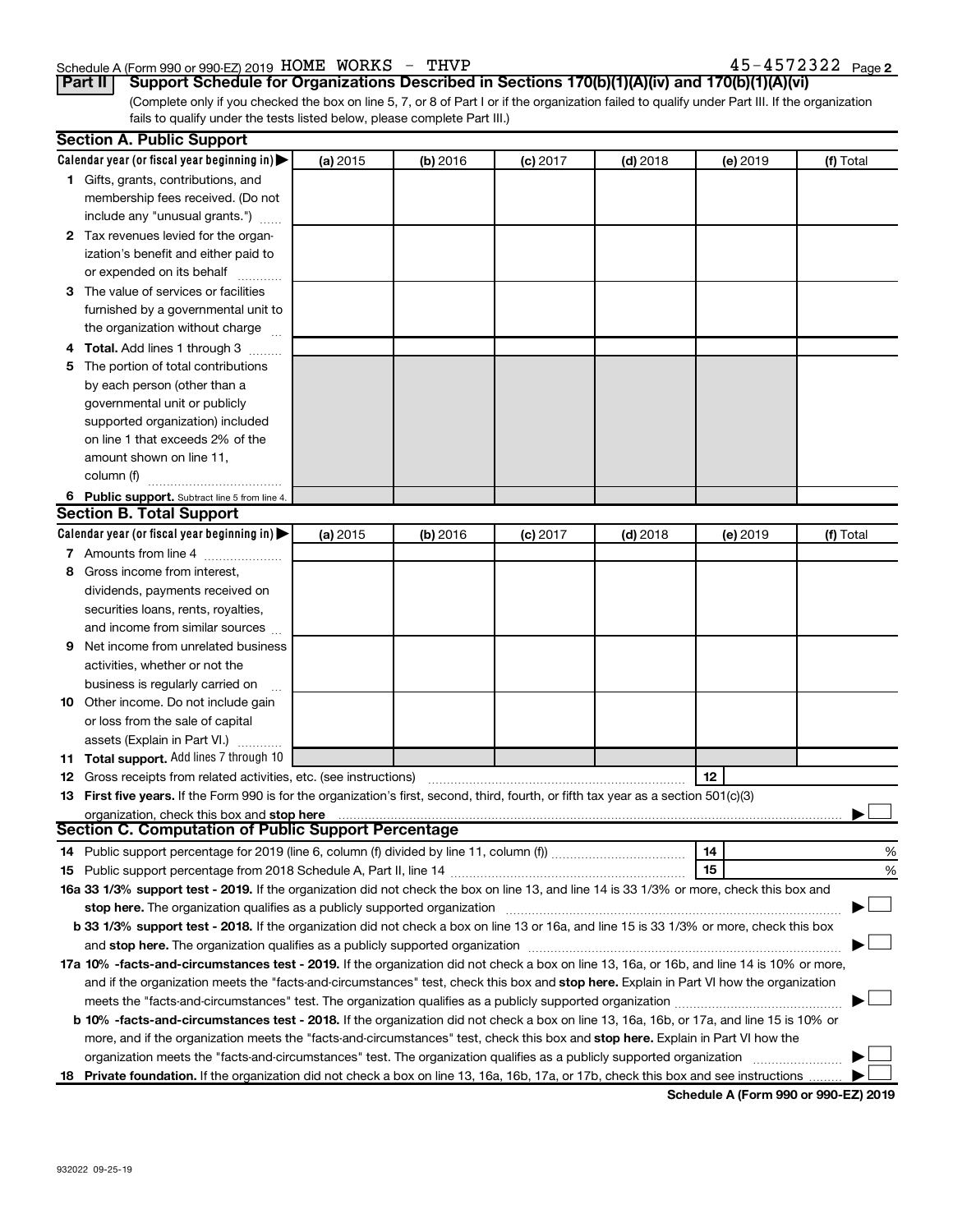#### Schedule A (Form 990 or 990-EZ) 2019 Page HOME WORKS - THVP 45-4572322

45-4572322 Page 2

**Part II Support Schedule for Organizations Described in Sections 170(b)(1)(A)(iv) and 170(b)(1)(A)(vi)**

(Complete only if you checked the box on line 5, 7, or 8 of Part I or if the organization failed to qualify under Part III. If the organization fails to qualify under the tests listed below, please complete Part III.)

|   | <b>Section A. Public Support</b>                                                                                                           |          |          |            |            |          |           |
|---|--------------------------------------------------------------------------------------------------------------------------------------------|----------|----------|------------|------------|----------|-----------|
|   | Calendar year (or fiscal year beginning in)                                                                                                | (a) 2015 | (b) 2016 | $(c)$ 2017 | $(d)$ 2018 | (e) 2019 | (f) Total |
|   | 1 Gifts, grants, contributions, and                                                                                                        |          |          |            |            |          |           |
|   | membership fees received. (Do not                                                                                                          |          |          |            |            |          |           |
|   | include any "unusual grants.")                                                                                                             |          |          |            |            |          |           |
|   | 2 Tax revenues levied for the organ-                                                                                                       |          |          |            |            |          |           |
|   | ization's benefit and either paid to                                                                                                       |          |          |            |            |          |           |
|   | or expended on its behalf                                                                                                                  |          |          |            |            |          |           |
|   | 3 The value of services or facilities                                                                                                      |          |          |            |            |          |           |
|   | furnished by a governmental unit to                                                                                                        |          |          |            |            |          |           |
|   | the organization without charge                                                                                                            |          |          |            |            |          |           |
|   | 4 Total. Add lines 1 through 3                                                                                                             |          |          |            |            |          |           |
|   | 5 The portion of total contributions                                                                                                       |          |          |            |            |          |           |
|   | by each person (other than a                                                                                                               |          |          |            |            |          |           |
|   | governmental unit or publicly                                                                                                              |          |          |            |            |          |           |
|   | supported organization) included                                                                                                           |          |          |            |            |          |           |
|   | on line 1 that exceeds 2% of the                                                                                                           |          |          |            |            |          |           |
|   | amount shown on line 11,                                                                                                                   |          |          |            |            |          |           |
|   | column (f)                                                                                                                                 |          |          |            |            |          |           |
|   | 6 Public support. Subtract line 5 from line 4.                                                                                             |          |          |            |            |          |           |
|   | <b>Section B. Total Support</b>                                                                                                            |          |          |            |            |          |           |
|   | Calendar year (or fiscal year beginning in)                                                                                                | (a) 2015 | (b) 2016 | $(c)$ 2017 | $(d)$ 2018 | (e) 2019 | (f) Total |
|   | 7 Amounts from line 4                                                                                                                      |          |          |            |            |          |           |
|   | 8 Gross income from interest.                                                                                                              |          |          |            |            |          |           |
|   | dividends, payments received on                                                                                                            |          |          |            |            |          |           |
|   | securities loans, rents, royalties,                                                                                                        |          |          |            |            |          |           |
|   | and income from similar sources                                                                                                            |          |          |            |            |          |           |
| 9 | Net income from unrelated business                                                                                                         |          |          |            |            |          |           |
|   | activities, whether or not the                                                                                                             |          |          |            |            |          |           |
|   | business is regularly carried on                                                                                                           |          |          |            |            |          |           |
|   | 10 Other income. Do not include gain                                                                                                       |          |          |            |            |          |           |
|   | or loss from the sale of capital                                                                                                           |          |          |            |            |          |           |
|   | assets (Explain in Part VI.)                                                                                                               |          |          |            |            |          |           |
|   | 11 Total support. Add lines 7 through 10                                                                                                   |          |          |            |            |          |           |
|   | <b>12</b> Gross receipts from related activities, etc. (see instructions)                                                                  |          |          |            |            | 12       |           |
|   | 13 First five years. If the Form 990 is for the organization's first, second, third, fourth, or fifth tax year as a section 501(c)(3)      |          |          |            |            |          |           |
|   | organization, check this box and stop here                                                                                                 |          |          |            |            |          |           |
|   | Section C. Computation of Public Support Percentage                                                                                        |          |          |            |            |          |           |
|   |                                                                                                                                            |          |          |            |            | 14       | %         |
|   |                                                                                                                                            |          |          |            |            | 15       | %         |
|   | 16a 33 1/3% support test - 2019. If the organization did not check the box on line 13, and line 14 is 33 1/3% or more, check this box and  |          |          |            |            |          |           |
|   | stop here. The organization qualifies as a publicly supported organization manufaction manufacture or the organization                     |          |          |            |            |          |           |
|   | b 33 1/3% support test - 2018. If the organization did not check a box on line 13 or 16a, and line 15 is 33 1/3% or more, check this box   |          |          |            |            |          |           |
|   |                                                                                                                                            |          |          |            |            |          |           |
|   | 17a 10% -facts-and-circumstances test - 2019. If the organization did not check a box on line 13, 16a, or 16b, and line 14 is 10% or more, |          |          |            |            |          |           |
|   | and if the organization meets the "facts-and-circumstances" test, check this box and stop here. Explain in Part VI how the organization    |          |          |            |            |          |           |
|   | meets the "facts-and-circumstances" test. The organization qualifies as a publicly supported organization <i>manumumumumum</i>             |          |          |            |            |          |           |
|   | b 10% -facts-and-circumstances test - 2018. If the organization did not check a box on line 13, 16a, 16b, or 17a, and line 15 is 10% or    |          |          |            |            |          |           |
|   | more, and if the organization meets the "facts-and-circumstances" test, check this box and stop here. Explain in Part VI how the           |          |          |            |            |          |           |
|   | organization meets the "facts-and-circumstances" test. The organization qualifies as a publicly supported organization                     |          |          |            |            |          |           |
|   | 18 Private foundation. If the organization did not check a box on line 13, 16a, 16b, 17a, or 17b, check this box and see instructions      |          |          |            |            |          |           |

**Schedule A (Form 990 or 990-EZ) 2019**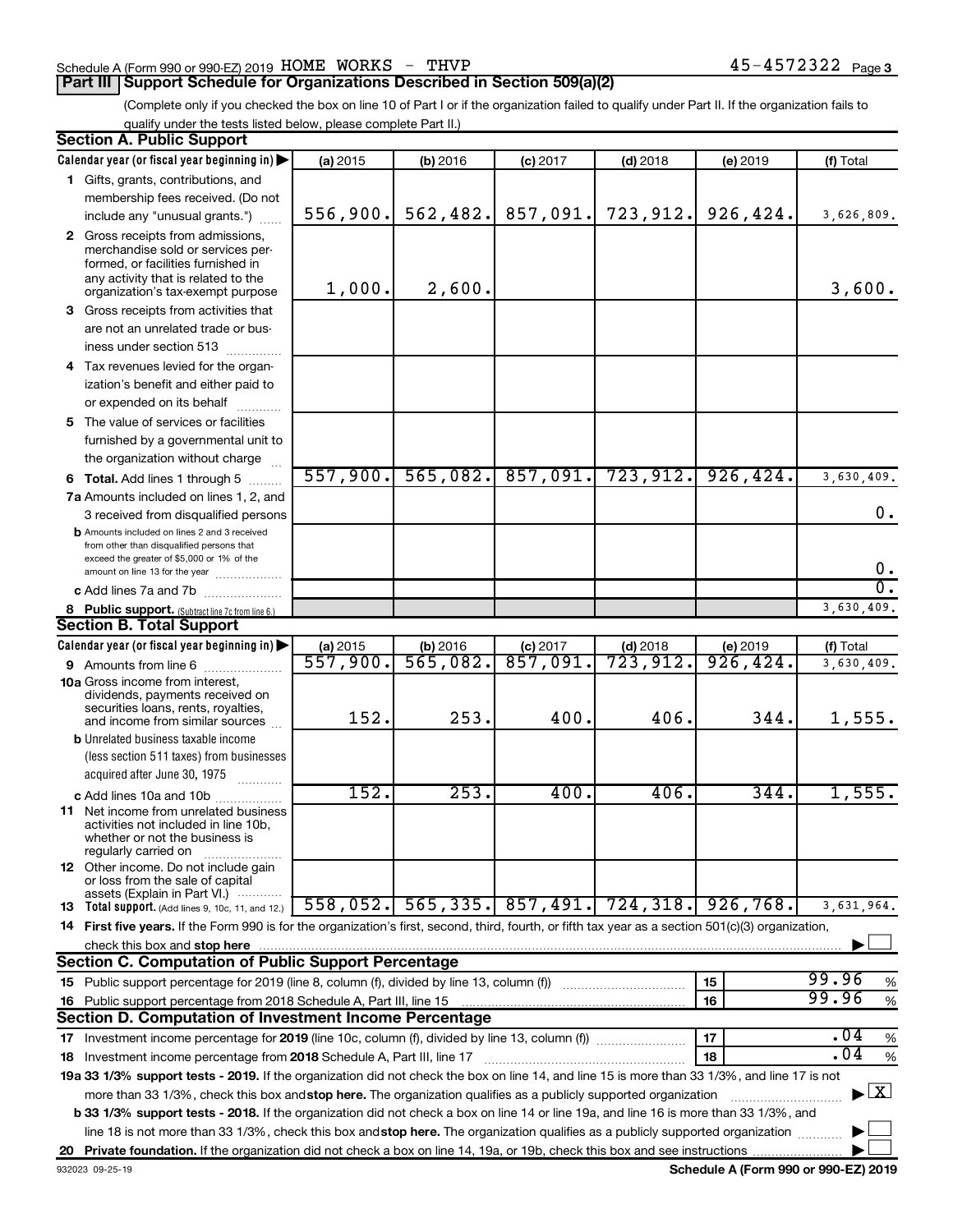#### Schedule A (Form 990 or 990-EZ) 2019 Page HOME WORKS - THVP 45-4572322

#### **Part III Support Schedule for Organizations Described in Section 509(a)(2)**

(Complete only if you checked the box on line 10 of Part I or if the organization failed to qualify under Part II. If the organization fails to qualify under the tests listed below, please complete Part II.)

| <b>Section A. Public Support</b>                                                                                                                                                                                                                          |          |          |                            |                        |           |                                          |
|-----------------------------------------------------------------------------------------------------------------------------------------------------------------------------------------------------------------------------------------------------------|----------|----------|----------------------------|------------------------|-----------|------------------------------------------|
| Calendar year (or fiscal year beginning in)                                                                                                                                                                                                               | (a) 2015 | (b) 2016 | $(c)$ 2017                 | $(d)$ 2018             | (e) 2019  | (f) Total                                |
| 1 Gifts, grants, contributions, and                                                                                                                                                                                                                       |          |          |                            |                        |           |                                          |
| membership fees received. (Do not                                                                                                                                                                                                                         |          |          |                            |                        |           |                                          |
| include any "unusual grants.")                                                                                                                                                                                                                            | 556,900. | 562,482. | 857,091.                   | 723,912.               | 926,424.  | 3,626,809.                               |
| 2 Gross receipts from admissions,<br>merchandise sold or services per-<br>formed, or facilities furnished in<br>any activity that is related to the<br>organization's tax-exempt purpose                                                                  | 1,000.   | 2,600.   |                            |                        |           | 3,600.                                   |
| 3 Gross receipts from activities that                                                                                                                                                                                                                     |          |          |                            |                        |           |                                          |
| are not an unrelated trade or bus-<br>iness under section 513                                                                                                                                                                                             |          |          |                            |                        |           |                                          |
| 4 Tax revenues levied for the organ-                                                                                                                                                                                                                      |          |          |                            |                        |           |                                          |
| ization's benefit and either paid to                                                                                                                                                                                                                      |          |          |                            |                        |           |                                          |
| or expended on its behalf                                                                                                                                                                                                                                 |          |          |                            |                        |           |                                          |
| 5 The value of services or facilities                                                                                                                                                                                                                     |          |          |                            |                        |           |                                          |
| furnished by a governmental unit to<br>the organization without charge                                                                                                                                                                                    |          |          |                            |                        |           |                                          |
| <b>6 Total.</b> Add lines 1 through 5                                                                                                                                                                                                                     | 557,900. | 565,082. | 857,091.                   | 723, 912.              | 926, 424. | 3,630,409.                               |
| 7a Amounts included on lines 1, 2, and                                                                                                                                                                                                                    |          |          |                            |                        |           |                                          |
| 3 received from disqualified persons                                                                                                                                                                                                                      |          |          |                            |                        |           | 0.                                       |
| <b>b</b> Amounts included on lines 2 and 3 received<br>from other than disqualified persons that<br>exceed the greater of \$5,000 or 1% of the<br>amount on line 13 for the year                                                                          |          |          |                            |                        |           | 0.                                       |
| c Add lines 7a and 7b                                                                                                                                                                                                                                     |          |          |                            |                        |           | σ.                                       |
| 8 Public support. (Subtract line 7c from line 6.)                                                                                                                                                                                                         |          |          |                            |                        |           | 3,630,409.                               |
| <b>Section B. Total Support</b>                                                                                                                                                                                                                           |          |          |                            |                        |           |                                          |
| Calendar year (or fiscal year beginning in)                                                                                                                                                                                                               | (a) 2015 | (b) 2016 | $(c)$ 2017                 | $(d)$ 2018             | (e) 2019  | (f) Total                                |
| 9 Amounts from line 6                                                                                                                                                                                                                                     | 557,900. | 565,082. | 857,091.                   | $\overline{723}$ ,912. | 926,424.  | 3,630,409.                               |
| <b>10a</b> Gross income from interest,<br>dividends, payments received on<br>securities loans, rents, royalties,<br>and income from similar sources                                                                                                       | 152.     | 253.     | 400.                       | 406.                   | 344.      | 1,555.                                   |
| <b>b</b> Unrelated business taxable income                                                                                                                                                                                                                |          |          |                            |                        |           |                                          |
| (less section 511 taxes) from businesses                                                                                                                                                                                                                  |          |          |                            |                        |           |                                          |
| acquired after June 30, 1975<br>.                                                                                                                                                                                                                         |          |          |                            |                        |           |                                          |
| c Add lines 10a and 10b<br>11 Net income from unrelated business<br>activities not included in line 10b,<br>whether or not the business is<br>regularly carried on                                                                                        | 152.     | 253.     | 400.                       | 406.                   | 344.      | 1,555.                                   |
| 12 Other income. Do not include gain<br>or loss from the sale of capital<br>assets (Explain in Part VI.)                                                                                                                                                  |          |          |                            |                        |           |                                          |
| <b>13</b> Total support. (Add lines 9, 10c, 11, and 12.)                                                                                                                                                                                                  | 558,052. |          | 565,335. 857,491. 724,318. |                        | 926,768.  | 3,631,964.                               |
| 14 First five years. If the Form 990 is for the organization's first, second, third, fourth, or fifth tax year as a section 501(c)(3) organization,                                                                                                       |          |          |                            |                        |           |                                          |
| check this box and stop here                                                                                                                                                                                                                              |          |          |                            |                        |           |                                          |
| <b>Section C. Computation of Public Support Percentage</b>                                                                                                                                                                                                |          |          |                            |                        |           |                                          |
|                                                                                                                                                                                                                                                           |          |          |                            |                        | 15        | 99.96<br>%                               |
| 16 Public support percentage from 2018 Schedule A, Part III, line 15                                                                                                                                                                                      |          |          |                            |                        | 16        | 99.96<br>$\%$                            |
| Section D. Computation of Investment Income Percentage                                                                                                                                                                                                    |          |          |                            |                        |           |                                          |
|                                                                                                                                                                                                                                                           |          |          |                            |                        | 17        | .04<br>$\%$                              |
| 18 Investment income percentage from 2018 Schedule A, Part III, line 17                                                                                                                                                                                   |          |          |                            |                        | 18        | .04<br>%                                 |
| 19a 33 1/3% support tests - 2019. If the organization did not check the box on line 14, and line 15 is more than 33 1/3%, and line 17 is not                                                                                                              |          |          |                            |                        |           |                                          |
| more than 33 1/3%, check this box and stop here. The organization qualifies as a publicly supported organization<br>b 33 1/3% support tests - 2018. If the organization did not check a box on line 14 or line 19a, and line 16 is more than 33 1/3%, and |          |          |                            |                        |           | $\blacktriangleright$ $\boxed{\text{X}}$ |
| line 18 is not more than 33 1/3%, check this box and stop here. The organization qualifies as a publicly supported organization                                                                                                                           |          |          |                            |                        |           |                                          |
|                                                                                                                                                                                                                                                           |          |          |                            |                        |           |                                          |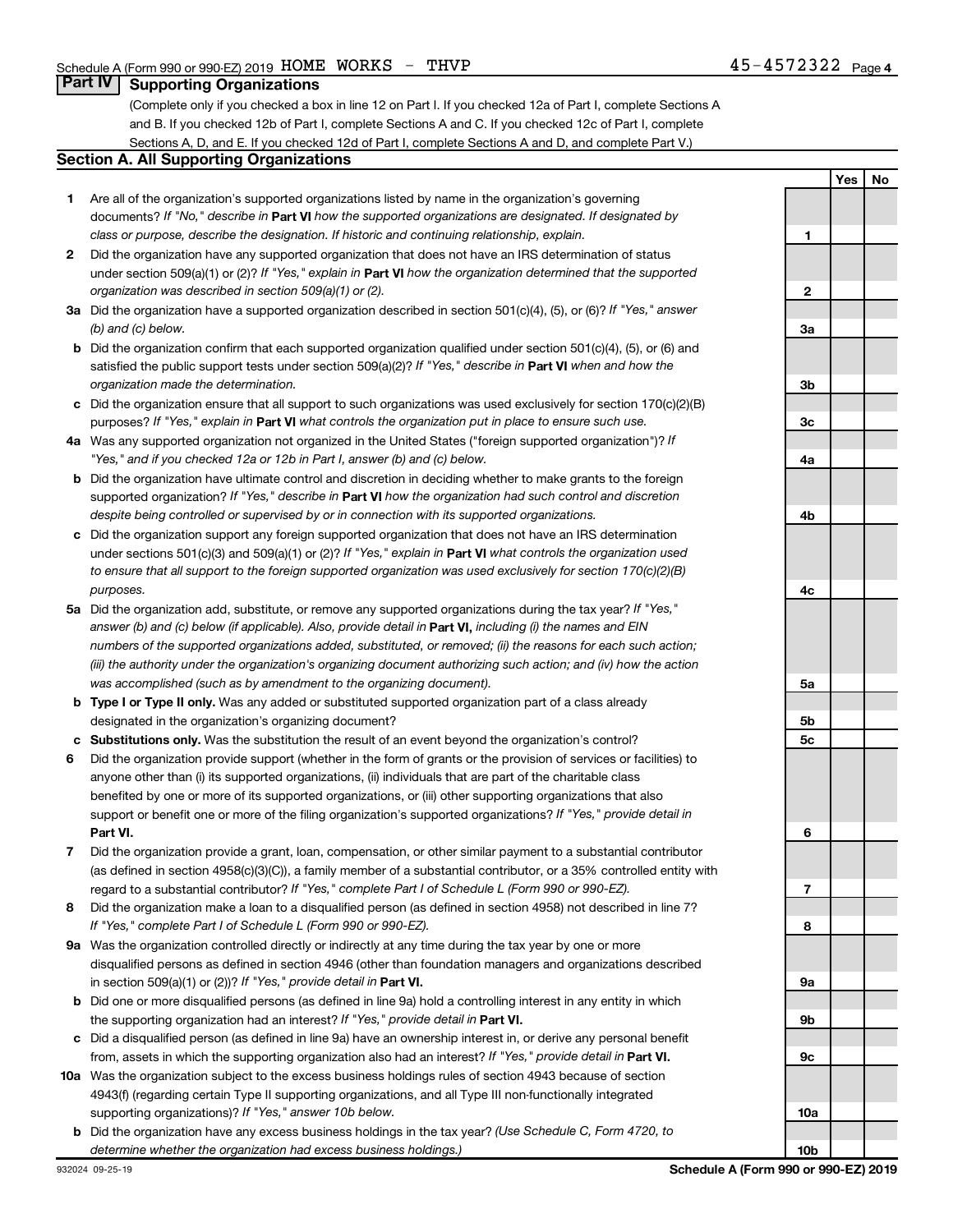### **Part IV Supporting Organizations**

(Complete only if you checked a box in line 12 on Part I. If you checked 12a of Part I, complete Sections A and B. If you checked 12b of Part I, complete Sections A and C. If you checked 12c of Part I, complete Sections A, D, and E. If you checked 12d of Part I, complete Sections A and D, and complete Part V.)

#### **Section A. All Supporting Organizations**

- **1** Are all of the organization's supported organizations listed by name in the organization's governing documents? If "No," describe in Part VI how the supported organizations are designated. If designated by *class or purpose, describe the designation. If historic and continuing relationship, explain.*
- **2** Did the organization have any supported organization that does not have an IRS determination of status under section 509(a)(1) or (2)? If "Yes," explain in Part **VI** how the organization determined that the supported *organization was described in section 509(a)(1) or (2).*
- **3a** Did the organization have a supported organization described in section 501(c)(4), (5), or (6)? If "Yes," answer *(b) and (c) below.*
- **b** Did the organization confirm that each supported organization qualified under section 501(c)(4), (5), or (6) and satisfied the public support tests under section 509(a)(2)? If "Yes," describe in Part VI when and how the *organization made the determination.*
- **c** Did the organization ensure that all support to such organizations was used exclusively for section 170(c)(2)(B) purposes? If "Yes," explain in Part VI what controls the organization put in place to ensure such use.
- **4 a** *If* Was any supported organization not organized in the United States ("foreign supported organization")? *"Yes," and if you checked 12a or 12b in Part I, answer (b) and (c) below.*
- **b** Did the organization have ultimate control and discretion in deciding whether to make grants to the foreign supported organization? If "Yes," describe in Part VI how the organization had such control and discretion *despite being controlled or supervised by or in connection with its supported organizations.*
- **c** Did the organization support any foreign supported organization that does not have an IRS determination under sections 501(c)(3) and 509(a)(1) or (2)? If "Yes," explain in Part VI what controls the organization used *to ensure that all support to the foreign supported organization was used exclusively for section 170(c)(2)(B) purposes.*
- **5a** Did the organization add, substitute, or remove any supported organizations during the tax year? If "Yes," answer (b) and (c) below (if applicable). Also, provide detail in **Part VI,** including (i) the names and EIN *numbers of the supported organizations added, substituted, or removed; (ii) the reasons for each such action; (iii) the authority under the organization's organizing document authorizing such action; and (iv) how the action was accomplished (such as by amendment to the organizing document).*
- **b Type I or Type II only.** Was any added or substituted supported organization part of a class already designated in the organization's organizing document?
- **c Substitutions only.**  Was the substitution the result of an event beyond the organization's control?
- **6** Did the organization provide support (whether in the form of grants or the provision of services or facilities) to **Part VI.** support or benefit one or more of the filing organization's supported organizations? If "Yes," provide detail in anyone other than (i) its supported organizations, (ii) individuals that are part of the charitable class benefited by one or more of its supported organizations, or (iii) other supporting organizations that also
- **7** Did the organization provide a grant, loan, compensation, or other similar payment to a substantial contributor regard to a substantial contributor? If "Yes," complete Part I of Schedule L (Form 990 or 990-EZ). (as defined in section 4958(c)(3)(C)), a family member of a substantial contributor, or a 35% controlled entity with
- **8** Did the organization make a loan to a disqualified person (as defined in section 4958) not described in line 7? *If "Yes," complete Part I of Schedule L (Form 990 or 990-EZ).*
- **9 a** Was the organization controlled directly or indirectly at any time during the tax year by one or more in section 509(a)(1) or (2))? If "Yes," provide detail in **Part VI.** disqualified persons as defined in section 4946 (other than foundation managers and organizations described
- **b** Did one or more disqualified persons (as defined in line 9a) hold a controlling interest in any entity in which the supporting organization had an interest? If "Yes," provide detail in Part VI.
- **c** Did a disqualified person (as defined in line 9a) have an ownership interest in, or derive any personal benefit from, assets in which the supporting organization also had an interest? If "Yes," provide detail in Part VI.
- **10 a** Was the organization subject to the excess business holdings rules of section 4943 because of section supporting organizations)? If "Yes," answer 10b below. 4943(f) (regarding certain Type II supporting organizations, and all Type III non-functionally integrated
	- **b** Did the organization have any excess business holdings in the tax year? (Use Schedule C, Form 4720, to *determine whether the organization had excess business holdings.)*

**Yes No 1 2 3a 3b 3c 4a 4b 4c 5a 5b 5c 6 7 8 9a 9b 9c 10a 10b**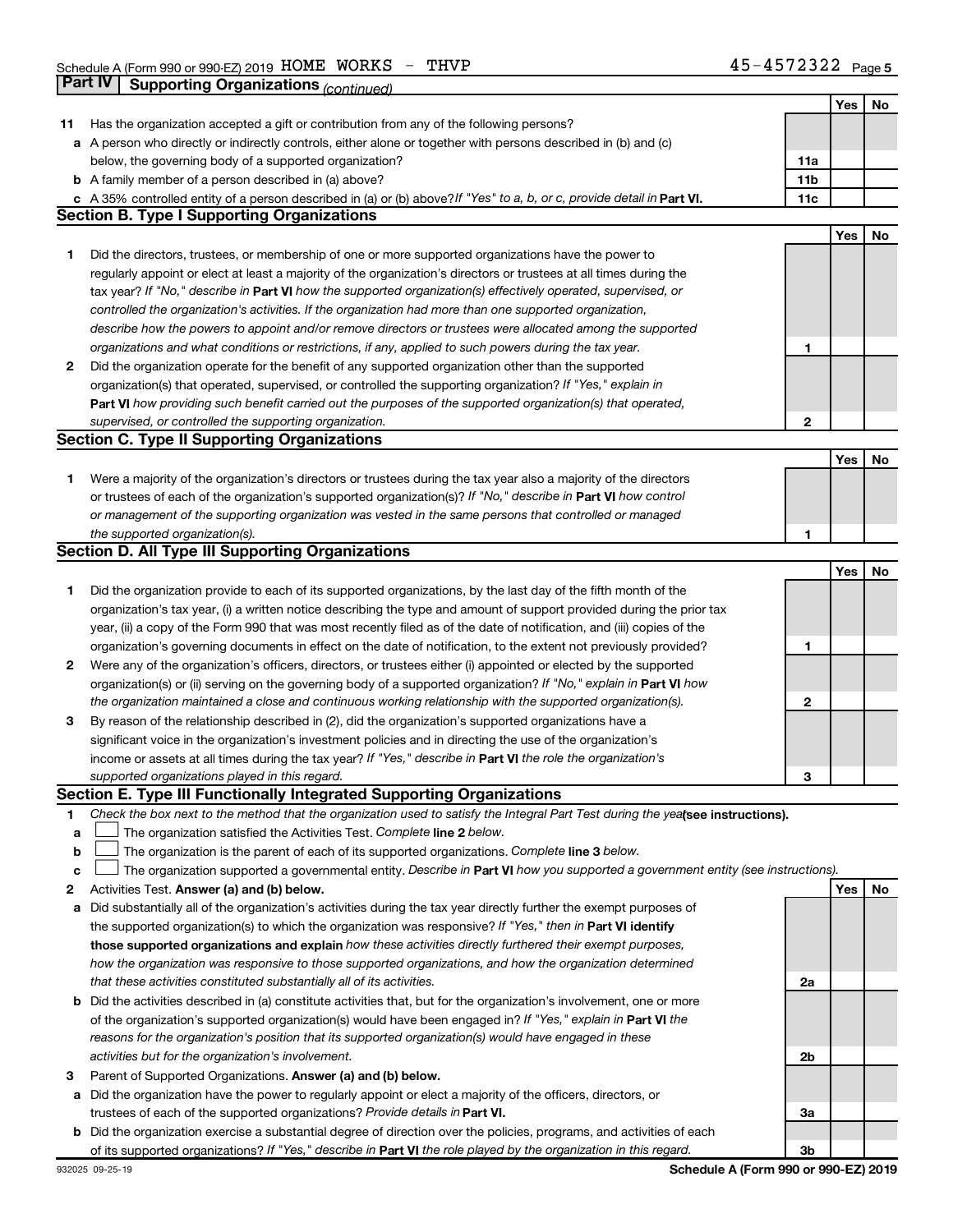|    |                                                                                                                                                                                                                                   |              | Yes | No |
|----|-----------------------------------------------------------------------------------------------------------------------------------------------------------------------------------------------------------------------------------|--------------|-----|----|
| 11 | Has the organization accepted a gift or contribution from any of the following persons?                                                                                                                                           |              |     |    |
|    | a A person who directly or indirectly controls, either alone or together with persons described in (b) and (c)                                                                                                                    |              |     |    |
|    | below, the governing body of a supported organization?                                                                                                                                                                            | 11a          |     |    |
|    | <b>b</b> A family member of a person described in (a) above?                                                                                                                                                                      | 11b          |     |    |
|    | c A 35% controlled entity of a person described in (a) or (b) above? If "Yes" to a, b, or c, provide detail in Part VI.                                                                                                           | 11c          |     |    |
|    | <b>Section B. Type I Supporting Organizations</b>                                                                                                                                                                                 |              |     |    |
|    |                                                                                                                                                                                                                                   |              | Yes | No |
| 1  | Did the directors, trustees, or membership of one or more supported organizations have the power to                                                                                                                               |              |     |    |
|    | regularly appoint or elect at least a majority of the organization's directors or trustees at all times during the                                                                                                                |              |     |    |
|    | tax year? If "No," describe in Part VI how the supported organization(s) effectively operated, supervised, or                                                                                                                     |              |     |    |
|    | controlled the organization's activities. If the organization had more than one supported organization,                                                                                                                           |              |     |    |
|    | describe how the powers to appoint and/or remove directors or trustees were allocated among the supported                                                                                                                         |              |     |    |
|    | organizations and what conditions or restrictions, if any, applied to such powers during the tax year.                                                                                                                            | 1            |     |    |
| 2  | Did the organization operate for the benefit of any supported organization other than the supported                                                                                                                               |              |     |    |
|    | organization(s) that operated, supervised, or controlled the supporting organization? If "Yes," explain in                                                                                                                        |              |     |    |
|    | Part VI how providing such benefit carried out the purposes of the supported organization(s) that operated,                                                                                                                       |              |     |    |
|    | supervised, or controlled the supporting organization.                                                                                                                                                                            | $\mathbf{2}$ |     |    |
|    | <b>Section C. Type II Supporting Organizations</b>                                                                                                                                                                                |              |     |    |
|    |                                                                                                                                                                                                                                   |              | Yes |    |
|    |                                                                                                                                                                                                                                   |              |     | No |
| 1  | Were a majority of the organization's directors or trustees during the tax year also a majority of the directors<br>or trustees of each of the organization's supported organization(s)? If "No," describe in Part VI how control |              |     |    |
|    |                                                                                                                                                                                                                                   |              |     |    |
|    | or management of the supporting organization was vested in the same persons that controlled or managed                                                                                                                            |              |     |    |
|    | the supported organization(s).<br><b>Section D. All Type III Supporting Organizations</b>                                                                                                                                         | 1            |     |    |
|    |                                                                                                                                                                                                                                   |              |     |    |
|    |                                                                                                                                                                                                                                   |              | Yes | No |
| 1  | Did the organization provide to each of its supported organizations, by the last day of the fifth month of the                                                                                                                    |              |     |    |
|    | organization's tax year, (i) a written notice describing the type and amount of support provided during the prior tax                                                                                                             |              |     |    |
|    | year, (ii) a copy of the Form 990 that was most recently filed as of the date of notification, and (iii) copies of the                                                                                                            |              |     |    |
|    | organization's governing documents in effect on the date of notification, to the extent not previously provided?                                                                                                                  | 1            |     |    |
| 2  | Were any of the organization's officers, directors, or trustees either (i) appointed or elected by the supported                                                                                                                  |              |     |    |
|    | organization(s) or (ii) serving on the governing body of a supported organization? If "No," explain in Part VI how                                                                                                                |              |     |    |
|    | the organization maintained a close and continuous working relationship with the supported organization(s).                                                                                                                       | 2            |     |    |
| 3  | By reason of the relationship described in (2), did the organization's supported organizations have a                                                                                                                             |              |     |    |
|    | significant voice in the organization's investment policies and in directing the use of the organization's                                                                                                                        |              |     |    |
|    | income or assets at all times during the tax year? If "Yes," describe in Part VI the role the organization's                                                                                                                      |              |     |    |
|    | supported organizations played in this regard.                                                                                                                                                                                    | З            |     |    |
|    | <b>Section E. Type III Functionally Integrated Supporting Organizations</b>                                                                                                                                                       |              |     |    |
| 1. | Check the box next to the method that the organization used to satisfy the Integral Part Test during the yealsee instructions).                                                                                                   |              |     |    |
| a  | The organization satisfied the Activities Test. Complete line 2 below.                                                                                                                                                            |              |     |    |
| b  | The organization is the parent of each of its supported organizations. Complete line 3 below.                                                                                                                                     |              |     |    |
| с  | The organization supported a governmental entity. Describe in Part VI how you supported a government entity (see instructions).                                                                                                   |              |     |    |
| 2  | Activities Test. Answer (a) and (b) below.                                                                                                                                                                                        |              | Yes | No |
| а  | Did substantially all of the organization's activities during the tax year directly further the exempt purposes of                                                                                                                |              |     |    |
|    | the supported organization(s) to which the organization was responsive? If "Yes," then in Part VI identify                                                                                                                        |              |     |    |
|    | those supported organizations and explain how these activities directly furthered their exempt purposes,                                                                                                                          |              |     |    |
|    | how the organization was responsive to those supported organizations, and how the organization determined                                                                                                                         |              |     |    |
|    | that these activities constituted substantially all of its activities.                                                                                                                                                            | 2a           |     |    |
|    | <b>b</b> Did the activities described in (a) constitute activities that, but for the organization's involvement, one or more                                                                                                      |              |     |    |
|    | of the organization's supported organization(s) would have been engaged in? If "Yes," explain in Part VI the                                                                                                                      |              |     |    |
|    | reasons for the organization's position that its supported organization(s) would have engaged in these                                                                                                                            |              |     |    |
|    | activities but for the organization's involvement.                                                                                                                                                                                | 2b           |     |    |
| з  | Parent of Supported Organizations. Answer (a) and (b) below.                                                                                                                                                                      |              |     |    |
| а  | Did the organization have the power to regularly appoint or elect a majority of the officers, directors, or                                                                                                                       |              |     |    |
|    | trustees of each of the supported organizations? Provide details in Part VI.                                                                                                                                                      | За           |     |    |
|    | b Did the organization exercise a substantial degree of direction over the policies, programs, and activities of each                                                                                                             |              |     |    |
|    | of its supported organizations? If "Yes," describe in Part VI the role played by the organization in this regard.                                                                                                                 | 3b           |     |    |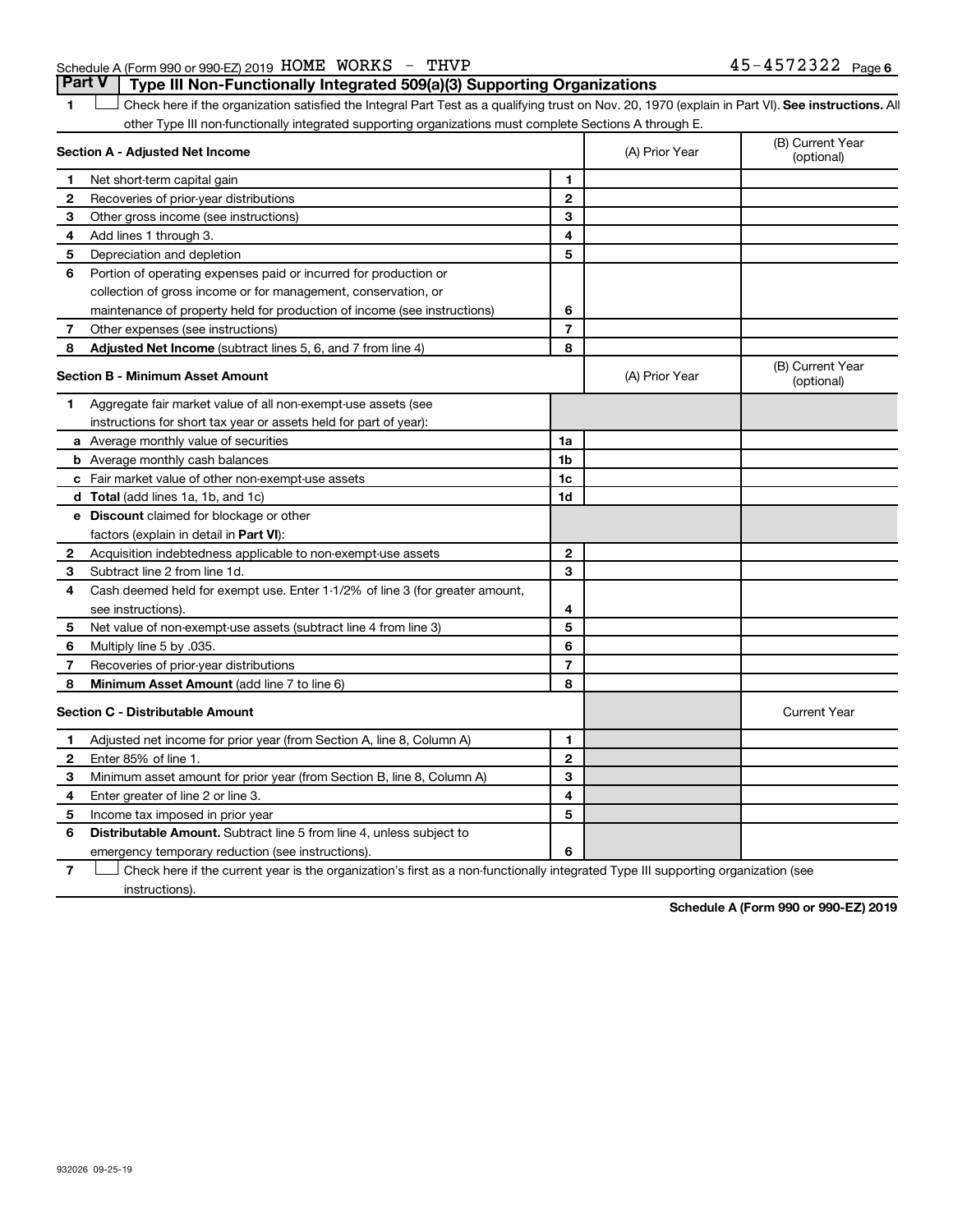#### Schedule A (Form 990 or 990-EZ) 2019 Page HOME WORKS - THVP 45-4572322**Part V Type III Non-Functionally Integrated 509(a)(3) Supporting Organizations**

1 **Letter See instructions.** All Check here if the organization satisfied the Integral Part Test as a qualifying trust on Nov. 20, 1970 (explain in Part VI). See instructions. All other Type III non-functionally integrated supporting organizations must complete Sections A through E.

|              | Section A - Adjusted Net Income                                              |                | (A) Prior Year | (B) Current Year<br>(optional) |
|--------------|------------------------------------------------------------------------------|----------------|----------------|--------------------------------|
| 1            | Net short-term capital gain                                                  | 1              |                |                                |
| $\mathbf{2}$ | Recoveries of prior-year distributions                                       | $\mathbf{2}$   |                |                                |
| З            | Other gross income (see instructions)                                        | 3              |                |                                |
| 4            | Add lines 1 through 3.                                                       | 4              |                |                                |
| 5            | Depreciation and depletion                                                   | 5              |                |                                |
| 6            | Portion of operating expenses paid or incurred for production or             |                |                |                                |
|              | collection of gross income or for management, conservation, or               |                |                |                                |
|              | maintenance of property held for production of income (see instructions)     | 6              |                |                                |
| 7            | Other expenses (see instructions)                                            | $\overline{7}$ |                |                                |
| 8            | Adjusted Net Income (subtract lines 5, 6, and 7 from line 4)                 | 8              |                |                                |
|              | <b>Section B - Minimum Asset Amount</b>                                      |                | (A) Prior Year | (B) Current Year<br>(optional) |
| 1            | Aggregate fair market value of all non-exempt-use assets (see                |                |                |                                |
|              | instructions for short tax year or assets held for part of year):            |                |                |                                |
|              | a Average monthly value of securities                                        | 1a             |                |                                |
|              | <b>b</b> Average monthly cash balances                                       | 1b             |                |                                |
|              | c Fair market value of other non-exempt-use assets                           | 1c             |                |                                |
|              | d Total (add lines 1a, 1b, and 1c)                                           | 1d             |                |                                |
|              | e Discount claimed for blockage or other                                     |                |                |                                |
|              | factors (explain in detail in Part VI):                                      |                |                |                                |
| 2            | Acquisition indebtedness applicable to non-exempt-use assets                 | $\mathbf{2}$   |                |                                |
| 3            | Subtract line 2 from line 1d.                                                | 3              |                |                                |
| 4            | Cash deemed held for exempt use. Enter 1-1/2% of line 3 (for greater amount, |                |                |                                |
|              | see instructions).                                                           | 4              |                |                                |
| 5            | Net value of non-exempt-use assets (subtract line 4 from line 3)             | 5              |                |                                |
| 6            | Multiply line 5 by .035.                                                     | 6              |                |                                |
| 7            | Recoveries of prior-year distributions                                       | 7              |                |                                |
| 8            | <b>Minimum Asset Amount (add line 7 to line 6)</b>                           | 8              |                |                                |
|              | <b>Section C - Distributable Amount</b>                                      |                |                | <b>Current Year</b>            |
| 1            | Adjusted net income for prior year (from Section A, line 8, Column A)        | 1              |                |                                |
| $\mathbf{2}$ | Enter 85% of line 1.                                                         | $\mathbf{2}$   |                |                                |
| 3            | Minimum asset amount for prior year (from Section B, line 8, Column A)       | 3              |                |                                |
| 4            | Enter greater of line 2 or line 3.                                           | 4              |                |                                |
| 5            | Income tax imposed in prior year                                             | 5              |                |                                |
| 6            | <b>Distributable Amount.</b> Subtract line 5 from line 4, unless subject to  |                |                |                                |
|              | emergency temporary reduction (see instructions).                            | 6              |                |                                |
|              |                                                                              |                |                |                                |

**7** Check here if the current year is the organization's first as a non-functionally integrated Type III supporting organization (see † instructions).

**Schedule A (Form 990 or 990-EZ) 2019**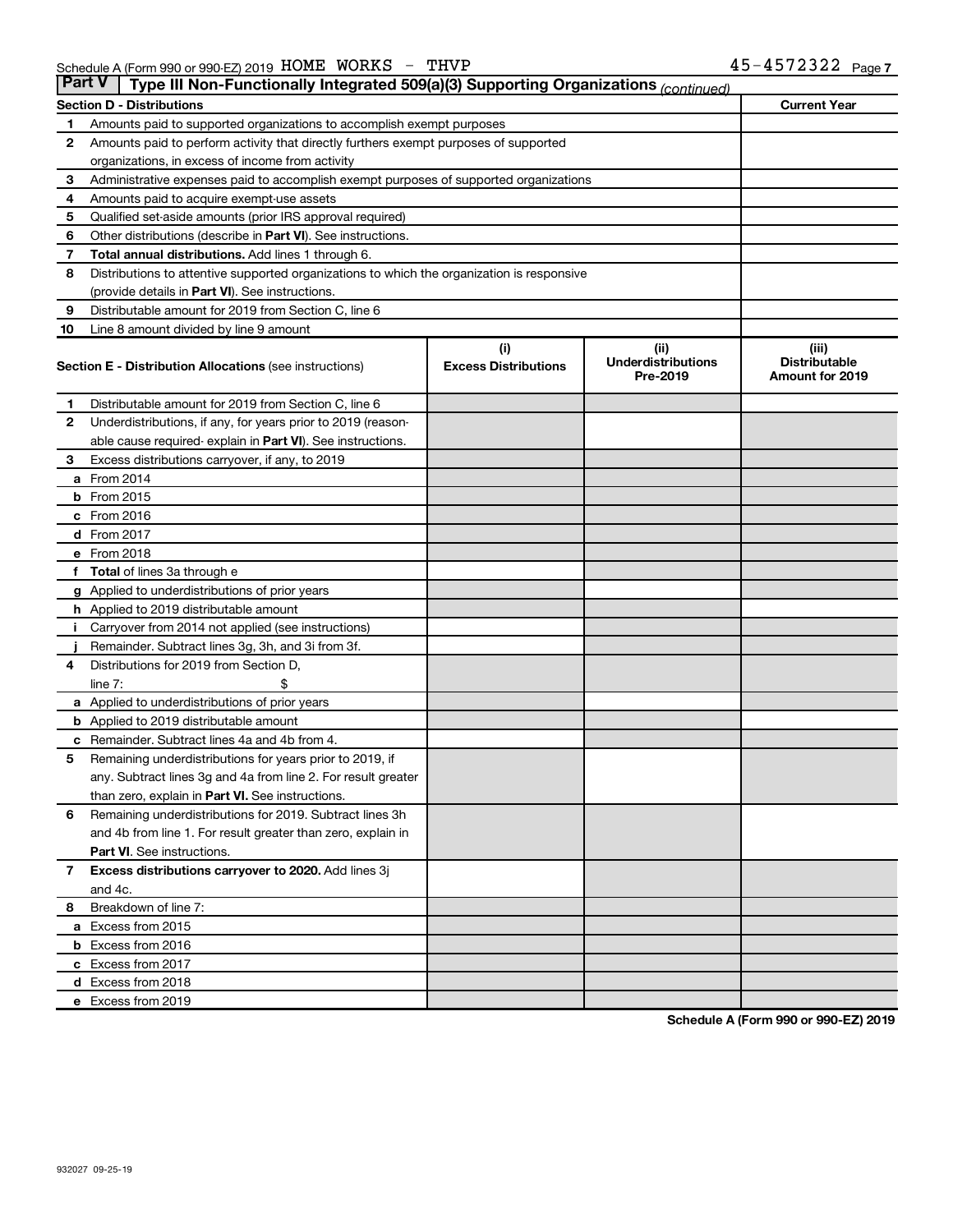| <b>Part V</b> | Type III Non-Functionally Integrated 509(a)(3) Supporting Organizations (continued)        |                             |                                       |                                         |
|---------------|--------------------------------------------------------------------------------------------|-----------------------------|---------------------------------------|-----------------------------------------|
|               | <b>Section D - Distributions</b>                                                           |                             |                                       | <b>Current Year</b>                     |
| 1             | Amounts paid to supported organizations to accomplish exempt purposes                      |                             |                                       |                                         |
| 2             | Amounts paid to perform activity that directly furthers exempt purposes of supported       |                             |                                       |                                         |
|               | organizations, in excess of income from activity                                           |                             |                                       |                                         |
| 3             | Administrative expenses paid to accomplish exempt purposes of supported organizations      |                             |                                       |                                         |
| 4             | Amounts paid to acquire exempt-use assets                                                  |                             |                                       |                                         |
| 5             | Qualified set-aside amounts (prior IRS approval required)                                  |                             |                                       |                                         |
| 6             | Other distributions (describe in Part VI). See instructions.                               |                             |                                       |                                         |
| 7             | Total annual distributions. Add lines 1 through 6.                                         |                             |                                       |                                         |
| 8             | Distributions to attentive supported organizations to which the organization is responsive |                             |                                       |                                         |
|               | (provide details in Part VI). See instructions.                                            |                             |                                       |                                         |
| 9             | Distributable amount for 2019 from Section C, line 6                                       |                             |                                       |                                         |
| 10            | Line 8 amount divided by line 9 amount                                                     |                             |                                       |                                         |
|               |                                                                                            | (i)                         | (ii)                                  | (iii)                                   |
|               | <b>Section E - Distribution Allocations (see instructions)</b>                             | <b>Excess Distributions</b> | <b>Underdistributions</b><br>Pre-2019 | <b>Distributable</b><br>Amount for 2019 |
| 1.            | Distributable amount for 2019 from Section C, line 6                                       |                             |                                       |                                         |
| $\mathbf{2}$  | Underdistributions, if any, for years prior to 2019 (reason-                               |                             |                                       |                                         |
|               | able cause required- explain in Part VI). See instructions.                                |                             |                                       |                                         |
| 3             | Excess distributions carryover, if any, to 2019                                            |                             |                                       |                                         |
|               | a From 2014                                                                                |                             |                                       |                                         |
|               | <b>b</b> From 2015                                                                         |                             |                                       |                                         |
|               | c From 2016                                                                                |                             |                                       |                                         |
|               | <b>d</b> From 2017                                                                         |                             |                                       |                                         |
|               | e From 2018                                                                                |                             |                                       |                                         |
|               | <b>Total</b> of lines 3a through e                                                         |                             |                                       |                                         |
|               | <b>g</b> Applied to underdistributions of prior years                                      |                             |                                       |                                         |
|               | <b>h</b> Applied to 2019 distributable amount                                              |                             |                                       |                                         |
|               | Carryover from 2014 not applied (see instructions)                                         |                             |                                       |                                         |
|               | Remainder. Subtract lines 3g, 3h, and 3i from 3f.                                          |                             |                                       |                                         |
| 4             | Distributions for 2019 from Section D,                                                     |                             |                                       |                                         |
|               | line $7:$                                                                                  |                             |                                       |                                         |
|               | a Applied to underdistributions of prior years                                             |                             |                                       |                                         |
|               | <b>b</b> Applied to 2019 distributable amount                                              |                             |                                       |                                         |
| с             | Remainder. Subtract lines 4a and 4b from 4.                                                |                             |                                       |                                         |
| 5             | Remaining underdistributions for years prior to 2019, if                                   |                             |                                       |                                         |
|               | any. Subtract lines 3g and 4a from line 2. For result greater                              |                             |                                       |                                         |
|               | than zero, explain in Part VI. See instructions.                                           |                             |                                       |                                         |
| 6             | Remaining underdistributions for 2019. Subtract lines 3h                                   |                             |                                       |                                         |
|               | and 4b from line 1. For result greater than zero, explain in                               |                             |                                       |                                         |
|               | <b>Part VI.</b> See instructions.                                                          |                             |                                       |                                         |
| $\mathbf{7}$  | Excess distributions carryover to 2020. Add lines 3j                                       |                             |                                       |                                         |
|               | and 4c.                                                                                    |                             |                                       |                                         |
| 8             | Breakdown of line 7:                                                                       |                             |                                       |                                         |
|               | a Excess from 2015                                                                         |                             |                                       |                                         |
|               | <b>b</b> Excess from 2016                                                                  |                             |                                       |                                         |
|               | c Excess from 2017                                                                         |                             |                                       |                                         |
|               | d Excess from 2018                                                                         |                             |                                       |                                         |
|               | e Excess from 2019                                                                         |                             |                                       |                                         |

**Schedule A (Form 990 or 990-EZ) 2019**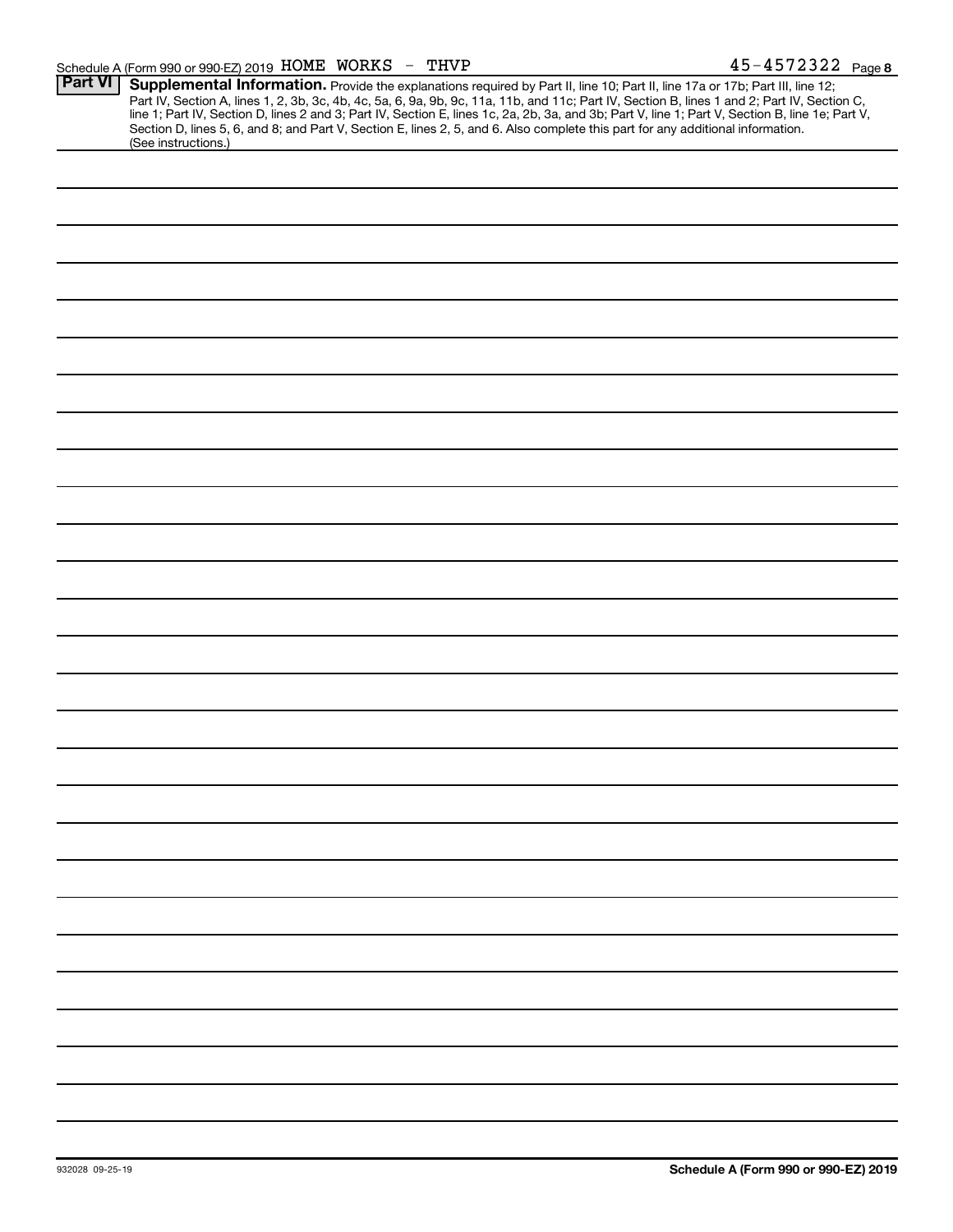| <b>Part VI</b> | Supplemental Information. Provide the explanations required by Part II, line 10; Part II, line 17a or 17b; Part III, line 12;<br>Part IV, Section A, lines 1, 2, 3b, 3c, 4b, 4c, 5a, 6, 9a, 9b, 9c, 11a, 11b, and 11c; Part IV, Section B, lines 1 and 2; Part IV, Section C,<br>line 1; Part IV, Section D, lines 2 and 3; Part IV, Section E, lines 1c, 2a, 2b, 3a, and 3b; Part V, line 1; Part V, Section B, line 1e; Part V, |
|----------------|-----------------------------------------------------------------------------------------------------------------------------------------------------------------------------------------------------------------------------------------------------------------------------------------------------------------------------------------------------------------------------------------------------------------------------------|
|                | Section D, lines 5, 6, and 8; and Part V, Section E, lines 2, 5, and 6. Also complete this part for any additional information.<br>(See instructions.)                                                                                                                                                                                                                                                                            |
|                |                                                                                                                                                                                                                                                                                                                                                                                                                                   |
|                |                                                                                                                                                                                                                                                                                                                                                                                                                                   |
|                |                                                                                                                                                                                                                                                                                                                                                                                                                                   |
|                |                                                                                                                                                                                                                                                                                                                                                                                                                                   |
|                |                                                                                                                                                                                                                                                                                                                                                                                                                                   |
|                |                                                                                                                                                                                                                                                                                                                                                                                                                                   |
|                |                                                                                                                                                                                                                                                                                                                                                                                                                                   |
|                |                                                                                                                                                                                                                                                                                                                                                                                                                                   |
|                |                                                                                                                                                                                                                                                                                                                                                                                                                                   |
|                |                                                                                                                                                                                                                                                                                                                                                                                                                                   |
|                |                                                                                                                                                                                                                                                                                                                                                                                                                                   |
|                |                                                                                                                                                                                                                                                                                                                                                                                                                                   |
|                |                                                                                                                                                                                                                                                                                                                                                                                                                                   |
|                |                                                                                                                                                                                                                                                                                                                                                                                                                                   |
|                |                                                                                                                                                                                                                                                                                                                                                                                                                                   |
|                |                                                                                                                                                                                                                                                                                                                                                                                                                                   |
|                |                                                                                                                                                                                                                                                                                                                                                                                                                                   |
|                |                                                                                                                                                                                                                                                                                                                                                                                                                                   |
|                |                                                                                                                                                                                                                                                                                                                                                                                                                                   |
|                |                                                                                                                                                                                                                                                                                                                                                                                                                                   |
|                |                                                                                                                                                                                                                                                                                                                                                                                                                                   |
|                |                                                                                                                                                                                                                                                                                                                                                                                                                                   |
|                |                                                                                                                                                                                                                                                                                                                                                                                                                                   |
|                |                                                                                                                                                                                                                                                                                                                                                                                                                                   |
|                |                                                                                                                                                                                                                                                                                                                                                                                                                                   |
|                |                                                                                                                                                                                                                                                                                                                                                                                                                                   |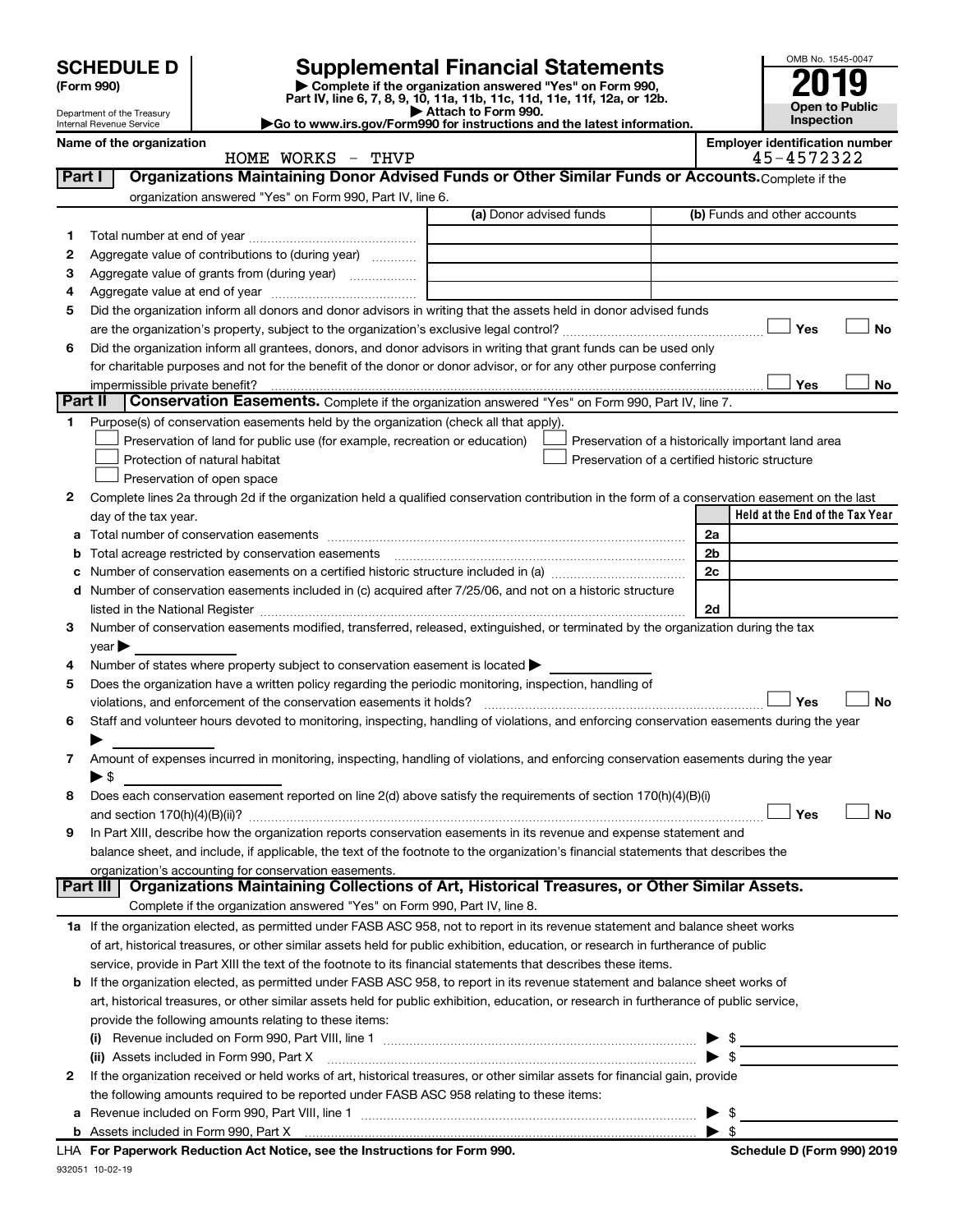| <b>SCHEDULE D</b> |  |
|-------------------|--|
|-------------------|--|

| (Form 990) |
|------------|
|            |

# **SCHEDULE D Supplemental Financial Statements**<br> **Form 990 2019**<br> **Part IV** line 6.7.8.9.10, 11a, 11b, 11d, 11d, 11d, 11d, 11d, 12a, 0r, 12b

**(Form 990) | Complete if the organization answered "Yes" on Form 990, Part IV, line 6, 7, 8, 9, 10, 11a, 11b, 11c, 11d, 11e, 11f, 12a, or 12b.**

**| Attach to Form 990. |Go to www.irs.gov/Form990 for instructions and the latest information.**



45-4572322

(b) Funds and other accounts

Department of the Treasury Internal Revenue Service **Name of the organization Employer identification number**

|        | HOME WORKS - THVP                                                                                 |                         | $45 - 457232$              |
|--------|---------------------------------------------------------------------------------------------------|-------------------------|----------------------------|
| Part I | Organizations Maintaining Donor Advised Funds or Other Similar Funds or Accounts. Complete if the |                         |                            |
|        | organization answered "Yes" on Form 990, Part IV, line 6.                                         |                         |                            |
|        |                                                                                                   | (a) Donor advised funds | (b) Funds and other accoun |
|        | Total number at end of year                                                                       |                         |                            |
|        |                                                                                                   |                         |                            |

| 2       | Aggregate value of contributions to (during year)                                                                                                                                                                             |                          |                                 |  |
|---------|-------------------------------------------------------------------------------------------------------------------------------------------------------------------------------------------------------------------------------|--------------------------|---------------------------------|--|
| З       | Aggregate value of grants from (during year)                                                                                                                                                                                  |                          |                                 |  |
| 4       |                                                                                                                                                                                                                               |                          |                                 |  |
| 5       | Did the organization inform all donors and donor advisors in writing that the assets held in donor advised funds                                                                                                              |                          |                                 |  |
|         |                                                                                                                                                                                                                               |                          | Yes<br>No                       |  |
| 6       | Did the organization inform all grantees, donors, and donor advisors in writing that grant funds can be used only                                                                                                             |                          |                                 |  |
|         | for charitable purposes and not for the benefit of the donor or donor advisor, or for any other purpose conferring                                                                                                            |                          |                                 |  |
|         |                                                                                                                                                                                                                               |                          | Yes<br>No                       |  |
| Part II | Conservation Easements. Complete if the organization answered "Yes" on Form 990, Part IV, line 7.                                                                                                                             |                          |                                 |  |
| 1.      | Purpose(s) of conservation easements held by the organization (check all that apply).                                                                                                                                         |                          |                                 |  |
|         | Preservation of land for public use (for example, recreation or education)<br>Preservation of a historically important land area                                                                                              |                          |                                 |  |
|         | Preservation of a certified historic structure<br>Protection of natural habitat                                                                                                                                               |                          |                                 |  |
|         | Preservation of open space                                                                                                                                                                                                    |                          |                                 |  |
| 2       | Complete lines 2a through 2d if the organization held a qualified conservation contribution in the form of a conservation easement on the last                                                                                |                          |                                 |  |
|         | day of the tax year.                                                                                                                                                                                                          |                          | Held at the End of the Tax Year |  |
|         |                                                                                                                                                                                                                               | 2a                       |                                 |  |
| b       |                                                                                                                                                                                                                               | 2b                       |                                 |  |
| с       |                                                                                                                                                                                                                               | 2c                       |                                 |  |
|         | d Number of conservation easements included in (c) acquired after 7/25/06, and not on a historic structure                                                                                                                    |                          |                                 |  |
|         | listed in the National Register [111] Marshall Register [11] Marshall Register [11] Marshall Register [11] Marshall Register [11] Marshall Register [11] Marshall Register [11] Marshall Register [11] Marshall Register [11] | 2d                       |                                 |  |
| 3       | Number of conservation easements modified, transferred, released, extinguished, or terminated by the organization during the tax                                                                                              |                          |                                 |  |
|         |                                                                                                                                                                                                                               |                          |                                 |  |
|         | $year \blacktriangleright$                                                                                                                                                                                                    |                          |                                 |  |
| 4       | Number of states where property subject to conservation easement is located >                                                                                                                                                 |                          |                                 |  |
| 5       | Does the organization have a written policy regarding the periodic monitoring, inspection, handling of                                                                                                                        |                          | Yes<br><b>No</b>                |  |
|         | violations, and enforcement of the conservation easements it holds?                                                                                                                                                           |                          |                                 |  |
| 6       | Staff and volunteer hours devoted to monitoring, inspecting, handling of violations, and enforcing conservation easements during the year                                                                                     |                          |                                 |  |
|         |                                                                                                                                                                                                                               |                          |                                 |  |
| 7       | Amount of expenses incurred in monitoring, inspecting, handling of violations, and enforcing conservation easements during the year                                                                                           |                          |                                 |  |
|         | $\blacktriangleright$ \$                                                                                                                                                                                                      |                          |                                 |  |
| 8       | Does each conservation easement reported on line 2(d) above satisfy the requirements of section 170(h)(4)(B)(i)                                                                                                               |                          |                                 |  |
|         |                                                                                                                                                                                                                               |                          | Yes<br><b>No</b>                |  |
| 9       | In Part XIII, describe how the organization reports conservation easements in its revenue and expense statement and                                                                                                           |                          |                                 |  |
|         | balance sheet, and include, if applicable, the text of the footnote to the organization's financial statements that describes the                                                                                             |                          |                                 |  |
|         | organization's accounting for conservation easements.                                                                                                                                                                         |                          |                                 |  |
|         | Part III<br>Organizations Maintaining Collections of Art, Historical Treasures, or Other Similar Assets.                                                                                                                      |                          |                                 |  |
|         | Complete if the organization answered "Yes" on Form 990, Part IV, line 8.                                                                                                                                                     |                          |                                 |  |
|         | 1a If the organization elected, as permitted under FASB ASC 958, not to report in its revenue statement and balance sheet works                                                                                               |                          |                                 |  |
|         | of art, historical treasures, or other similar assets held for public exhibition, education, or research in furtherance of public                                                                                             |                          |                                 |  |
|         | service, provide in Part XIII the text of the footnote to its financial statements that describes these items.                                                                                                                |                          |                                 |  |
|         | b If the organization elected, as permitted under FASB ASC 958, to report in its revenue statement and balance sheet works of                                                                                                 |                          |                                 |  |
|         | art, historical treasures, or other similar assets held for public exhibition, education, or research in furtherance of public service,                                                                                       |                          |                                 |  |
|         | provide the following amounts relating to these items:                                                                                                                                                                        |                          |                                 |  |
|         |                                                                                                                                                                                                                               |                          | $\blacktriangleright$ \$        |  |
|         | (ii) Assets included in Form 990, Part X                                                                                                                                                                                      | $\blacktriangleright$ \$ |                                 |  |
| 2       | If the organization received or held works of art, historical treasures, or other similar assets for financial gain, provide                                                                                                  |                          |                                 |  |
|         | the following amounts required to be reported under FASB ASC 958 relating to these items:                                                                                                                                     |                          |                                 |  |
|         | a Revenue included on Form 990, Part VIII, line 1                                                                                                                                                                             | $\blacktriangleright$ \$ |                                 |  |

| \$

932051 10-02-19 **For Paperwork Reduction Act Notice, see the Instructions for Form 990. Schedule D (Form 990) 2019** LHA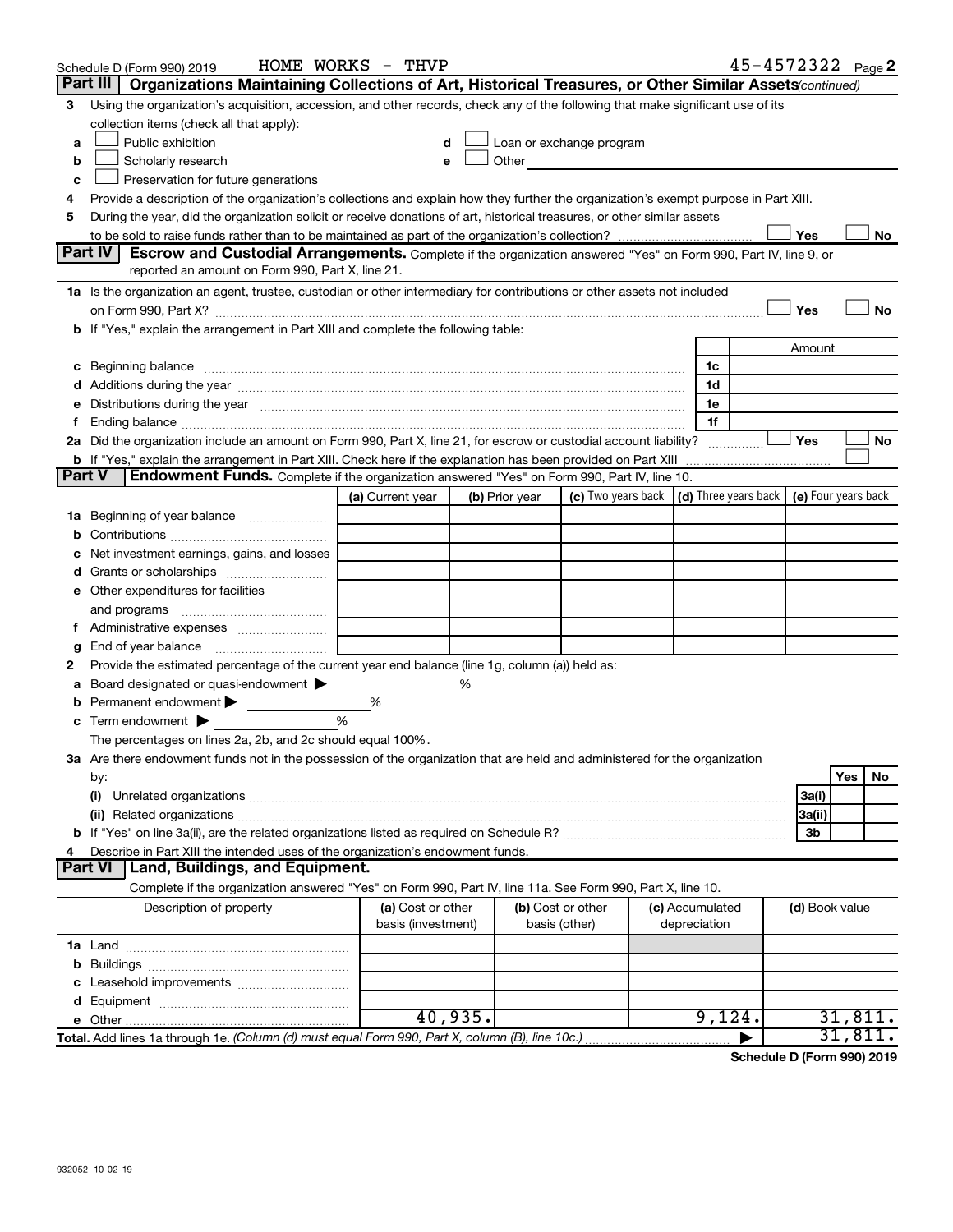|               | Schedule D (Form 990) 2019                                                                                                                                                                                                                                       | HOME WORKS - THVP                       |                |                                                                                                                                                                                                                               |                                 | 45-4572322 Page 2 |                |           |  |
|---------------|------------------------------------------------------------------------------------------------------------------------------------------------------------------------------------------------------------------------------------------------------------------|-----------------------------------------|----------------|-------------------------------------------------------------------------------------------------------------------------------------------------------------------------------------------------------------------------------|---------------------------------|-------------------|----------------|-----------|--|
|               | Part III<br>Organizations Maintaining Collections of Art, Historical Treasures, or Other Similar Assets (continued)                                                                                                                                              |                                         |                |                                                                                                                                                                                                                               |                                 |                   |                |           |  |
| 3             | Using the organization's acquisition, accession, and other records, check any of the following that make significant use of its<br>collection items (check all that apply):                                                                                      |                                         |                |                                                                                                                                                                                                                               |                                 |                   |                |           |  |
| a             | Public exhibition                                                                                                                                                                                                                                                | d                                       |                | Loan or exchange program                                                                                                                                                                                                      |                                 |                   |                |           |  |
| b             | Scholarly research                                                                                                                                                                                                                                               | е                                       |                | Other and the contract of the contract of the contract of the contract of the contract of the contract of the contract of the contract of the contract of the contract of the contract of the contract of the contract of the |                                 |                   |                |           |  |
| c             | Preservation for future generations                                                                                                                                                                                                                              |                                         |                |                                                                                                                                                                                                                               |                                 |                   |                |           |  |
| 4             |                                                                                                                                                                                                                                                                  |                                         |                |                                                                                                                                                                                                                               |                                 |                   |                |           |  |
| 5             | Provide a description of the organization's collections and explain how they further the organization's exempt purpose in Part XIII.<br>During the year, did the organization solicit or receive donations of art, historical treasures, or other similar assets |                                         |                |                                                                                                                                                                                                                               |                                 |                   |                |           |  |
|               | Yes<br>No                                                                                                                                                                                                                                                        |                                         |                |                                                                                                                                                                                                                               |                                 |                   |                |           |  |
|               | Part IV<br><b>Escrow and Custodial Arrangements.</b> Complete if the organization answered "Yes" on Form 990, Part IV, line 9, or                                                                                                                                |                                         |                |                                                                                                                                                                                                                               |                                 |                   |                |           |  |
|               | reported an amount on Form 990, Part X, line 21.                                                                                                                                                                                                                 |                                         |                |                                                                                                                                                                                                                               |                                 |                   |                |           |  |
|               | 1a Is the organization an agent, trustee, custodian or other intermediary for contributions or other assets not included                                                                                                                                         |                                         |                |                                                                                                                                                                                                                               |                                 |                   |                |           |  |
|               |                                                                                                                                                                                                                                                                  |                                         |                |                                                                                                                                                                                                                               |                                 |                   | Yes            | <b>No</b> |  |
|               | b If "Yes," explain the arrangement in Part XIII and complete the following table:                                                                                                                                                                               |                                         |                |                                                                                                                                                                                                                               |                                 |                   |                |           |  |
|               |                                                                                                                                                                                                                                                                  |                                         |                |                                                                                                                                                                                                                               |                                 |                   | Amount         |           |  |
|               | c Beginning balance measurements and the contract of Beginning balance measurements are all the contract of the contract of the contract of the contract of the contract of the contract of the contract of the contract of th                                   |                                         |                |                                                                                                                                                                                                                               | 1c                              |                   |                |           |  |
|               |                                                                                                                                                                                                                                                                  |                                         |                |                                                                                                                                                                                                                               | 1d                              |                   |                |           |  |
|               | e Distributions during the year manufactured and continuum control of the control of the control of the state of the state of the control of the control of the control of the control of the control of the control of the co                                   |                                         |                |                                                                                                                                                                                                                               | 1e                              |                   |                |           |  |
| Ť.            |                                                                                                                                                                                                                                                                  |                                         |                |                                                                                                                                                                                                                               | 1f                              |                   |                |           |  |
|               | 2a Did the organization include an amount on Form 990, Part X, line 21, for escrow or custodial account liability?                                                                                                                                               |                                         |                |                                                                                                                                                                                                                               |                                 |                   | Yes            | No        |  |
| <b>Part V</b> | <b>b</b> If "Yes," explain the arrangement in Part XIII. Check here if the explanation has been provided on Part XIII<br><b>Endowment Funds.</b> Complete if the organization answered "Yes" on Form 990, Part IV, line 10.                                      |                                         |                |                                                                                                                                                                                                                               |                                 |                   |                |           |  |
|               |                                                                                                                                                                                                                                                                  | (a) Current year                        | (b) Prior year | (c) Two years back $\vert$ (d) Three years back $\vert$ (e) Four years back                                                                                                                                                   |                                 |                   |                |           |  |
|               | 1a Beginning of year balance                                                                                                                                                                                                                                     |                                         |                |                                                                                                                                                                                                                               |                                 |                   |                |           |  |
| b             |                                                                                                                                                                                                                                                                  |                                         |                |                                                                                                                                                                                                                               |                                 |                   |                |           |  |
|               | Net investment earnings, gains, and losses                                                                                                                                                                                                                       |                                         |                |                                                                                                                                                                                                                               |                                 |                   |                |           |  |
|               |                                                                                                                                                                                                                                                                  |                                         |                |                                                                                                                                                                                                                               |                                 |                   |                |           |  |
|               | e Other expenditures for facilities                                                                                                                                                                                                                              |                                         |                |                                                                                                                                                                                                                               |                                 |                   |                |           |  |
|               |                                                                                                                                                                                                                                                                  |                                         |                |                                                                                                                                                                                                                               |                                 |                   |                |           |  |
|               |                                                                                                                                                                                                                                                                  |                                         |                |                                                                                                                                                                                                                               |                                 |                   |                |           |  |
| g             |                                                                                                                                                                                                                                                                  |                                         |                |                                                                                                                                                                                                                               |                                 |                   |                |           |  |
| 2             | Provide the estimated percentage of the current year end balance (line 1g, column (a)) held as:                                                                                                                                                                  |                                         |                |                                                                                                                                                                                                                               |                                 |                   |                |           |  |
| а             | Board designated or quasi-endowment                                                                                                                                                                                                                              |                                         | %              |                                                                                                                                                                                                                               |                                 |                   |                |           |  |
|               | <b>b</b> Permanent endowment $\blacktriangleright$                                                                                                                                                                                                               | $\%$                                    |                |                                                                                                                                                                                                                               |                                 |                   |                |           |  |
|               | $\mathbf c$ Term endowment $\blacktriangleright$                                                                                                                                                                                                                 | %                                       |                |                                                                                                                                                                                                                               |                                 |                   |                |           |  |
|               | The percentages on lines 2a, 2b, and 2c should equal 100%.                                                                                                                                                                                                       |                                         |                |                                                                                                                                                                                                                               |                                 |                   |                |           |  |
|               | 3a Are there endowment funds not in the possession of the organization that are held and administered for the organization                                                                                                                                       |                                         |                |                                                                                                                                                                                                                               |                                 |                   |                |           |  |
|               | by:                                                                                                                                                                                                                                                              |                                         |                |                                                                                                                                                                                                                               |                                 |                   | Yes            | No        |  |
|               | (i)                                                                                                                                                                                                                                                              |                                         |                |                                                                                                                                                                                                                               |                                 |                   | 3a(i)          |           |  |
|               |                                                                                                                                                                                                                                                                  |                                         |                |                                                                                                                                                                                                                               |                                 |                   | 3a(ii)         |           |  |
|               |                                                                                                                                                                                                                                                                  |                                         |                |                                                                                                                                                                                                                               |                                 |                   | 3b             |           |  |
| 4             | Describe in Part XIII the intended uses of the organization's endowment funds.<br>Land, Buildings, and Equipment.                                                                                                                                                |                                         |                |                                                                                                                                                                                                                               |                                 |                   |                |           |  |
|               | <b>Part VI</b>                                                                                                                                                                                                                                                   |                                         |                |                                                                                                                                                                                                                               |                                 |                   |                |           |  |
|               | Complete if the organization answered "Yes" on Form 990, Part IV, line 11a. See Form 990, Part X, line 10.                                                                                                                                                       |                                         |                |                                                                                                                                                                                                                               |                                 |                   |                |           |  |
|               | Description of property                                                                                                                                                                                                                                          | (a) Cost or other<br>basis (investment) |                | (b) Cost or other<br>basis (other)                                                                                                                                                                                            | (c) Accumulated<br>depreciation |                   | (d) Book value |           |  |
|               |                                                                                                                                                                                                                                                                  |                                         |                |                                                                                                                                                                                                                               |                                 |                   |                |           |  |
|               |                                                                                                                                                                                                                                                                  |                                         |                |                                                                                                                                                                                                                               |                                 |                   |                |           |  |
|               |                                                                                                                                                                                                                                                                  |                                         |                |                                                                                                                                                                                                                               |                                 |                   |                |           |  |
|               |                                                                                                                                                                                                                                                                  |                                         |                |                                                                                                                                                                                                                               |                                 |                   |                |           |  |
|               |                                                                                                                                                                                                                                                                  |                                         | 40,935.        |                                                                                                                                                                                                                               | 9,124.                          |                   |                | 31,811.   |  |
|               | Total. Add lines 1a through 1e. (Column (d) must equal Form 990, Part X, column (B), line 10c.)                                                                                                                                                                  |                                         |                |                                                                                                                                                                                                                               |                                 |                   |                | 31,811.   |  |

**Schedule D (Form 990) 2019**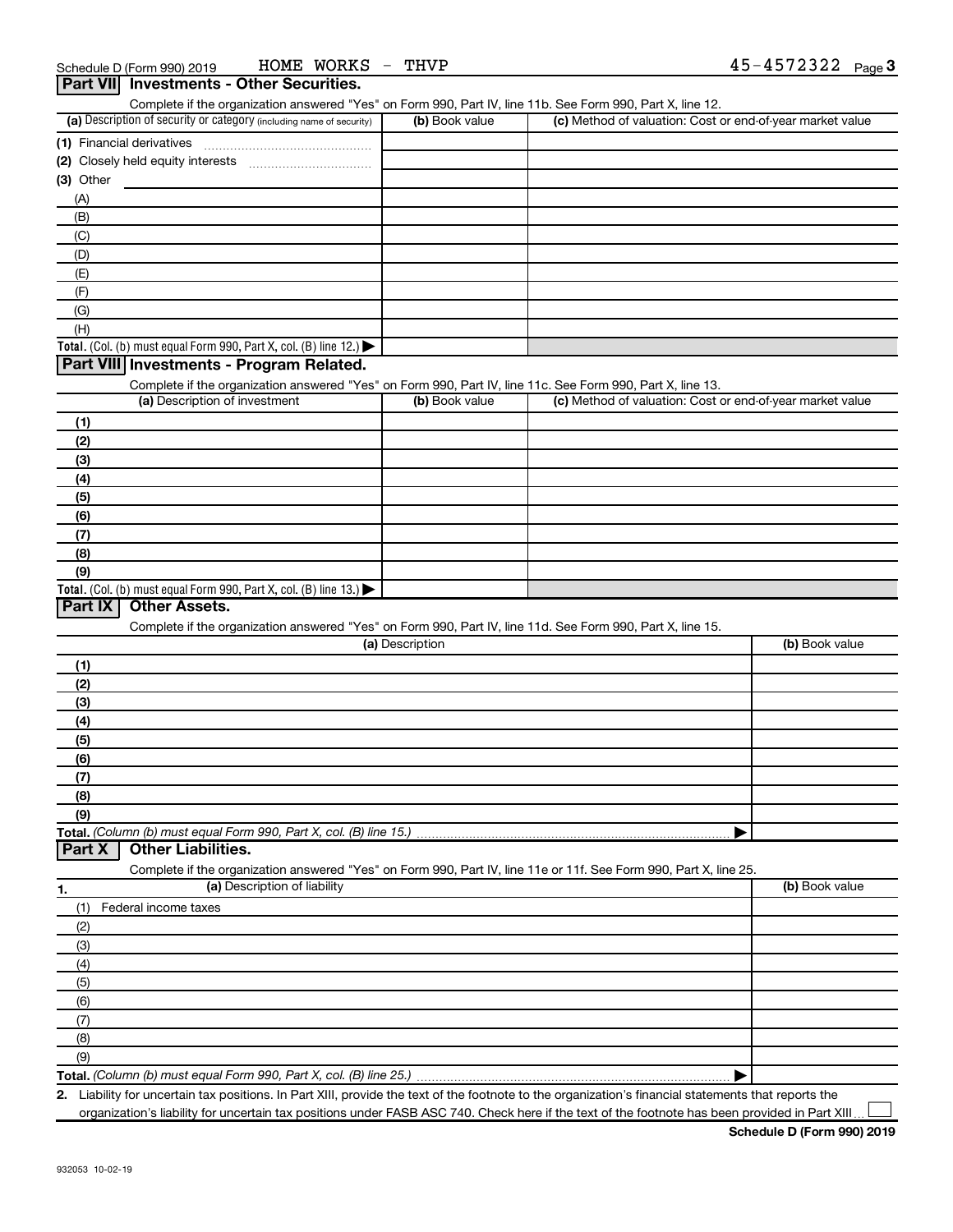|                           |                                                                                                                   | (b) Book value  | Complete if the organization answered "Yes" on Form 990, Part IV, line 11b. See Form 990, Part X, line 12. |                |
|---------------------------|-------------------------------------------------------------------------------------------------------------------|-----------------|------------------------------------------------------------------------------------------------------------|----------------|
|                           | (a) Description of security or category (including name of security)                                              |                 | (c) Method of valuation: Cost or end-of-year market value                                                  |                |
| (1) Financial derivatives |                                                                                                                   |                 |                                                                                                            |                |
|                           | (2) Closely held equity interests                                                                                 |                 |                                                                                                            |                |
| (3) Other                 |                                                                                                                   |                 |                                                                                                            |                |
| (A)                       |                                                                                                                   |                 |                                                                                                            |                |
| (B)                       |                                                                                                                   |                 |                                                                                                            |                |
| (C)                       |                                                                                                                   |                 |                                                                                                            |                |
| (D)                       |                                                                                                                   |                 |                                                                                                            |                |
| (E)                       |                                                                                                                   |                 |                                                                                                            |                |
| (F)                       |                                                                                                                   |                 |                                                                                                            |                |
| (G)                       |                                                                                                                   |                 |                                                                                                            |                |
| (H)                       |                                                                                                                   |                 |                                                                                                            |                |
|                           | Total. (Col. (b) must equal Form 990, Part X, col. (B) line 12.) $\blacktriangleright$                            |                 |                                                                                                            |                |
|                           | Part VIII Investments - Program Related.                                                                          |                 |                                                                                                            |                |
|                           | Complete if the organization answered "Yes" on Form 990, Part IV, line 11c. See Form 990, Part X, line 13.        |                 |                                                                                                            |                |
|                           | (a) Description of investment                                                                                     | (b) Book value  | (c) Method of valuation: Cost or end-of-year market value                                                  |                |
| (1)                       |                                                                                                                   |                 |                                                                                                            |                |
|                           |                                                                                                                   |                 |                                                                                                            |                |
| (2)                       |                                                                                                                   |                 |                                                                                                            |                |
| (3)                       |                                                                                                                   |                 |                                                                                                            |                |
| (4)                       |                                                                                                                   |                 |                                                                                                            |                |
| (5)                       |                                                                                                                   |                 |                                                                                                            |                |
| (6)                       |                                                                                                                   |                 |                                                                                                            |                |
| (7)                       |                                                                                                                   |                 |                                                                                                            |                |
| (8)                       |                                                                                                                   |                 |                                                                                                            |                |
| (9)                       |                                                                                                                   |                 |                                                                                                            |                |
|                           | Total. (Col. (b) must equal Form 990, Part X, col. (B) line 13.) $\blacktriangleright$                            |                 |                                                                                                            |                |
| Part IX                   | <b>Other Assets.</b>                                                                                              |                 |                                                                                                            |                |
|                           | Complete if the organization answered "Yes" on Form 990, Part IV, line 11d. See Form 990, Part X, line 15.        |                 |                                                                                                            |                |
|                           |                                                                                                                   | (a) Description |                                                                                                            |                |
|                           |                                                                                                                   |                 |                                                                                                            | (b) Book value |
|                           |                                                                                                                   |                 |                                                                                                            |                |
| (1)                       |                                                                                                                   |                 |                                                                                                            |                |
| (2)                       |                                                                                                                   |                 |                                                                                                            |                |
| (3)                       |                                                                                                                   |                 |                                                                                                            |                |
| (4)                       |                                                                                                                   |                 |                                                                                                            |                |
| (5)                       |                                                                                                                   |                 |                                                                                                            |                |
| (6)                       |                                                                                                                   |                 |                                                                                                            |                |
| (7)                       |                                                                                                                   |                 |                                                                                                            |                |
| (8)                       |                                                                                                                   |                 |                                                                                                            |                |
| (9)                       |                                                                                                                   |                 |                                                                                                            |                |
|                           | Total. (Column (b) must equal Form 990, Part X, col. (B) line 15.)                                                |                 |                                                                                                            |                |
| Part X                    | <b>Other Liabilities.</b>                                                                                         |                 |                                                                                                            |                |
|                           | Complete if the organization answered "Yes" on Form 990, Part IV, line 11e or 11f. See Form 990, Part X, line 25. |                 |                                                                                                            |                |
|                           | (a) Description of liability                                                                                      |                 |                                                                                                            | (b) Book value |
| (1)                       | Federal income taxes                                                                                              |                 |                                                                                                            |                |
| (2)                       |                                                                                                                   |                 |                                                                                                            |                |
| (3)                       |                                                                                                                   |                 |                                                                                                            |                |
| (4)                       |                                                                                                                   |                 |                                                                                                            |                |
| (5)                       |                                                                                                                   |                 |                                                                                                            |                |
|                           |                                                                                                                   |                 |                                                                                                            |                |
| (6)                       |                                                                                                                   |                 |                                                                                                            |                |
| 1.<br>(7)                 |                                                                                                                   |                 |                                                                                                            |                |
| (8)<br>(9)                |                                                                                                                   |                 |                                                                                                            |                |

**2.** Liability for uncertain tax positions. In Part XIII, provide the text of the footnote to the organization's financial statements that reports the organization's liability for uncertain tax positions under FASB ASC 740. Check here if the text of the footnote has been provided in Part XIII

 $\perp$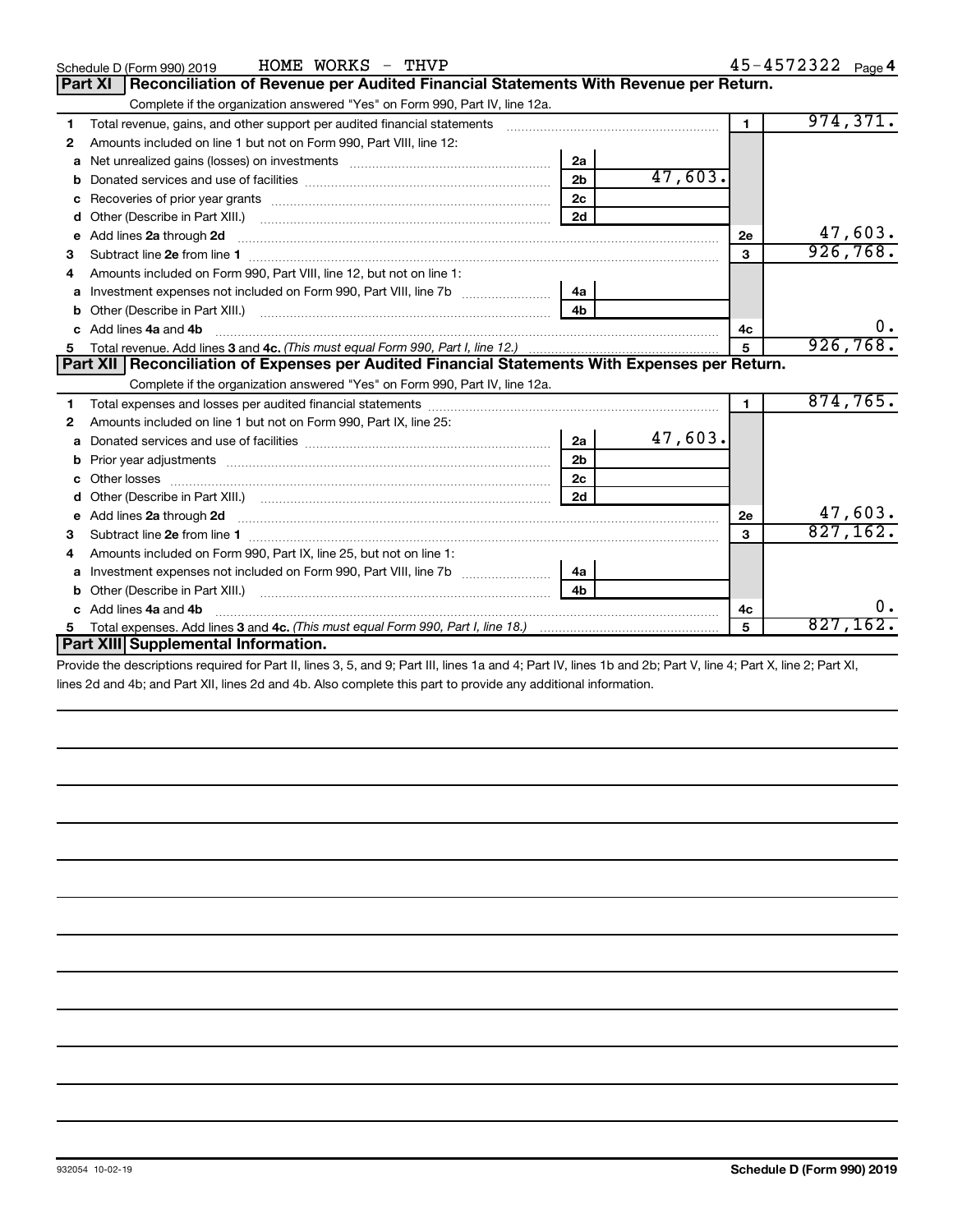|   | HOME WORKS - THVP<br>Schedule D (Form 990) 2019                                                                                                              |                |         |                | 45-4572322 Page 4 |
|---|--------------------------------------------------------------------------------------------------------------------------------------------------------------|----------------|---------|----------------|-------------------|
|   | Reconciliation of Revenue per Audited Financial Statements With Revenue per Return.<br><b>Part XI</b>                                                        |                |         |                |                   |
|   | Complete if the organization answered "Yes" on Form 990, Part IV, line 12a.                                                                                  |                |         |                |                   |
| 1 | Total revenue, gains, and other support per audited financial statements [111] [11] Total revenue, gains, and other support per audited financial statements |                |         | $\blacksquare$ | 974, 371.         |
| 2 | Amounts included on line 1 but not on Form 990, Part VIII, line 12:                                                                                          |                |         |                |                   |
| a |                                                                                                                                                              | 2a             |         |                |                   |
| b |                                                                                                                                                              | 2 <sub>b</sub> | 47,603. |                |                   |
| c |                                                                                                                                                              | 2 <sub>c</sub> |         |                |                   |
| d | Other (Describe in Part XIII.)                                                                                                                               | 2d             |         |                |                   |
| е | Add lines 2a through 2d                                                                                                                                      |                |         | <b>2e</b>      | 47,603.           |
| 3 | Subtract line 2e from line 1 <b>manufacture in the contract of the 2e</b> from line 1                                                                        |                |         | 3              | 926, 768.         |
|   | Amounts included on Form 990, Part VIII, line 12, but not on line 1:                                                                                         |                |         |                |                   |
| a |                                                                                                                                                              | 4a             |         |                |                   |
| b |                                                                                                                                                              | 4b             |         |                |                   |
|   | Add lines 4a and 4b                                                                                                                                          |                |         | 4c             | υ.                |
| 5 |                                                                                                                                                              |                |         | $5\phantom{1}$ | 926,768.          |
|   |                                                                                                                                                              |                |         |                |                   |
|   | Part XII   Reconciliation of Expenses per Audited Financial Statements With Expenses per Return.                                                             |                |         |                |                   |
|   | Complete if the organization answered "Yes" on Form 990, Part IV, line 12a.                                                                                  |                |         |                |                   |
| 1 |                                                                                                                                                              |                |         | $\blacksquare$ | 874, 765.         |
| 2 | Amounts included on line 1 but not on Form 990, Part IX, line 25:                                                                                            |                |         |                |                   |
| a |                                                                                                                                                              | 2a             | 47,603. |                |                   |
| b |                                                                                                                                                              | 2 <sub>b</sub> |         |                |                   |
| c |                                                                                                                                                              | 2c             |         |                |                   |
| d |                                                                                                                                                              | 2d             |         |                |                   |
| е | Add lines 2a through 2d                                                                                                                                      |                |         | 2e             | 47,603.           |
| 3 |                                                                                                                                                              |                |         | 3              | 827,162.          |
| 4 | Amounts included on Form 990, Part IX, line 25, but not on line 1:                                                                                           |                |         |                |                   |
| а |                                                                                                                                                              | 4a             |         |                |                   |
| b |                                                                                                                                                              | 4 <sub>h</sub> |         |                |                   |
|   | Add lines 4a and 4b                                                                                                                                          |                |         | 4c             | υ.                |
|   | Part XIII Supplemental Information.                                                                                                                          |                |         | 5              | 827,162.          |

Provide the descriptions required for Part II, lines 3, 5, and 9; Part III, lines 1a and 4; Part IV, lines 1b and 2b; Part V, line 4; Part X, line 2; Part XI, lines 2d and 4b; and Part XII, lines 2d and 4b. Also complete this part to provide any additional information.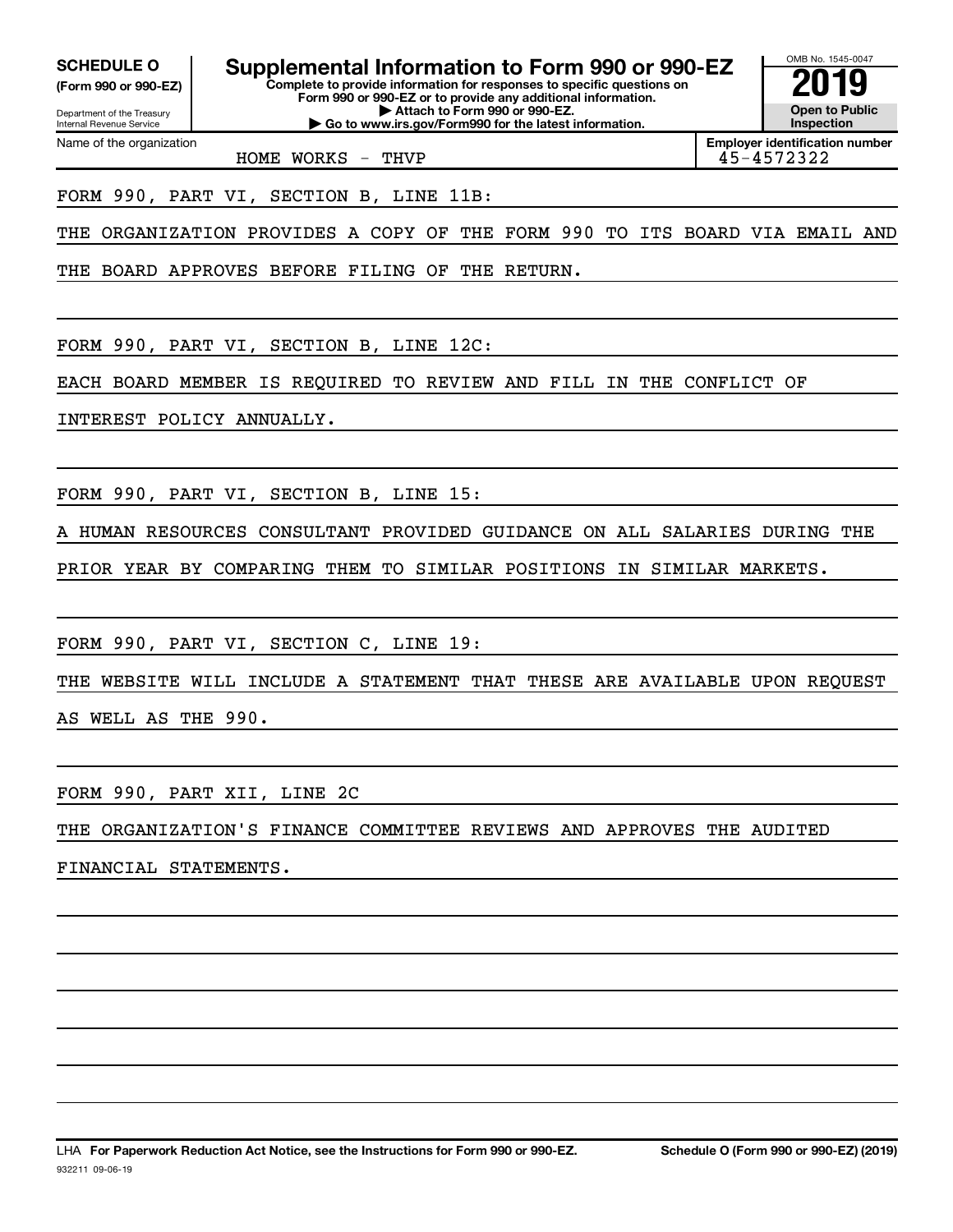Department of the Treasury **(Form 990 or 990-EZ)**

Name of the organization

Internal Revenue Service

**SCHEDULE O Supplemental Information to Form 990 or 990-EZ 2019** 

**Complete to provide information for responses to specific questions on Form 990 or 990-EZ or to provide any additional information. | Attach to Form 990 or 990-EZ. | Go to www.irs.gov/Form990 for the latest information.**



**Employer identification number**

### FORM 990, PART VI, SECTION B, LINE 11B:

THE ORGANIZATION PROVIDES A COPY OF THE FORM 990 TO ITS BOARD VIA EMAIL AND

THE BOARD APPROVES BEFORE FILING OF THE RETURN.

HOME WORKS  $-$  THVP

FORM 990, PART VI, SECTION B, LINE 12C:

EACH BOARD MEMBER IS REQUIRED TO REVIEW AND FILL IN THE CONFLICT OF

INTEREST POLICY ANNUALLY.

FORM 990, PART VI, SECTION B, LINE 15:

A HUMAN RESOURCES CONSULTANT PROVIDED GUIDANCE ON ALL SALARIES DURING THE

PRIOR YEAR BY COMPARING THEM TO SIMILAR POSITIONS IN SIMILAR MARKETS.

FORM 990, PART VI, SECTION C, LINE 19:

THE WEBSITE WILL INCLUDE A STATEMENT THAT THESE ARE AVAILABLE UPON REQUEST

AS WELL AS THE 990.

FORM 990, PART XII, LINE 2C

THE ORGANIZATION'S FINANCE COMMITTEE REVIEWS AND APPROVES THE AUDITED

FINANCIAL STATEMENTS.